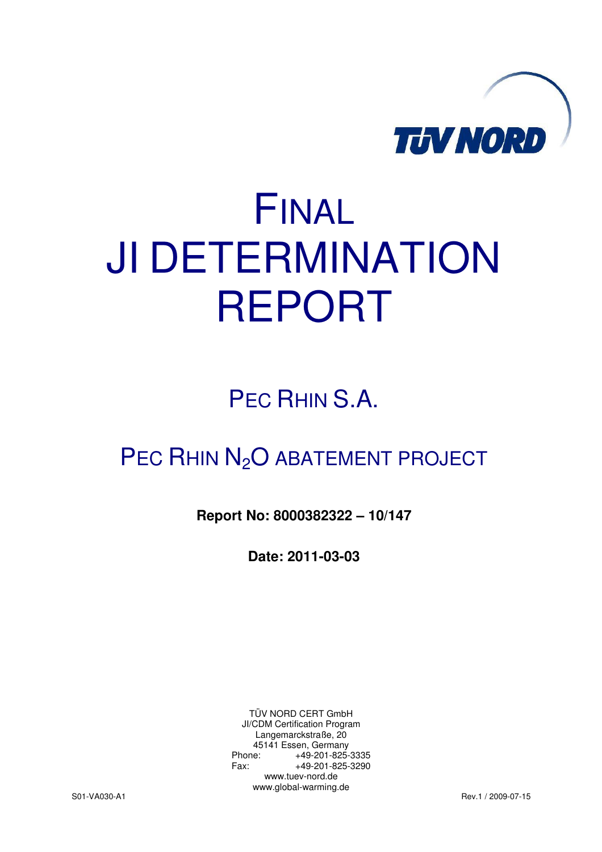

# FINAL JI DETERMINATION REPORT

## PEC RHIN S.A.

## PEC RHIN N<sub>2</sub>O ABATEMENT PROJECT

**Report No: 8000382322 – 10/147** 

**Date: 2011-03-03** 

TÜV NORD CERT GmbH JI/CDM Certification Program Langemarckstraße, 20 45141 Essen, Germany Phone: +49-201-825-3335 Fax: +49-201-825-3290 www.tuev-nord.de www.global-warming.de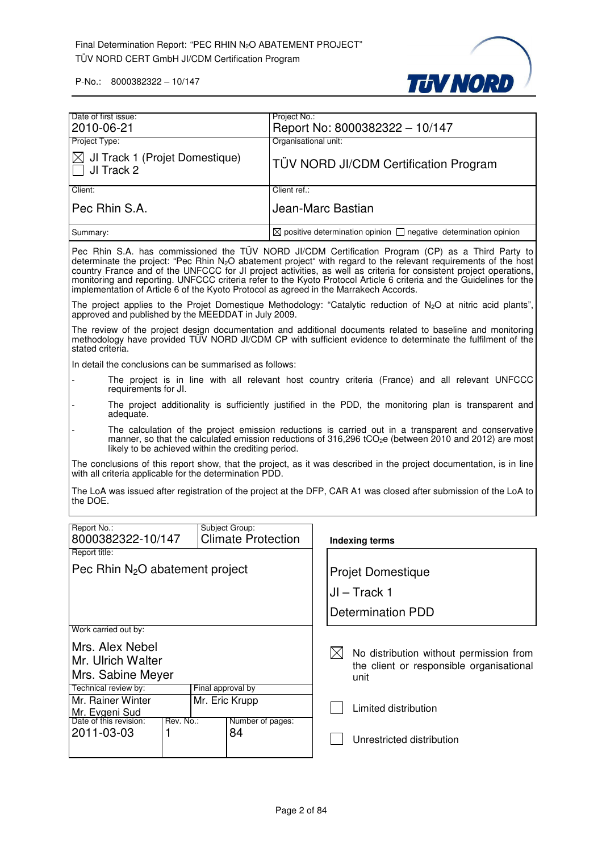

| Date of first issue:<br>Project No.:<br>Report No: 8000382322 - 10/147<br>2010-06-21<br>Project Type:<br>Organisational unit:<br>JI Track 1 (Projet Domestique)<br>$\times$<br><b>TÜV NORD JI/CDM Certification Program</b><br>JI Track 2<br>Client ref.:<br>Client:<br>Pec Rhin S.A.<br>Jean-Marc Bastian<br>$\boxtimes$ positive determination opinion $\Box$ negative determination opinion<br>Summary:                                                                                                                                                   |  |  |  |  |  |
|--------------------------------------------------------------------------------------------------------------------------------------------------------------------------------------------------------------------------------------------------------------------------------------------------------------------------------------------------------------------------------------------------------------------------------------------------------------------------------------------------------------------------------------------------------------|--|--|--|--|--|
|                                                                                                                                                                                                                                                                                                                                                                                                                                                                                                                                                              |  |  |  |  |  |
|                                                                                                                                                                                                                                                                                                                                                                                                                                                                                                                                                              |  |  |  |  |  |
|                                                                                                                                                                                                                                                                                                                                                                                                                                                                                                                                                              |  |  |  |  |  |
|                                                                                                                                                                                                                                                                                                                                                                                                                                                                                                                                                              |  |  |  |  |  |
|                                                                                                                                                                                                                                                                                                                                                                                                                                                                                                                                                              |  |  |  |  |  |
|                                                                                                                                                                                                                                                                                                                                                                                                                                                                                                                                                              |  |  |  |  |  |
|                                                                                                                                                                                                                                                                                                                                                                                                                                                                                                                                                              |  |  |  |  |  |
| Pec Rhin S.A. has commissioned the TÜV NORD JI/CDM Certification Program (CP) as a Third Party to<br>determinate the project: "Pec Rhin $N_2O$ abatement project" with regard to the relevant requirements of the host<br>country France and of the UNFCCC for JI project activities, as well as criteria for consistent project operations,<br>monitoring and reporting. UNFCCC criteria refer to the Kyoto Protocol Article 6 criteria and the Guidelines for the<br>implementation of Article 6 of the Kyoto Protocol as agreed in the Marrakech Accords. |  |  |  |  |  |
| The project applies to the Projet Domestique Methodology: "Catalytic reduction of $N_2O$ at nitric acid plants",<br>approved and published by the MEEDDAT in July 2009.                                                                                                                                                                                                                                                                                                                                                                                      |  |  |  |  |  |
| The review of the project design documentation and additional documents related to baseline and monitoring<br>methodology have provided TÜV NORD JI/CDM CP with sufficient evidence to determinate the fulfilment of the<br>stated criteria.                                                                                                                                                                                                                                                                                                                 |  |  |  |  |  |
| In detail the conclusions can be summarised as follows:                                                                                                                                                                                                                                                                                                                                                                                                                                                                                                      |  |  |  |  |  |
| The project is in line with all relevant host country criteria (France) and all relevant UNFCCC<br>requirements for JI.                                                                                                                                                                                                                                                                                                                                                                                                                                      |  |  |  |  |  |
| The project additionality is sufficiently justified in the PDD, the monitoring plan is transparent and<br>adequate.                                                                                                                                                                                                                                                                                                                                                                                                                                          |  |  |  |  |  |
| The calculation of the project emission reductions is carried out in a transparent and conservative<br>manner, so that the calculated emission reductions of 316,296 tCO <sub>2</sub> e (between 2010 and 2012) are most<br>likely to be achieved within the crediting period.                                                                                                                                                                                                                                                                               |  |  |  |  |  |
| The conclusions of this report show, that the project, as it was described in the project documentation, is in line<br>with all criteria applicable for the determination PDD.                                                                                                                                                                                                                                                                                                                                                                               |  |  |  |  |  |
| The LoA was issued after registration of the project at the DFP, CAR A1 was closed after submission of the LoA to<br>the DOE.                                                                                                                                                                                                                                                                                                                                                                                                                                |  |  |  |  |  |
|                                                                                                                                                                                                                                                                                                                                                                                                                                                                                                                                                              |  |  |  |  |  |
| Report No.:<br>Subject Group:<br>8000382322-10/147<br><b>Climate Protection</b><br><b>Indexing terms</b>                                                                                                                                                                                                                                                                                                                                                                                                                                                     |  |  |  |  |  |
| Report title:                                                                                                                                                                                                                                                                                                                                                                                                                                                                                                                                                |  |  |  |  |  |
| Pec Rhin $N_2O$ abatement project<br><b>Projet Domestique</b>                                                                                                                                                                                                                                                                                                                                                                                                                                                                                                |  |  |  |  |  |
| $JI - Track 1$                                                                                                                                                                                                                                                                                                                                                                                                                                                                                                                                               |  |  |  |  |  |
|                                                                                                                                                                                                                                                                                                                                                                                                                                                                                                                                                              |  |  |  |  |  |
| <b>Determination PDD</b>                                                                                                                                                                                                                                                                                                                                                                                                                                                                                                                                     |  |  |  |  |  |
| Work carried out by:                                                                                                                                                                                                                                                                                                                                                                                                                                                                                                                                         |  |  |  |  |  |
| Mrs. Alex Nebel<br>$\bowtie$<br>No distribution without permission from                                                                                                                                                                                                                                                                                                                                                                                                                                                                                      |  |  |  |  |  |
| Mr. Ulrich Walter<br>the client or responsible organisational                                                                                                                                                                                                                                                                                                                                                                                                                                                                                                |  |  |  |  |  |
| Mrs. Sabine Meyer<br>unit                                                                                                                                                                                                                                                                                                                                                                                                                                                                                                                                    |  |  |  |  |  |
| Technical review by:<br>Final approval by                                                                                                                                                                                                                                                                                                                                                                                                                                                                                                                    |  |  |  |  |  |
| Mr. Rainer Winter<br>Mr. Eric Krupp<br>Limited distribution                                                                                                                                                                                                                                                                                                                                                                                                                                                                                                  |  |  |  |  |  |
| Mr. Evgeni Sud<br>Date of this revision:<br>Rev. No.:<br>Number of pages:                                                                                                                                                                                                                                                                                                                                                                                                                                                                                    |  |  |  |  |  |
| 2011-03-03<br>1<br>84                                                                                                                                                                                                                                                                                                                                                                                                                                                                                                                                        |  |  |  |  |  |
| Unrestricted distribution                                                                                                                                                                                                                                                                                                                                                                                                                                                                                                                                    |  |  |  |  |  |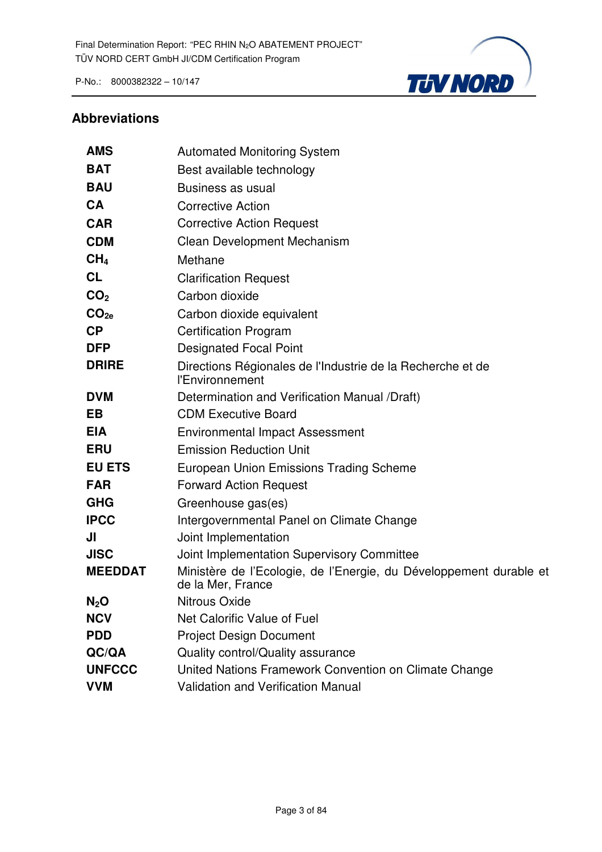

#### **Abbreviations**

| <b>AMS</b>       | <b>Automated Monitoring System</b>                                                      |
|------------------|-----------------------------------------------------------------------------------------|
| <b>BAT</b>       | Best available technology                                                               |
| <b>BAU</b>       | Business as usual                                                                       |
| <b>CA</b>        | <b>Corrective Action</b>                                                                |
| <b>CAR</b>       | <b>Corrective Action Request</b>                                                        |
| <b>CDM</b>       | Clean Development Mechanism                                                             |
| CH <sub>4</sub>  | Methane                                                                                 |
| <b>CL</b>        | <b>Clarification Request</b>                                                            |
| CO <sub>2</sub>  | Carbon dioxide                                                                          |
| CO <sub>2e</sub> | Carbon dioxide equivalent                                                               |
| CP               | <b>Certification Program</b>                                                            |
| <b>DFP</b>       | <b>Designated Focal Point</b>                                                           |
| <b>DRIRE</b>     | Directions Régionales de l'Industrie de la Recherche et de<br>l'Environnement           |
| <b>DVM</b>       | Determination and Verification Manual /Draft)                                           |
| <b>EB</b>        | <b>CDM Executive Board</b>                                                              |
| <b>EIA</b>       | <b>Environmental Impact Assessment</b>                                                  |
| <b>ERU</b>       | <b>Emission Reduction Unit</b>                                                          |
| <b>EU ETS</b>    | <b>European Union Emissions Trading Scheme</b>                                          |
| <b>FAR</b>       | <b>Forward Action Request</b>                                                           |
| <b>GHG</b>       | Greenhouse gas(es)                                                                      |
| <b>IPCC</b>      | Intergovernmental Panel on Climate Change                                               |
| JI               | Joint Implementation                                                                    |
| <b>JISC</b>      | Joint Implementation Supervisory Committee                                              |
| <b>MEEDDAT</b>   | Ministère de l'Ecologie, de l'Energie, du Développement durable et<br>de la Mer, France |
| $N_2O$           | <b>Nitrous Oxide</b>                                                                    |
| <b>NCV</b>       | Net Calorific Value of Fuel                                                             |
| <b>PDD</b>       | <b>Project Design Document</b>                                                          |
| QC/QA            | Quality control/Quality assurance                                                       |
| <b>UNFCCC</b>    | United Nations Framework Convention on Climate Change                                   |
| <b>VVM</b>       | <b>Validation and Verification Manual</b>                                               |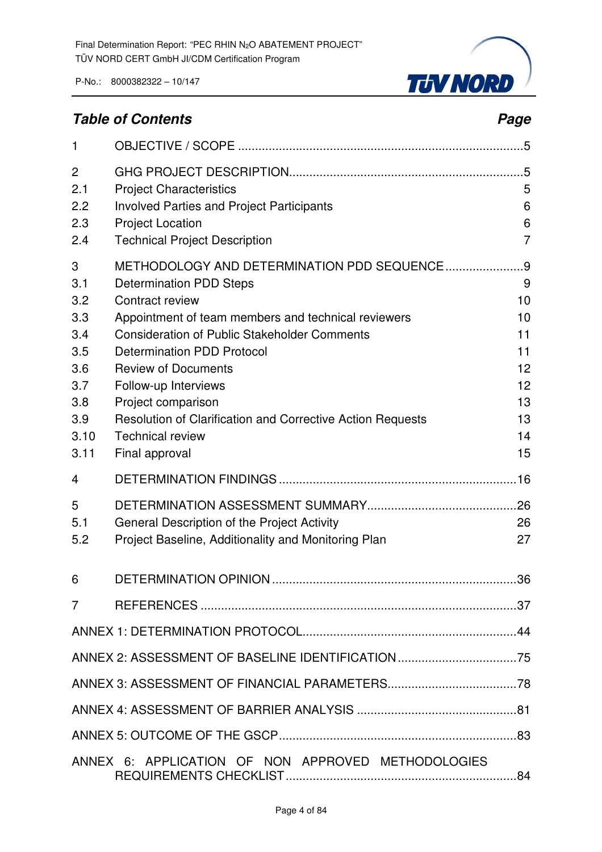

### **Table of Contents Page 2018**

| 1                                                                                |                                                                                                                                                                                                                                                                                                                                                                                                                                           |                                                                     |
|----------------------------------------------------------------------------------|-------------------------------------------------------------------------------------------------------------------------------------------------------------------------------------------------------------------------------------------------------------------------------------------------------------------------------------------------------------------------------------------------------------------------------------------|---------------------------------------------------------------------|
| 2<br>2.1<br>2.2<br>2.3<br>2.4                                                    | <b>Project Characteristics</b><br><b>Involved Parties and Project Participants</b><br><b>Project Location</b><br><b>Technical Project Description</b>                                                                                                                                                                                                                                                                                     | 5<br>6<br>6<br>7                                                    |
| 3<br>3.1<br>3.2<br>3.3<br>3.4<br>3.5<br>3.6<br>3.7<br>3.8<br>3.9<br>3.10<br>3.11 | METHODOLOGY AND DETERMINATION PDD SEQUENCE<br><b>Determination PDD Steps</b><br>Contract review<br>Appointment of team members and technical reviewers<br><b>Consideration of Public Stakeholder Comments</b><br><b>Determination PDD Protocol</b><br><b>Review of Documents</b><br>Follow-up Interviews<br>Project comparison<br>Resolution of Clarification and Corrective Action Requests<br><b>Technical review</b><br>Final approval | .9<br>9<br>10<br>10<br>11<br>11<br>12<br>12<br>13<br>13<br>14<br>15 |
| 4                                                                                |                                                                                                                                                                                                                                                                                                                                                                                                                                           |                                                                     |
| 5<br>5.1<br>5.2                                                                  | General Description of the Project Activity<br>Project Baseline, Additionality and Monitoring Plan                                                                                                                                                                                                                                                                                                                                        | 26<br>27                                                            |
| 6                                                                                |                                                                                                                                                                                                                                                                                                                                                                                                                                           | .36                                                                 |
| 7                                                                                |                                                                                                                                                                                                                                                                                                                                                                                                                                           |                                                                     |
|                                                                                  |                                                                                                                                                                                                                                                                                                                                                                                                                                           |                                                                     |
|                                                                                  | ANNEX 2: ASSESSMENT OF BASELINE IDENTIFICATION75                                                                                                                                                                                                                                                                                                                                                                                          |                                                                     |
|                                                                                  |                                                                                                                                                                                                                                                                                                                                                                                                                                           |                                                                     |
|                                                                                  |                                                                                                                                                                                                                                                                                                                                                                                                                                           |                                                                     |
|                                                                                  |                                                                                                                                                                                                                                                                                                                                                                                                                                           |                                                                     |
|                                                                                  | ANNEX 6: APPLICATION OF NON APPROVED METHODOLOGIES                                                                                                                                                                                                                                                                                                                                                                                        |                                                                     |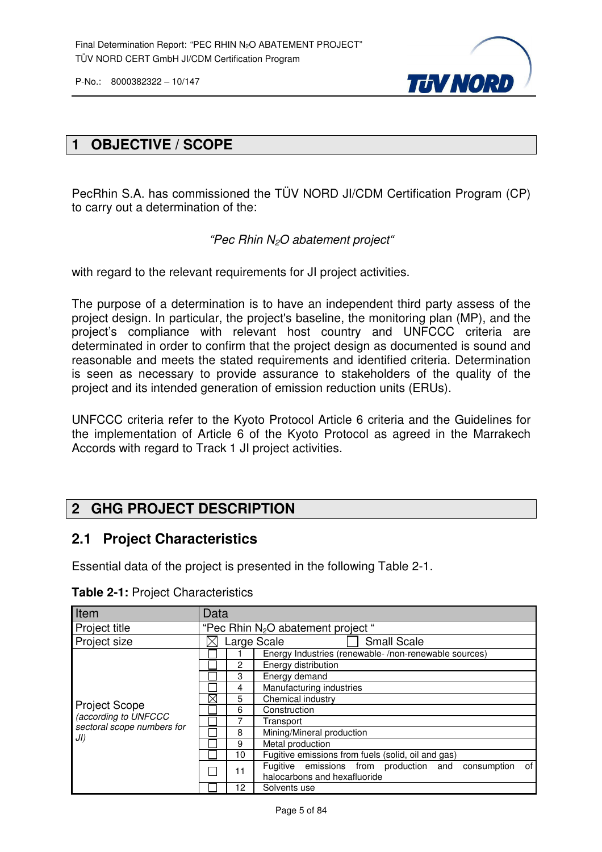

#### **1 OBJECTIVE / SCOPE**

PecRhin S.A. has commissioned the TÜV NORD JI/CDM Certification Program (CP) to carry out a determination of the:

"Pec Rhin N2O abatement project"

with regard to the relevant requirements for JI project activities.

The purpose of a determination is to have an independent third party assess of the project design. In particular, the project's baseline, the monitoring plan (MP), and the project's compliance with relevant host country and UNFCCC criteria are determinated in order to confirm that the project design as documented is sound and reasonable and meets the stated requirements and identified criteria. Determination is seen as necessary to provide assurance to stakeholders of the quality of the project and its intended generation of emission reduction units (ERUs).

UNFCCC criteria refer to the Kyoto Protocol Article 6 criteria and the Guidelines for the implementation of Article 6 of the Kyoto Protocol as agreed in the Marrakech Accords with regard to Track 1 JI project activities.

#### **2 GHG PROJECT DESCRIPTION**

#### **2.1 Project Characteristics**

Essential data of the project is presented in the following Table 2-1.

| Item                                               | Data |                                     |                                                                                             |  |  |  |  |
|----------------------------------------------------|------|-------------------------------------|---------------------------------------------------------------------------------------------|--|--|--|--|
| Project title                                      |      | "Pec Rhin $N_2O$ abatement project" |                                                                                             |  |  |  |  |
| Project size                                       |      | <b>Small Scale</b><br>Large Scale   |                                                                                             |  |  |  |  |
|                                                    |      |                                     | Energy Industries (renewable-/non-renewable sources)                                        |  |  |  |  |
|                                                    |      | 2                                   | Energy distribution                                                                         |  |  |  |  |
|                                                    |      | 3                                   | Energy demand                                                                               |  |  |  |  |
|                                                    |      | 4                                   | Manufacturing industries                                                                    |  |  |  |  |
|                                                    | ⊠    | 5                                   | Chemical industry                                                                           |  |  |  |  |
| <b>Project Scope</b>                               |      | 6                                   | Construction                                                                                |  |  |  |  |
| (according to UNFCCC<br>sectoral scope numbers for |      |                                     | Transport                                                                                   |  |  |  |  |
| JI)                                                |      | 8                                   | Mining/Mineral production                                                                   |  |  |  |  |
|                                                    |      | 9                                   | Metal production                                                                            |  |  |  |  |
|                                                    |      | 10                                  | Fugitive emissions from fuels (solid, oil and gas)                                          |  |  |  |  |
|                                                    |      | 11                                  | Fugitive emissions from production and<br>of<br>consumption<br>halocarbons and hexafluoride |  |  |  |  |
|                                                    |      | 12                                  | Solvents use                                                                                |  |  |  |  |

**Table 2-1:** Project Characteristics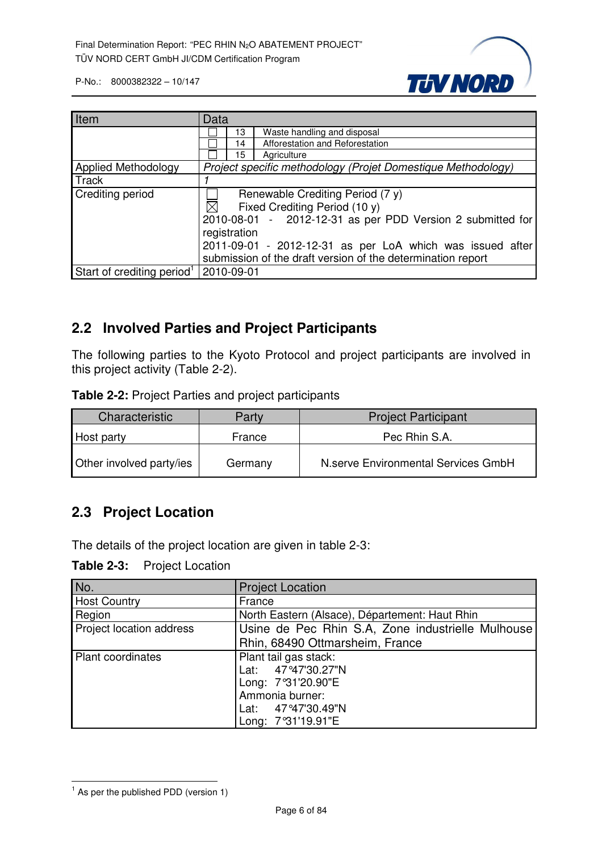

| Item                                                | Data                                                         |  |  |  |  |  |
|-----------------------------------------------------|--------------------------------------------------------------|--|--|--|--|--|
|                                                     | Waste handling and disposal<br>13                            |  |  |  |  |  |
|                                                     | Afforestation and Reforestation<br>14                        |  |  |  |  |  |
|                                                     | Agriculture<br>15                                            |  |  |  |  |  |
| Applied Methodology                                 | Project specific methodology (Projet Domestique Methodology) |  |  |  |  |  |
| Track                                               |                                                              |  |  |  |  |  |
| Crediting period                                    | Renewable Crediting Period (7 y)                             |  |  |  |  |  |
|                                                     | $\boxtimes$<br>Fixed Crediting Period (10 y)                 |  |  |  |  |  |
|                                                     | 2010-08-01 - 2012-12-31 as per PDD Version 2 submitted for   |  |  |  |  |  |
|                                                     | registration                                                 |  |  |  |  |  |
|                                                     | 2011-09-01 - 2012-12-31 as per LoA which was issued after    |  |  |  |  |  |
|                                                     | submission of the draft version of the determination report  |  |  |  |  |  |
| Start of crediting period <sup>1</sup>   2010-09-01 |                                                              |  |  |  |  |  |

#### **2.2 Involved Parties and Project Participants**

The following parties to the Kyoto Protocol and project participants are involved in this project activity (Table 2-2).

**Table 2-2:** Project Parties and project participants

| Characteristic<br>Party  |         | <b>Project Participant</b>          |  |  |  |
|--------------------------|---------|-------------------------------------|--|--|--|
| France<br>Host party     |         | Pec Rhin S.A.                       |  |  |  |
| Other involved party/ies | Germany | N.serve Environmental Services GmbH |  |  |  |

#### **2.3 Project Location**

The details of the project location are given in table 2-3:

**Table 2-3:** Project Location

| No.                      | <b>Project Location</b>                           |  |  |  |  |
|--------------------------|---------------------------------------------------|--|--|--|--|
| <b>Host Country</b>      | France                                            |  |  |  |  |
| Region                   | North Eastern (Alsace), Département: Haut Rhin    |  |  |  |  |
| Project location address | Usine de Pec Rhin S.A, Zone industrielle Mulhouse |  |  |  |  |
|                          | Rhin, 68490 Ottmarsheim, France                   |  |  |  |  |
| <b>Plant coordinates</b> | Plant tail gas stack:                             |  |  |  |  |
|                          | Lat: 47°47'30.27"N                                |  |  |  |  |
|                          | Long: 7°31'20.90"E                                |  |  |  |  |
|                          | Ammonia burner:                                   |  |  |  |  |
|                          | Lat: 47°47'30.49"N                                |  |  |  |  |
|                          | Long: 7°31'19.91"E                                |  |  |  |  |

l  $<sup>1</sup>$  As per the published PDD (version 1)</sup>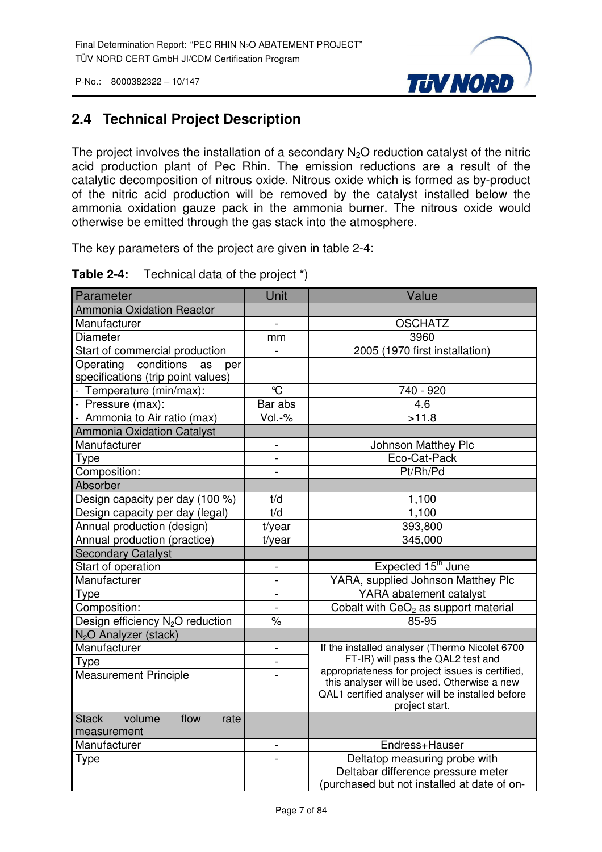

#### **2.4 Technical Project Description**

The project involves the installation of a secondary  $N<sub>2</sub>O$  reduction catalyst of the nitric acid production plant of Pec Rhin. The emission reductions are a result of the catalytic decomposition of nitrous oxide. Nitrous oxide which is formed as by-product of the nitric acid production will be removed by the catalyst installed below the ammonia oxidation gauze pack in the ammonia burner. The nitrous oxide would otherwise be emitted through the gas stack into the atmosphere.

The key parameters of the project are given in table 2-4:

| Parameter                                                                  | Unit                     | Value                                                                                                             |
|----------------------------------------------------------------------------|--------------------------|-------------------------------------------------------------------------------------------------------------------|
| <b>Ammonia Oxidation Reactor</b>                                           |                          |                                                                                                                   |
| Manufacturer                                                               | $\overline{a}$           | <b>OSCHATZ</b>                                                                                                    |
| Diameter                                                                   | mm                       | 3960                                                                                                              |
| Start of commercial production                                             |                          | 2005 (1970 first installation)                                                                                    |
| conditions<br>Operating<br>as<br>per<br>specifications (trip point values) |                          |                                                                                                                   |
| - Temperature (min/max):                                                   | $\mathrm{C}$             | 740 - 920                                                                                                         |
| - Pressure (max):                                                          | Bar abs                  | 4.6                                                                                                               |
| - Ammonia to Air ratio (max)                                               | $Vol.-%$                 | >11.8                                                                                                             |
| <b>Ammonia Oxidation Catalyst</b>                                          |                          |                                                                                                                   |
| Manufacturer                                                               | $\frac{1}{2}$            | Johnson Matthey Plc                                                                                               |
| Type                                                                       |                          | Eco-Cat-Pack                                                                                                      |
| Composition:                                                               | $\overline{a}$           | Pt/Rh/Pd                                                                                                          |
| <b>Absorber</b>                                                            |                          |                                                                                                                   |
| Design capacity per day (100 %)                                            | t/d                      | 1,100                                                                                                             |
| Design capacity per day (legal)                                            | t/d                      | 1,100                                                                                                             |
| Annual production (design)                                                 | t/year                   | 393,800                                                                                                           |
| Annual production (practice)                                               | t/year                   | 345,000                                                                                                           |
| <b>Secondary Catalyst</b>                                                  |                          |                                                                                                                   |
| Start of operation                                                         | $\overline{\phantom{a}}$ | Expected 15 <sup>th</sup> June                                                                                    |
| Manufacturer                                                               | $\overline{a}$           | YARA, supplied Johnson Matthey Plc                                                                                |
| Type                                                                       | $\overline{\phantom{0}}$ | YARA abatement catalyst                                                                                           |
| Composition:                                                               | $\overline{a}$           | Cobalt with CeO <sub>2</sub> as support material                                                                  |
| Design efficiency N <sub>2</sub> O reduction                               | $\%$                     | 85-95                                                                                                             |
| N <sub>2</sub> O Analyzer (stack)                                          |                          |                                                                                                                   |
| Manufacturer                                                               | $\overline{\phantom{0}}$ | If the installed analyser (Thermo Nicolet 6700                                                                    |
| Type                                                                       | $\overline{a}$           | FT-IR) will pass the QAL2 test and<br>appropriateness for project issues is certified,                            |
| <b>Measurement Principle</b>                                               |                          | this analyser will be used. Otherwise a new<br>QAL1 certified analyser will be installed before<br>project start. |
| volume<br>flow<br><b>Stack</b><br>rate                                     |                          |                                                                                                                   |
| measurement                                                                |                          |                                                                                                                   |
| Manufacturer                                                               | $\overline{\phantom{0}}$ | Endress+Hauser                                                                                                    |
| <b>Type</b>                                                                | $\overline{a}$           | Deltatop measuring probe with                                                                                     |
|                                                                            |                          | Deltabar difference pressure meter                                                                                |
|                                                                            |                          | (purchased but not installed at date of on-                                                                       |

#### **Table 2-4:** Technical data of the project \*)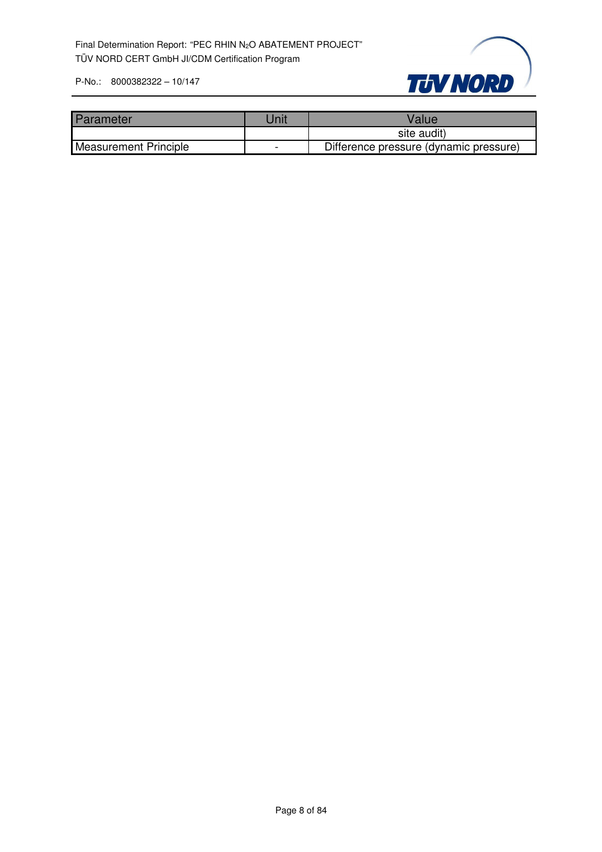

| Parameter                    | Jnit | Value                                  |
|------------------------------|------|----------------------------------------|
|                              |      | site audit)                            |
| <b>Measurement Principle</b> |      | Difference pressure (dynamic pressure) |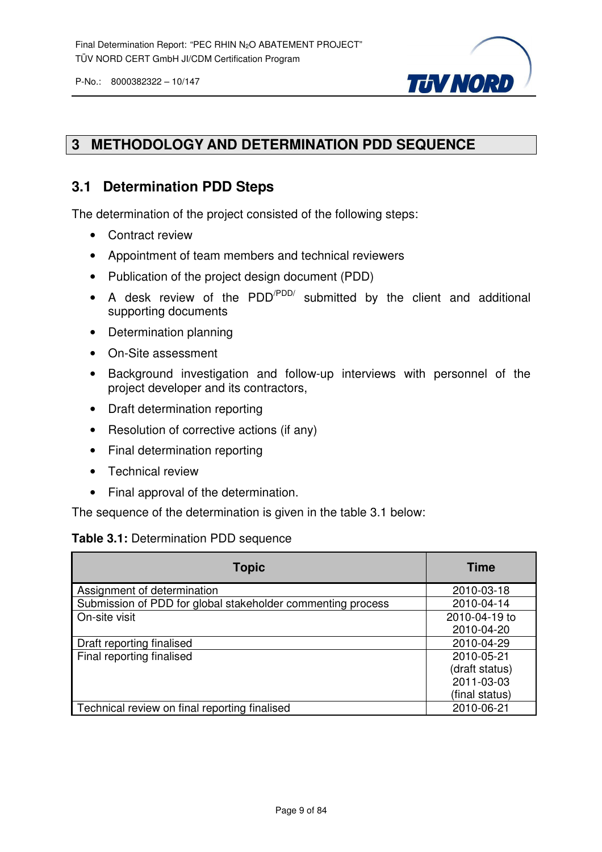

#### **3 METHODOLOGY AND DETERMINATION PDD SEQUENCE**

#### **3.1 Determination PDD Steps**

The determination of the project consisted of the following steps:

- Contract review
- Appointment of team members and technical reviewers
- Publication of the project design document (PDD)
- A desk review of the PDD<sup>/PDD/</sup> submitted by the client and additional supporting documents
- Determination planning
- On-Site assessment
- Background investigation and follow-up interviews with personnel of the project developer and its contractors,
- Draft determination reporting
- Resolution of corrective actions (if any)
- Final determination reporting
- Technical review
- Final approval of the determination.

The sequence of the determination is given in the table 3.1 below:

#### **Table 3.1:** Determination PDD sequence

| <b>Topic</b>                                                | <b>Time</b>    |
|-------------------------------------------------------------|----------------|
| Assignment of determination                                 | 2010-03-18     |
| Submission of PDD for global stakeholder commenting process | 2010-04-14     |
| On-site visit                                               | 2010-04-19 to  |
|                                                             | 2010-04-20     |
| Draft reporting finalised                                   | 2010-04-29     |
| Final reporting finalised                                   | 2010-05-21     |
|                                                             | (draft status) |
|                                                             | 2011-03-03     |
|                                                             | (final status) |
| Technical review on final reporting finalised               | 2010-06-21     |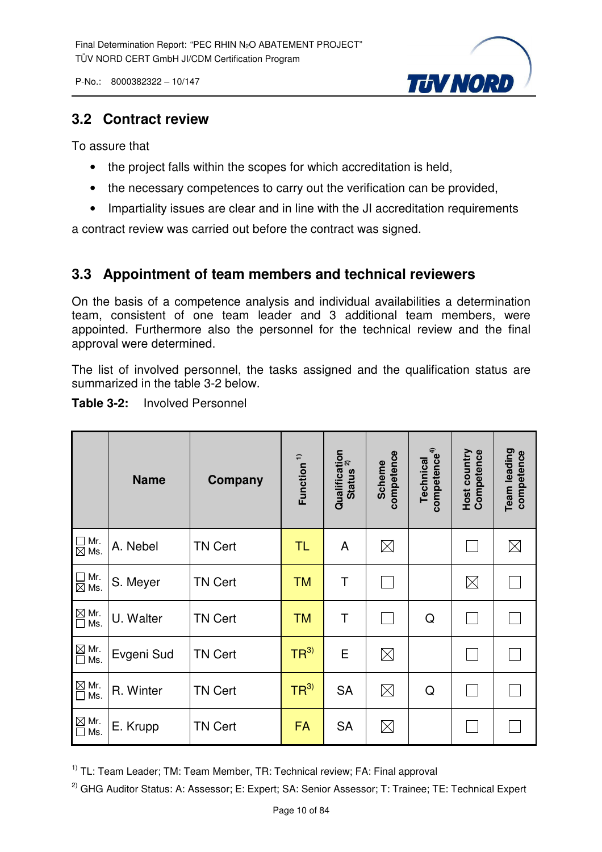**TUV NORD** 

P-No.: 8000382322 – 10/147

#### **3.2 Contract review**

To assure that

- the project falls within the scopes for which accreditation is held,
- the necessary competences to carry out the verification can be provided,
- Impartiality issues are clear and in line with the JI accreditation requirements

a contract review was carried out before the contract was signed.

#### **3.3 Appointment of team members and technical reviewers**

On the basis of a competence analysis and individual availabilities a determination team, consistent of one team leader and 3 additional team members, were appointed. Furthermore also the personnel for the technical review and the final approval were determined.

The list of involved personnel, the tasks assigned and the qualification status are summarized in the table 3-2 below.

| <b>Table 3-2:</b> | <b>Involved Personnel</b> |
|-------------------|---------------------------|
|-------------------|---------------------------|

|                                                       | <b>Name</b> | Company        | Function <sup>1)</sup> | Qualification<br>status <sup>2)</sup><br><b>Status</b> | competence<br>Scheme | competence <sup>4)</sup><br><b>Technical</b> | Host country<br>Competence | Team leading<br>competence |
|-------------------------------------------------------|-------------|----------------|------------------------|--------------------------------------------------------|----------------------|----------------------------------------------|----------------------------|----------------------------|
| $\Box$ Mr.<br>$\boxtimes$ Ms.                         | A. Nebel    | <b>TN Cert</b> | TL                     | A                                                      | $\boxtimes$          |                                              |                            | $\boxtimes$                |
| $\Box$ Mr.<br>$\boxtimes$ Ms.                         | S. Meyer    | <b>TN Cert</b> | <b>TM</b>              | Τ                                                      |                      |                                              | $\boxtimes$                |                            |
| Mr.<br>Ms.                                            | U. Walter   | <b>TN Cert</b> | <b>TM</b>              | Τ                                                      |                      | Q                                            |                            |                            |
| $\mathbb{\underline{\boxtimes}}$ Mr.<br>Ms.<br>$\Box$ | Evgeni Sud  | <b>TN Cert</b> | TR <sup>3</sup>        | E                                                      | $\boxtimes$          |                                              |                            |                            |
| $\underline{\boxtimes}$ Mr.<br>Ms.<br>$\Box$          | R. Winter   | <b>TN Cert</b> | TR <sup>3</sup>        | <b>SA</b>                                              | $\boxtimes$          | Q                                            |                            |                            |
| $\boxtimes$ Mr.<br>Ms.<br>$\Box$                      | E. Krupp    | <b>TN Cert</b> | <b>FA</b>              | <b>SA</b>                                              | $\boxtimes$          |                                              |                            |                            |

<sup>1)</sup> TL: Team Leader; TM: Team Member, TR: Technical review; FA: Final approval

<sup>2)</sup> GHG Auditor Status: A: Assessor; E: Expert; SA: Senior Assessor; T: Trainee; TE: Technical Expert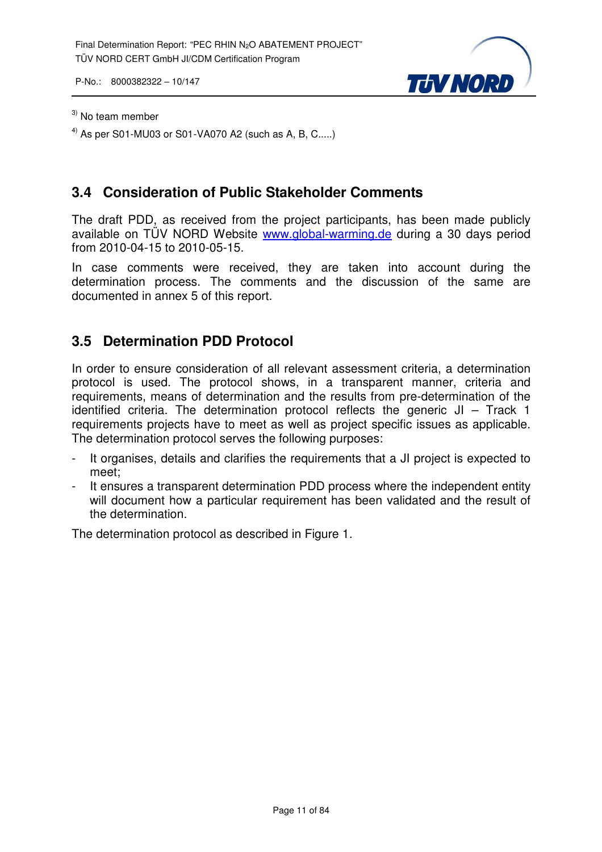

#### $3)$  No team member

<sup>4)</sup> As per S01-MU03 or S01-VA070 A2 (such as A, B, C.....)

#### **3.4 Consideration of Public Stakeholder Comments**

The draft PDD, as received from the project participants, has been made publicly available on TÜV NORD Website www.global-warming.de during a 30 days period from 2010-04-15 to 2010-05-15.

In case comments were received, they are taken into account during the determination process. The comments and the discussion of the same are documented in annex 5 of this report.

#### **3.5 Determination PDD Protocol**

In order to ensure consideration of all relevant assessment criteria, a determination protocol is used. The protocol shows, in a transparent manner, criteria and requirements, means of determination and the results from pre-determination of the identified criteria. The determination protocol reflects the generic JI – Track 1 requirements projects have to meet as well as project specific issues as applicable. The determination protocol serves the following purposes:

- It organises, details and clarifies the requirements that a JI project is expected to meet;
- It ensures a transparent determination PDD process where the independent entity will document how a particular requirement has been validated and the result of the determination.

The determination protocol as described in Figure 1.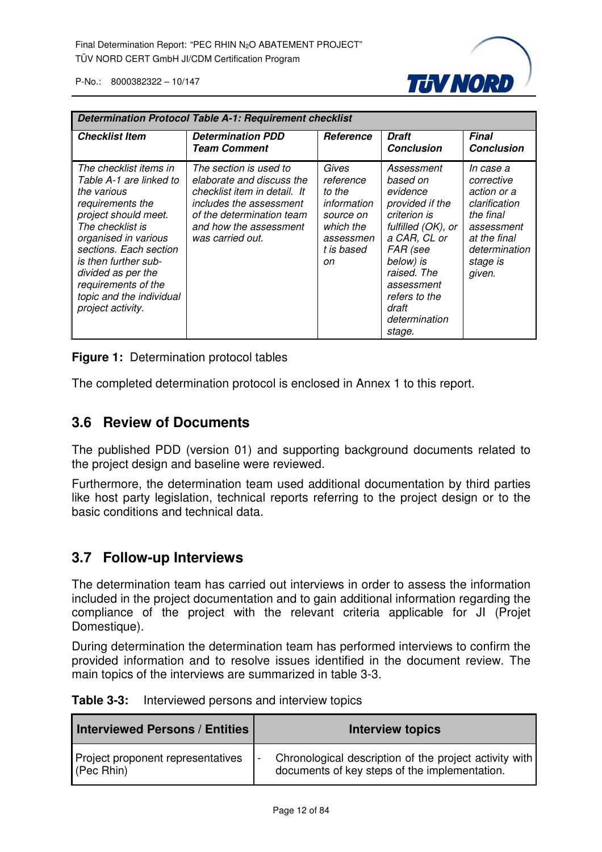

| <b>Determination Protocol Table A-1: Requirement checklist</b>                                                                                                                                                                                                                                           |                                                                                                                                                                                           |                                                                                                        |                                                                                                                                                                                                                        |                                                                                                                                           |
|----------------------------------------------------------------------------------------------------------------------------------------------------------------------------------------------------------------------------------------------------------------------------------------------------------|-------------------------------------------------------------------------------------------------------------------------------------------------------------------------------------------|--------------------------------------------------------------------------------------------------------|------------------------------------------------------------------------------------------------------------------------------------------------------------------------------------------------------------------------|-------------------------------------------------------------------------------------------------------------------------------------------|
| <b>Checklist Item</b>                                                                                                                                                                                                                                                                                    | <b>Determination PDD</b><br><b>Team Comment</b>                                                                                                                                           | <b>Reference</b>                                                                                       | Draft<br><b>Conclusion</b>                                                                                                                                                                                             | <b>Final</b><br><b>Conclusion</b>                                                                                                         |
| The checklist items in<br>Table A-1 are linked to<br>the various<br>requirements the<br>project should meet.<br>The checklist is<br>organised in various<br>sections. Each section<br>is then further sub-<br>divided as per the<br>requirements of the<br>topic and the individual<br>project activity. | The section is used to<br>elaborate and discuss the<br>checklist item in detail. It<br>includes the assessment<br>of the determination team<br>and how the assessment<br>was carried out. | Gives<br>reference<br>to the<br>information<br>source on<br>which the<br>assessmen<br>t is based<br>on | Assessment<br>based on<br>evidence<br>provided if the<br>criterion is<br>fulfilled (OK), or<br>a CAR, CL or<br>FAR (see<br>below) is<br>raised. The<br>assessment<br>refers to the<br>draft<br>determination<br>stage. | In case a<br>corrective<br>action or a<br>clarification<br>the final<br>assessment<br>at the final<br>determination<br>stage is<br>given. |

**Figure 1:** Determination protocol tables

The completed determination protocol is enclosed in Annex 1 to this report.

#### **3.6 Review of Documents**

The published PDD (version 01) and supporting background documents related to the project design and baseline were reviewed.

Furthermore, the determination team used additional documentation by third parties like host party legislation, technical reports referring to the project design or to the basic conditions and technical data.

#### **3.7 Follow-up Interviews**

The determination team has carried out interviews in order to assess the information included in the project documentation and to gain additional information regarding the compliance of the project with the relevant criteria applicable for JI (Projet Domestique).

During determination the determination team has performed interviews to confirm the provided information and to resolve issues identified in the document review. The main topics of the interviews are summarized in table 3-3.

| <b>Table 3-3:</b> | Interviewed persons and interview topics |  |
|-------------------|------------------------------------------|--|
|-------------------|------------------------------------------|--|

| <b>Interviewed Persons / Entities</b> | <b>Interview topics</b>                                |
|---------------------------------------|--------------------------------------------------------|
| Project proponent representatives     | Chronological description of the project activity with |
| $($ Pec Rhin $)$                      | documents of key steps of the implementation.          |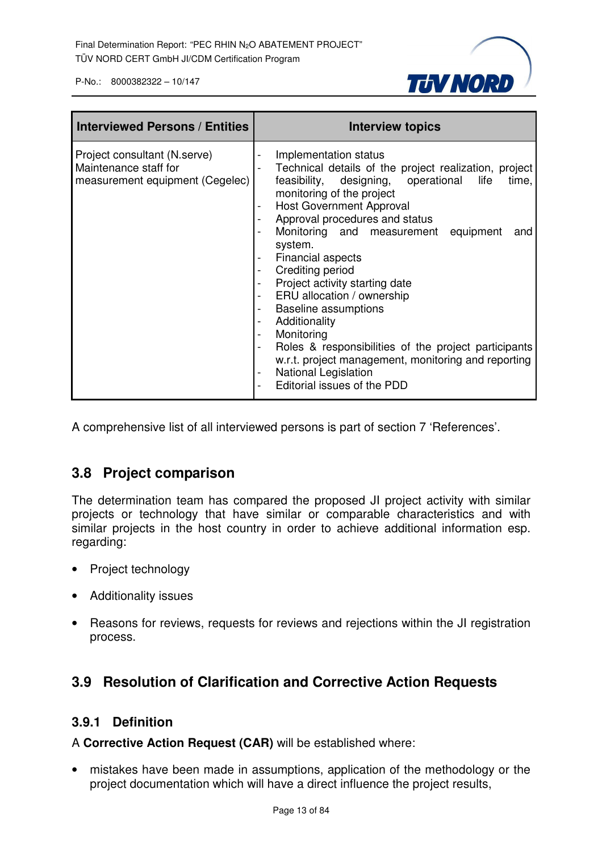

| <b>Interviewed Persons / Entities</b>                                                    | <b>Interview topics</b>                                                                                                                                                                                                                                                                                                                                                                                                                                                                                                                                                                                                                                                                   |
|------------------------------------------------------------------------------------------|-------------------------------------------------------------------------------------------------------------------------------------------------------------------------------------------------------------------------------------------------------------------------------------------------------------------------------------------------------------------------------------------------------------------------------------------------------------------------------------------------------------------------------------------------------------------------------------------------------------------------------------------------------------------------------------------|
| Project consultant (N.serve)<br>Maintenance staff for<br>measurement equipment (Cegelec) | Implementation status<br>Technical details of the project realization, project<br>feasibility, designing, operational<br>life<br>time,<br>monitoring of the project<br><b>Host Government Approval</b><br>Approval procedures and status<br>Monitoring and measurement equipment<br>and<br>system.<br><b>Financial aspects</b><br>Crediting period<br>Project activity starting date<br>ERU allocation / ownership<br><b>Baseline assumptions</b><br>Additionality<br>Monitoring<br>$\overline{\phantom{0}}$<br>Roles & responsibilities of the project participants<br>w.r.t. project management, monitoring and reporting<br><b>National Legislation</b><br>Editorial issues of the PDD |

A comprehensive list of all interviewed persons is part of section 7 'References'.

#### **3.8 Project comparison**

The determination team has compared the proposed JI project activity with similar projects or technology that have similar or comparable characteristics and with similar projects in the host country in order to achieve additional information esp. regarding:

- Project technology
- Additionality issues
- Reasons for reviews, requests for reviews and rejections within the JI registration process.

#### **3.9 Resolution of Clarification and Corrective Action Requests**

#### **3.9.1 Definition**

A **Corrective Action Request (CAR)** will be established where:

• mistakes have been made in assumptions, application of the methodology or the project documentation which will have a direct influence the project results,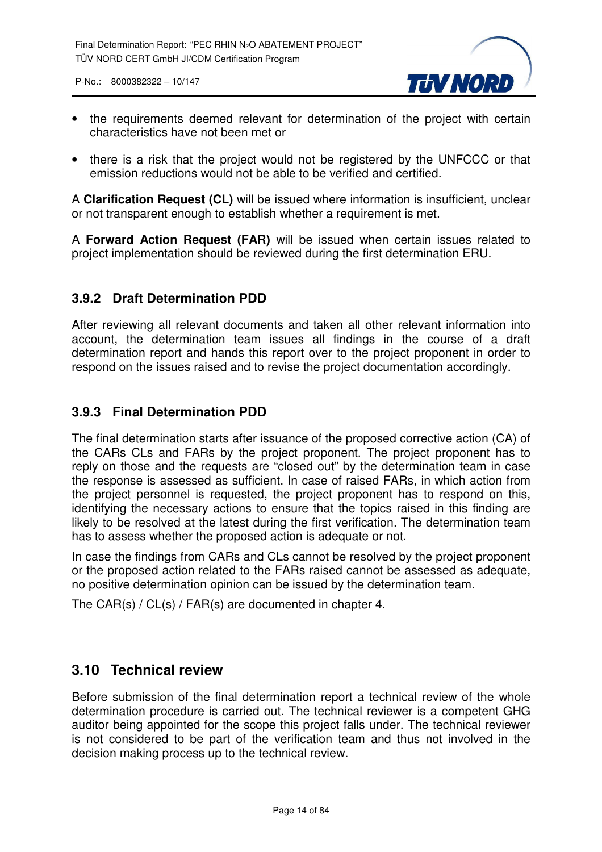

- the requirements deemed relevant for determination of the project with certain characteristics have not been met or
- there is a risk that the project would not be registered by the UNFCCC or that emission reductions would not be able to be verified and certified.

A **Clarification Request (CL)** will be issued where information is insufficient, unclear or not transparent enough to establish whether a requirement is met.

A **Forward Action Request (FAR)** will be issued when certain issues related to project implementation should be reviewed during the first determination ERU.

#### **3.9.2 Draft Determination PDD**

After reviewing all relevant documents and taken all other relevant information into account, the determination team issues all findings in the course of a draft determination report and hands this report over to the project proponent in order to respond on the issues raised and to revise the project documentation accordingly.

#### **3.9.3 Final Determination PDD**

The final determination starts after issuance of the proposed corrective action (CA) of the CARs CLs and FARs by the project proponent. The project proponent has to reply on those and the requests are "closed out" by the determination team in case the response is assessed as sufficient. In case of raised FARs, in which action from the project personnel is requested, the project proponent has to respond on this, identifying the necessary actions to ensure that the topics raised in this finding are likely to be resolved at the latest during the first verification. The determination team has to assess whether the proposed action is adequate or not.

In case the findings from CARs and CLs cannot be resolved by the project proponent or the proposed action related to the FARs raised cannot be assessed as adequate, no positive determination opinion can be issued by the determination team.

The CAR(s) / CL(s) / FAR(s) are documented in chapter 4.

#### **3.10 Technical review**

Before submission of the final determination report a technical review of the whole determination procedure is carried out. The technical reviewer is a competent GHG auditor being appointed for the scope this project falls under. The technical reviewer is not considered to be part of the verification team and thus not involved in the decision making process up to the technical review.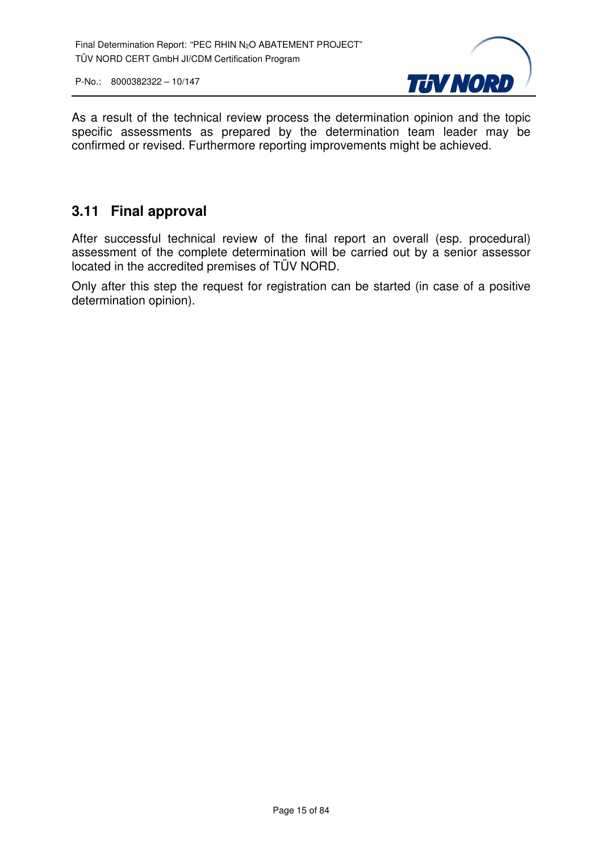

As a result of the technical review process the determination opinion and the topic specific assessments as prepared by the determination team leader may be confirmed or revised. Furthermore reporting improvements might be achieved.

#### **3.11 Final approval**

After successful technical review of the final report an overall (esp. procedural) assessment of the complete determination will be carried out by a senior assessor located in the accredited premises of TÜV NORD.

Only after this step the request for registration can be started (in case of a positive determination opinion).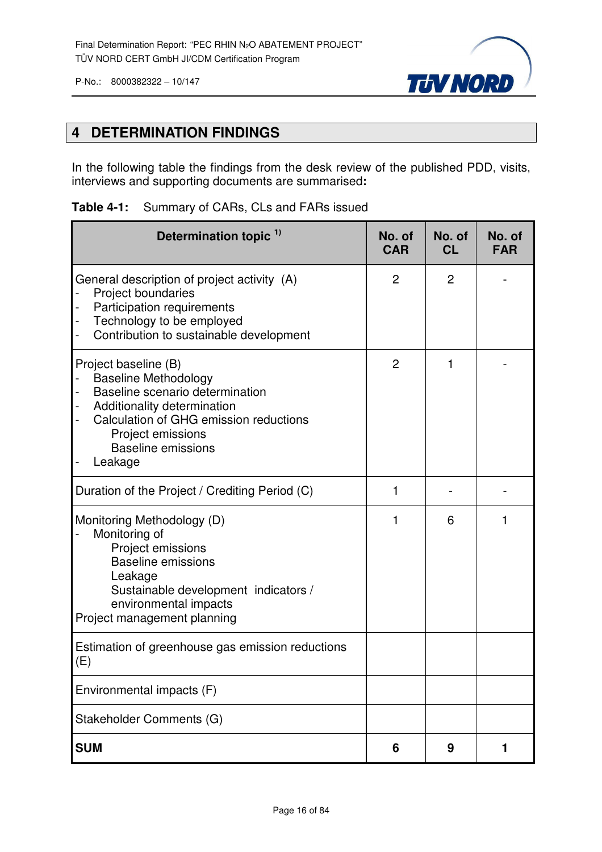



#### **4 DETERMINATION FINDINGS**

In the following table the findings from the desk review of the published PDD, visits, interviews and supporting documents are summarised**:**

|  |  |  | <b>Table 4-1:</b> Summary of CARs, CLs and FARs issued |
|--|--|--|--------------------------------------------------------|
|--|--|--|--------------------------------------------------------|

| Determination topic <sup>1)</sup>                                                                                                                                                                                                 | No. of<br><b>CAR</b> | No. of<br><b>CL</b> | No. of<br><b>FAR</b> |
|-----------------------------------------------------------------------------------------------------------------------------------------------------------------------------------------------------------------------------------|----------------------|---------------------|----------------------|
| General description of project activity (A)<br>Project boundaries<br>Participation requirements<br>Technology to be employed<br>-<br>Contribution to sustainable development                                                      | $\overline{2}$       | $\overline{2}$      |                      |
| Project baseline (B)<br><b>Baseline Methodology</b><br>Baseline scenario determination<br>Additionality determination<br>-<br>Calculation of GHG emission reductions<br>Project emissions<br><b>Baseline emissions</b><br>Leakage | $\overline{2}$       | 1                   |                      |
| Duration of the Project / Crediting Period (C)                                                                                                                                                                                    | 1                    |                     |                      |
| Monitoring Methodology (D)<br>Monitoring of<br>Project emissions<br><b>Baseline emissions</b><br>Leakage<br>Sustainable development indicators /<br>environmental impacts<br>Project management planning                          | 1                    | 6                   |                      |
| Estimation of greenhouse gas emission reductions<br>(E)                                                                                                                                                                           |                      |                     |                      |
| Environmental impacts (F)                                                                                                                                                                                                         |                      |                     |                      |
| Stakeholder Comments (G)                                                                                                                                                                                                          |                      |                     |                      |
| <b>SUM</b>                                                                                                                                                                                                                        | 6                    | 9                   | 1                    |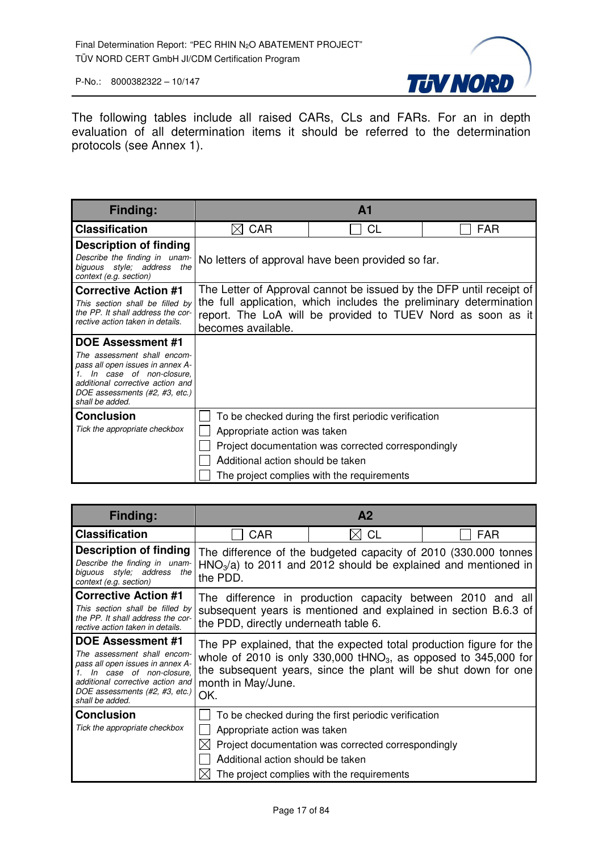

The following tables include all raised CARs, CLs and FARs. For an in depth evaluation of all determination items it should be referred to the determination protocols (see Annex 1).

| <b>Finding:</b>                                                                                                                                                                     |                                   | $\mathbf{A}$ 1                                                      |            |
|-------------------------------------------------------------------------------------------------------------------------------------------------------------------------------------|-----------------------------------|---------------------------------------------------------------------|------------|
| <b>Classification</b>                                                                                                                                                               | <b>CAR</b>                        | <b>CL</b>                                                           | <b>FAR</b> |
| <b>Description of finding</b>                                                                                                                                                       |                                   |                                                                     |            |
| Describe the finding in unam-<br>biguous style; address<br>the<br>context (e.g. section)                                                                                            |                                   | No letters of approval have been provided so far.                   |            |
| <b>Corrective Action #1</b>                                                                                                                                                         |                                   | The Letter of Approval cannot be issued by the DFP until receipt of |            |
| This section shall be filled by<br>the PP. It shall address the cor-                                                                                                                |                                   | the full application, which includes the preliminary determination  |            |
| rective action taken in details.                                                                                                                                                    | becomes available.                | report. The LoA will be provided to TUEV Nord as soon as it         |            |
| DOE Assessment #1                                                                                                                                                                   |                                   |                                                                     |            |
| The assessment shall encom-<br>pass all open issues in annex A-<br>In case of non-closure.<br>additional corrective action and<br>DOE assessments (#2, #3, etc.)<br>shall be added. |                                   |                                                                     |            |
| <b>Conclusion</b>                                                                                                                                                                   |                                   | To be checked during the first periodic verification                |            |
| Tick the appropriate checkbox                                                                                                                                                       | Appropriate action was taken      |                                                                     |            |
|                                                                                                                                                                                     |                                   | Project documentation was corrected correspondingly                 |            |
|                                                                                                                                                                                     | Additional action should be taken |                                                                     |            |
|                                                                                                                                                                                     |                                   | The project complies with the requirements                          |            |

| <b>Finding:</b>                                                                                                                                                                                                 |                                                                                  | A <sub>2</sub>                                                                                                                                            |                                                                                                                                                                                                             |
|-----------------------------------------------------------------------------------------------------------------------------------------------------------------------------------------------------------------|----------------------------------------------------------------------------------|-----------------------------------------------------------------------------------------------------------------------------------------------------------|-------------------------------------------------------------------------------------------------------------------------------------------------------------------------------------------------------------|
| <b>Classification</b>                                                                                                                                                                                           | <b>CAR</b>                                                                       | <b>CL</b>                                                                                                                                                 | <b>FAR</b>                                                                                                                                                                                                  |
| <b>Description of finding</b><br>Describe the finding in unam-<br>biguous style; address the<br>context (e.g. section)                                                                                          | the PDD.                                                                         | $HNO3/a$ ) to 2011 and 2012 should be explained and mentioned in                                                                                          | The difference of the budgeted capacity of 2010 (330.000 tonnes                                                                                                                                             |
| <b>Corrective Action #1</b><br>This section shall be filled by<br>the PP. It shall address the cor-<br>rective action taken in details.                                                                         | the PDD, directly underneath table 6.                                            |                                                                                                                                                           | The difference in production capacity between 2010 and all<br>subsequent years is mentioned and explained in section B.6.3 of                                                                               |
| <b>DOE Assessment #1</b><br>The assessment shall encom-<br>pass all open issues in annex A-<br>In case of non-closure.<br>additional corrective action and<br>DOE assessments (#2, #3, etc.)<br>shall be added. | month in May/June.<br>OK.                                                        |                                                                                                                                                           | The PP explained, that the expected total production figure for the<br>whole of 2010 is only 330,000 $tHNO3$ , as opposed to 345,000 for<br>the subsequent years, since the plant will be shut down for one |
| <b>Conclusion</b><br>Tick the appropriate checkbox                                                                                                                                                              | Appropriate action was taken<br>$\boxtimes$<br>Additional action should be taken | To be checked during the first periodic verification<br>Project documentation was corrected correspondingly<br>The project complies with the requirements |                                                                                                                                                                                                             |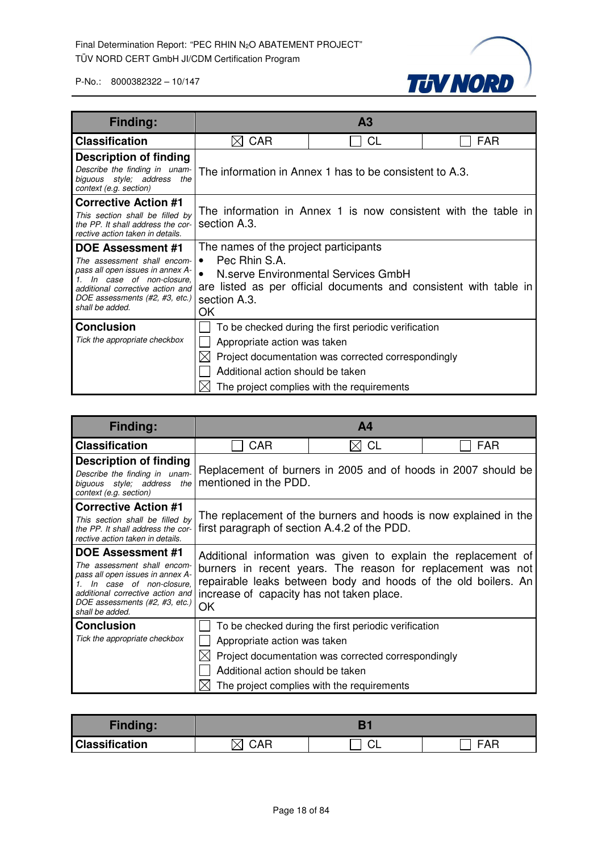

| Finding:                                                                                                                                                                                                              |                                                                                           | A <sub>3</sub>                                                                                                                                            |                                                                   |
|-----------------------------------------------------------------------------------------------------------------------------------------------------------------------------------------------------------------------|-------------------------------------------------------------------------------------------|-----------------------------------------------------------------------------------------------------------------------------------------------------------|-------------------------------------------------------------------|
| <b>Classification</b>                                                                                                                                                                                                 | <b>CAR</b>                                                                                | <b>CL</b>                                                                                                                                                 | FAR                                                               |
| <b>Description of finding</b><br>Describe the finding in unam-<br>biguous style; address the<br>context (e.g. section)                                                                                                |                                                                                           | The information in Annex 1 has to be consistent to A.3.                                                                                                   |                                                                   |
| <b>Corrective Action #1</b><br>This section shall be filled by<br>the PP. It shall address the cor-<br>rective action taken in details.                                                                               | section A.3.                                                                              |                                                                                                                                                           | The information in Annex 1 is now consistent with the table in    |
| <b>DOE Assessment #1</b><br>The assessment shall encom-<br>pass all open issues in annex A-<br>In case of non-closure,<br>1.<br>additional corrective action and<br>DOE assessments (#2, #3, etc.)<br>shall be added. | The names of the project participants<br>Pec Rhin S.A.<br>$\bullet$<br>section A.3.<br>ОK | N.serve Environmental Services GmbH                                                                                                                       | are listed as per official documents and consistent with table in |
| <b>Conclusion</b><br>Tick the appropriate checkbox                                                                                                                                                                    | Appropriate action was taken<br>Additional action should be taken                         | To be checked during the first periodic verification<br>Project documentation was corrected correspondingly<br>The project complies with the requirements |                                                                   |

| Finding:                                                                                                                                                                                                        |                                                                   | Α4                                                                                                                                                        |                                                                                                                                                                                                 |
|-----------------------------------------------------------------------------------------------------------------------------------------------------------------------------------------------------------------|-------------------------------------------------------------------|-----------------------------------------------------------------------------------------------------------------------------------------------------------|-------------------------------------------------------------------------------------------------------------------------------------------------------------------------------------------------|
| <b>Classification</b>                                                                                                                                                                                           | <b>CAR</b>                                                        | <b>CL</b>                                                                                                                                                 | FAR                                                                                                                                                                                             |
| <b>Description of finding</b><br>Describe the finding in unam-<br>biguous style; address the<br>context (e.g. section)                                                                                          | mentioned in the PDD.                                             | Replacement of burners in 2005 and of hoods in 2007 should be                                                                                             |                                                                                                                                                                                                 |
| <b>Corrective Action #1</b><br>This section shall be filled by<br>the PP. It shall address the cor-<br>rective action taken in details.                                                                         | first paragraph of section A.4.2 of the PDD.                      | The replacement of the burners and hoods is now explained in the                                                                                          |                                                                                                                                                                                                 |
| <b>DOE Assessment #1</b><br>The assessment shall encom-<br>pass all open issues in annex A-<br>In case of non-closure.<br>additional corrective action and<br>DOE assessments (#2, #3, etc.)<br>shall be added. | increase of capacity has not taken place.<br>OK                   |                                                                                                                                                           | Additional information was given to explain the replacement of<br>burners in recent years. The reason for replacement was not<br>repairable leaks between body and hoods of the old boilers. An |
| <b>Conclusion</b><br>Tick the appropriate checkbox                                                                                                                                                              | Appropriate action was taken<br>Additional action should be taken | To be checked during the first periodic verification<br>Project documentation was corrected correspondingly<br>The project complies with the requirements |                                                                                                                                                                                                 |

| <b>Finding:</b>       |          |   |
|-----------------------|----------|---|
| <b>Classification</b> | ∩ΔΓ<br>∧ | - |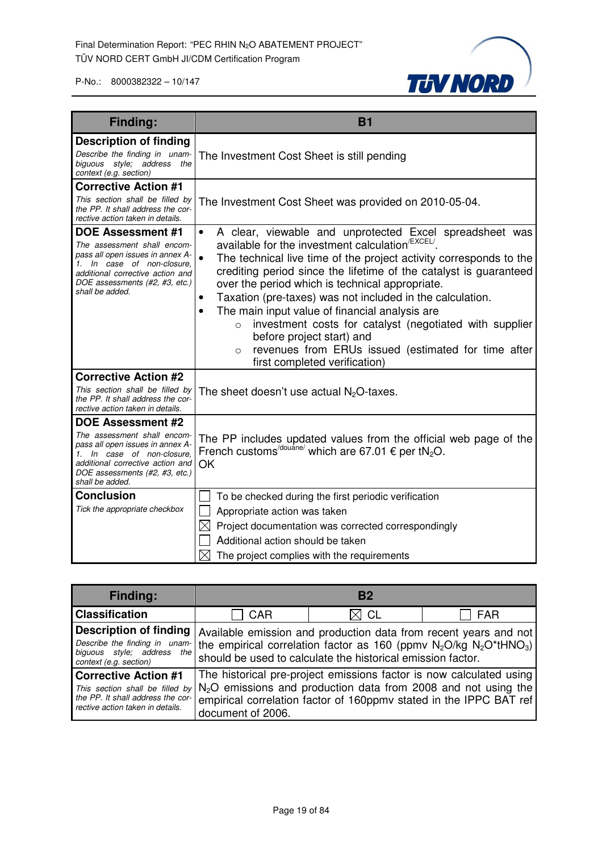

| <b>Finding:</b>                                                                                                                                                                                                    | <b>B1</b>                                                                                                                                                                                                                                                                                                                                                                                                                                                                                                                                                                                                                                                                                       |
|--------------------------------------------------------------------------------------------------------------------------------------------------------------------------------------------------------------------|-------------------------------------------------------------------------------------------------------------------------------------------------------------------------------------------------------------------------------------------------------------------------------------------------------------------------------------------------------------------------------------------------------------------------------------------------------------------------------------------------------------------------------------------------------------------------------------------------------------------------------------------------------------------------------------------------|
| <b>Description of finding</b><br>Describe the finding in unam-<br>biguous style; address the<br>context (e.g. section)                                                                                             | The Investment Cost Sheet is still pending                                                                                                                                                                                                                                                                                                                                                                                                                                                                                                                                                                                                                                                      |
| <b>Corrective Action #1</b><br>This section shall be filled by<br>the PP. It shall address the cor-<br>rective action taken in details.                                                                            | The Investment Cost Sheet was provided on 2010-05-04.                                                                                                                                                                                                                                                                                                                                                                                                                                                                                                                                                                                                                                           |
| <b>DOE Assessment #1</b><br>The assessment shall encom-<br>pass all open issues in annex A-<br>1. In case of non-closure.<br>additional corrective action and<br>DOE assessments (#2, #3, etc.)<br>shall be added. | A clear, viewable and unprotected Excel spreadsheet was<br>$\bullet$<br>available for the investment calculation <sup>/EXCEL/</sup> .<br>The technical live time of the project activity corresponds to the<br>$\bullet$<br>crediting period since the lifetime of the catalyst is guaranteed<br>over the period which is technical appropriate.<br>Taxation (pre-taxes) was not included in the calculation.<br>$\bullet$<br>The main input value of financial analysis are<br>$\bullet$<br>investment costs for catalyst (negotiated with supplier<br>$\circ$<br>before project start) and<br>revenues from ERUs issued (estimated for time after<br>$\circ$<br>first completed verification) |
| <b>Corrective Action #2</b><br>This section shall be filled by<br>the PP. It shall address the cor-<br>rective action taken in details.                                                                            | The sheet doesn't use actual $N_2O$ -taxes.                                                                                                                                                                                                                                                                                                                                                                                                                                                                                                                                                                                                                                                     |
| <b>DOE Assessment #2</b><br>The assessment shall encom-<br>pass all open issues in annex A-<br>1. In case of non-closure.<br>additional corrective action and<br>DOE assessments (#2, #3, etc.)<br>shall be added. | The PP includes updated values from the official web page of the<br>French customs <sup>/douane/</sup> which are 67.01 $\epsilon$ per tN <sub>2</sub> O.<br>OK                                                                                                                                                                                                                                                                                                                                                                                                                                                                                                                                  |
| <b>Conclusion</b><br>Tick the appropriate checkbox                                                                                                                                                                 | To be checked during the first periodic verification<br>Appropriate action was taken<br>$\boxtimes$<br>Project documentation was corrected correspondingly<br>Additional action should be taken<br>$\times$<br>The project complies with the requirements                                                                                                                                                                                                                                                                                                                                                                                                                                       |

| <b>Finding:</b>                                                                                                                                                                                          | B <sub>2</sub>                                                                                                                                                                                                                            |                                                                                                                                           |            |
|----------------------------------------------------------------------------------------------------------------------------------------------------------------------------------------------------------|-------------------------------------------------------------------------------------------------------------------------------------------------------------------------------------------------------------------------------------------|-------------------------------------------------------------------------------------------------------------------------------------------|------------|
| <b>Classification</b>                                                                                                                                                                                    | <b>CAR</b>                                                                                                                                                                                                                                | $\boxtimes$ CL                                                                                                                            | <b>FAR</b> |
| <b>Description of finding</b><br>biguous style; address the<br>context (e.g. section)                                                                                                                    | Available emission and production data from recent years and not<br>Describe the finding in unam- the empirical correlation factor as 160 (ppmv $N_2O/kg$ $N_2O^*tHNO_3$ )<br>should be used to calculate the historical emission factor. |                                                                                                                                           |            |
| <b>Corrective Action #1</b><br>This section shall be filled by $N_2O$ emissions and production data from 2008 and not using the<br>the PP. It shall address the cor-<br>rective action taken in details. | document of 2006.                                                                                                                                                                                                                         | The historical pre-project emissions factor is now calculated using<br>empirical correlation factor of 160ppmv stated in the IPPC BAT ref |            |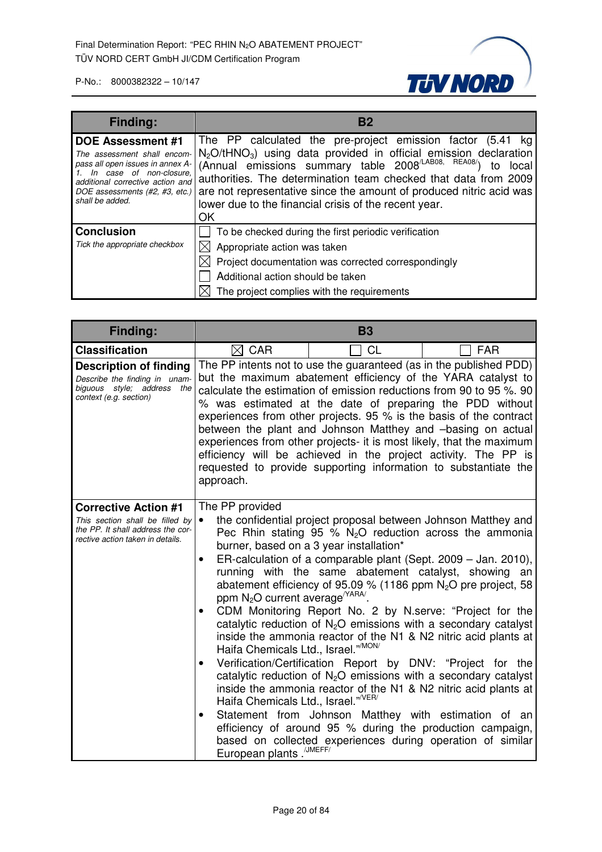

| <b>Finding:</b>                                                                                                                                                                                                 | B <sub>2</sub>                                                                                                                                                                                                                                                                                                                                                                                                                                       |
|-----------------------------------------------------------------------------------------------------------------------------------------------------------------------------------------------------------------|------------------------------------------------------------------------------------------------------------------------------------------------------------------------------------------------------------------------------------------------------------------------------------------------------------------------------------------------------------------------------------------------------------------------------------------------------|
| <b>DOE Assessment #1</b><br>The assessment shall encom-<br>pass all open issues in annex A-<br>In case of non-closure,<br>additional corrective action and<br>DOE assessments (#2, #3, etc.)<br>shall be added. | The PP calculated the pre-project emission factor (5.41 kg)<br>N <sub>2</sub> O/tHNO <sub>3</sub> ) using data provided in official emission declaration<br>(Annual emissions summary table 2008 <sup>/LAB08, REA08/</sup> )<br>local<br>to<br>authorities. The determination team checked that data from 2009<br>are not representative since the amount of produced nitric acid was<br>lower due to the financial crisis of the recent year.<br>ΟK |
| <b>Conclusion</b><br>Tick the appropriate checkbox                                                                                                                                                              | To be checked during the first periodic verification<br>Appropriate action was taken<br>$\boxtimes$ Project documentation was corrected correspondingly<br>Additional action should be taken<br>The project complies with the requirements                                                                                                                                                                                                           |

| Finding:                                                                                                                                |                                                                                                                                                                                                                                                                                                                                                                                                                                                                                                                                                                                                                                      | <b>B3</b>                               |                                                                                                                                                                                                                                                                                                                                                                                                                                                                                                                                                                                                                                                                                                                                                                                                                                                                                                                       |  |
|-----------------------------------------------------------------------------------------------------------------------------------------|--------------------------------------------------------------------------------------------------------------------------------------------------------------------------------------------------------------------------------------------------------------------------------------------------------------------------------------------------------------------------------------------------------------------------------------------------------------------------------------------------------------------------------------------------------------------------------------------------------------------------------------|-----------------------------------------|-----------------------------------------------------------------------------------------------------------------------------------------------------------------------------------------------------------------------------------------------------------------------------------------------------------------------------------------------------------------------------------------------------------------------------------------------------------------------------------------------------------------------------------------------------------------------------------------------------------------------------------------------------------------------------------------------------------------------------------------------------------------------------------------------------------------------------------------------------------------------------------------------------------------------|--|
| <b>Classification</b>                                                                                                                   | <b>CL</b><br>$\boxtimes$ CAR<br><b>FAR</b>                                                                                                                                                                                                                                                                                                                                                                                                                                                                                                                                                                                           |                                         |                                                                                                                                                                                                                                                                                                                                                                                                                                                                                                                                                                                                                                                                                                                                                                                                                                                                                                                       |  |
| <b>Description of finding</b><br>Describe the finding in unam-<br>biguous style; address the<br>context (e.g. section)                  | The PP intents not to use the guaranteed (as in the published PDD)<br>but the maximum abatement efficiency of the YARA catalyst to<br>calculate the estimation of emission reductions from 90 to 95 %. 90<br>% was estimated at the date of preparing the PDD without<br>experiences from other projects. 95 % is the basis of the contract<br>between the plant and Johnson Matthey and -basing on actual<br>experiences from other projects- it is most likely, that the maximum<br>efficiency will be achieved in the project activity. The PP is<br>requested to provide supporting information to substantiate the<br>approach. |                                         |                                                                                                                                                                                                                                                                                                                                                                                                                                                                                                                                                                                                                                                                                                                                                                                                                                                                                                                       |  |
| <b>Corrective Action #1</b><br>This section shall be filled by<br>the PP. It shall address the cor-<br>rective action taken in details. | The PP provided<br>$\bullet$<br>$\bullet$<br>ppm $N_2O$ current average <sup><math>YARA</math></sup><br>Haifa Chemicals Ltd., Israel." <sup>MON/</sup><br>$\bullet$<br>Haifa Chemicals Ltd., Israel." <sup>/VER/</sup><br>$\bullet$<br>European plants. <sup>/JMEFF/</sup>                                                                                                                                                                                                                                                                                                                                                           | burner, based on a 3 year installation* | the confidential project proposal between Johnson Matthey and<br>Pec Rhin stating 95 % $N_2O$ reduction across the ammonia<br>ER-calculation of a comparable plant (Sept. 2009 – Jan. 2010),<br>running with the same abatement catalyst, showing an<br>abatement efficiency of 95.09 % (1186 ppm $N_2O$ pre project, 58<br>CDM Monitoring Report No. 2 by N.serve: "Project for the<br>catalytic reduction of $N_2O$ emissions with a secondary catalyst<br>inside the ammonia reactor of the N1 & N2 nitric acid plants at<br>Verification/Certification Report by DNV: "Project for the<br>catalytic reduction of $N_2O$ emissions with a secondary catalyst<br>inside the ammonia reactor of the N1 & N2 nitric acid plants at<br>Statement from Johnson Matthey with estimation of an<br>efficiency of around 95 % during the production campaign,<br>based on collected experiences during operation of similar |  |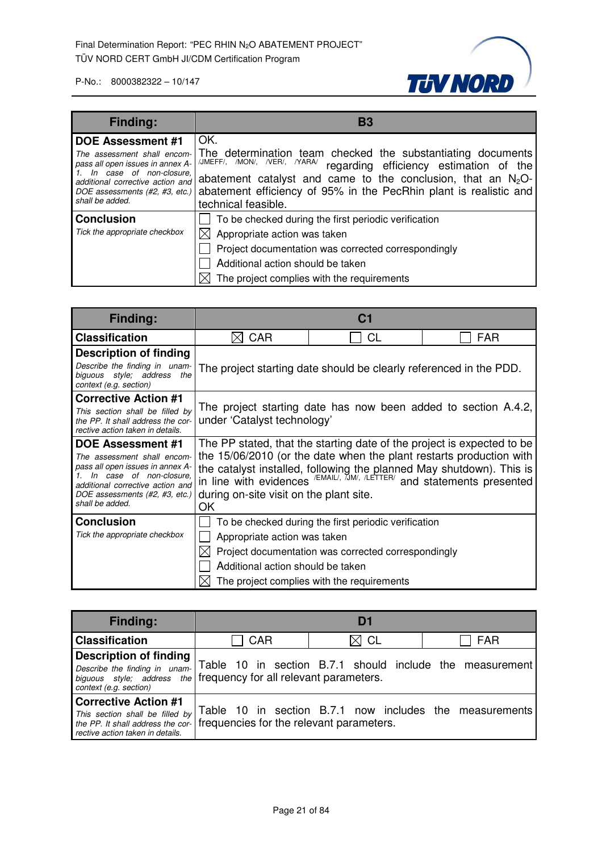

| <b>Finding:</b>                                                                                                                                                                                                 | B3                                                                                                                                                                                                                                                                                                           |
|-----------------------------------------------------------------------------------------------------------------------------------------------------------------------------------------------------------------|--------------------------------------------------------------------------------------------------------------------------------------------------------------------------------------------------------------------------------------------------------------------------------------------------------------|
| <b>DOE Assessment #1</b><br>The assessment shall encom-<br>pass all open issues in annex A-<br>In case of non-closure,<br>additional corrective action and<br>DOE assessments (#2, #3, etc.)<br>shall be added. | OK.<br>The determination team checked the substantiating documents<br>/JMEFF/, /MON/, /VER/, /YARA/<br>regarding efficiency estimation of the<br>abatement catalyst and came to the conclusion, that an $N_2O$ -<br>abatement efficiency of 95% in the PecRhin plant is realistic and<br>technical feasible. |
| <b>Conclusion</b><br>Tick the appropriate checkbox                                                                                                                                                              | To be checked during the first periodic verification<br>Appropriate action was taken<br>Project documentation was corrected correspondingly<br>Additional action should be taken<br>The project complies with the requirements                                                                               |

| Finding:                                                                                                                                                                            |                                                                                               |                                                                                                                                                                                                                             |            |
|-------------------------------------------------------------------------------------------------------------------------------------------------------------------------------------|-----------------------------------------------------------------------------------------------|-----------------------------------------------------------------------------------------------------------------------------------------------------------------------------------------------------------------------------|------------|
| <b>Classification</b>                                                                                                                                                               | <b>CAR</b>                                                                                    | CL                                                                                                                                                                                                                          | <b>FAR</b> |
| <b>Description of finding</b>                                                                                                                                                       |                                                                                               |                                                                                                                                                                                                                             |            |
| Describe the finding in unam-<br>biguous style; address<br>the<br>context (e.g. section)                                                                                            | The project starting date should be clearly referenced in the PDD.                            |                                                                                                                                                                                                                             |            |
| <b>Corrective Action #1</b>                                                                                                                                                         |                                                                                               |                                                                                                                                                                                                                             |            |
| This section shall be filled by<br>the PP. It shall address the cor-<br>rective action taken in details.                                                                            | The project starting date has now been added to section A.4.2,<br>under 'Catalyst technology' |                                                                                                                                                                                                                             |            |
| DOE Assessment #1                                                                                                                                                                   | The PP stated, that the starting date of the project is expected to be                        |                                                                                                                                                                                                                             |            |
| The assessment shall encom-<br>pass all open issues in annex A-<br>In case of non-closure.<br>additional corrective action and<br>DOE assessments (#2, #3, etc.)<br>shall be added. | during on-site visit on the plant site.<br>OK                                                 | the 15/06/2010 (or the date when the plant restarts production with<br>the catalyst installed, following the planned May shutdown). This is<br>in line with evidences $/EMAIL$ , $JMM$ , $/LETTER$ and statements presented |            |
| <b>Conclusion</b>                                                                                                                                                                   |                                                                                               | To be checked during the first periodic verification                                                                                                                                                                        |            |
| Tick the appropriate checkbox                                                                                                                                                       | Appropriate action was taken                                                                  |                                                                                                                                                                                                                             |            |
|                                                                                                                                                                                     |                                                                                               | Project documentation was corrected correspondingly                                                                                                                                                                         |            |
|                                                                                                                                                                                     | Additional action should be taken                                                             |                                                                                                                                                                                                                             |            |
|                                                                                                                                                                                     |                                                                                               | The project complies with the requirements                                                                                                                                                                                  |            |

| <b>Finding:</b>                                                                                                                                               |                                            | Df |                                                          |
|---------------------------------------------------------------------------------------------------------------------------------------------------------------|--------------------------------------------|----|----------------------------------------------------------|
| <b>Classification</b>                                                                                                                                         | <b>CAR</b><br>$\boxtimes$ CL<br><b>FAR</b> |    |                                                          |
| <b>Description of finding</b><br>Describe the finding in unam-<br>biguous style; address the frequency for all relevant parameters.<br>context (e.g. section) |                                            |    | Table 10 in section B.7.1 should include the measurement |
| <b>Corrective Action #1</b><br>This section shall be filled by<br>the PP. It shall address the cor-<br>rective action taken in details.                       | frequencies for the relevant parameters.   |    | Table 10 in section B.7.1 now includes the measurements  |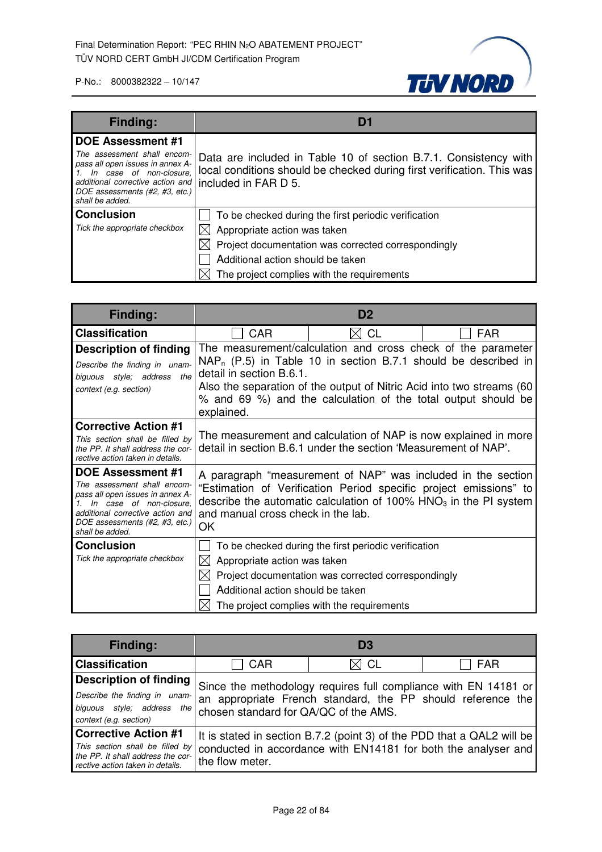

| <b>Finding:</b>                                                                                                                                                                                                    | Di                                                                                                                                                                 |
|--------------------------------------------------------------------------------------------------------------------------------------------------------------------------------------------------------------------|--------------------------------------------------------------------------------------------------------------------------------------------------------------------|
| <b>DOE Assessment #1</b><br>The assessment shall encom-<br>pass all open issues in annex A-<br>1. In case of non-closure,<br>additional corrective action and<br>DOE assessments (#2, #3, etc.)<br>shall be added. | Data are included in Table 10 of section B.7.1. Consistency with<br>local conditions should be checked during first verification. This was<br>included in FAR D 5. |
| <b>Conclusion</b>                                                                                                                                                                                                  | To be checked during the first periodic verification                                                                                                               |
| Tick the appropriate checkbox                                                                                                                                                                                      | Appropriate action was taken                                                                                                                                       |
|                                                                                                                                                                                                                    | $\boxtimes$ Project documentation was corrected correspondingly                                                                                                    |
|                                                                                                                                                                                                                    | Additional action should be taken                                                                                                                                  |
|                                                                                                                                                                                                                    | The project complies with the requirements                                                                                                                         |

| Finding:                                                                                                                                                                                                 | D <sub>2</sub>                                                           |                                                                                                                                                                                                              |                                                              |
|----------------------------------------------------------------------------------------------------------------------------------------------------------------------------------------------------------|--------------------------------------------------------------------------|--------------------------------------------------------------------------------------------------------------------------------------------------------------------------------------------------------------|--------------------------------------------------------------|
| <b>Classification</b>                                                                                                                                                                                    | CAR                                                                      | CL                                                                                                                                                                                                           | <b>FAR</b>                                                   |
| <b>Description of finding</b><br>Describe the finding in unam-<br>biguous style; address<br>the<br>context (e.g. section)                                                                                | detail in section B.6.1.<br>explained.                                   | $NAP_n$ (P.5) in Table 10 in section B.7.1 should be described in<br>Also the separation of the output of Nitric Acid into two streams (60)<br>% and 69 %) and the calculation of the total output should be | The measurement/calculation and cross check of the parameter |
| <b>Corrective Action #1</b><br>This section shall be filled by<br>the PP. It shall address the cor-<br>rective action taken in details.                                                                  |                                                                          | The measurement and calculation of NAP is now explained in more<br>detail in section B.6.1 under the section 'Measurement of NAP'.                                                                           |                                                              |
| DOE Assessment #1<br>The assessment shall encom-<br>pass all open issues in annex A-<br>In case of non-closure.<br>additional corrective action and<br>DOE assessments (#2, #3, etc.)<br>shall be added. | and manual cross check in the lab.<br>OK                                 | A paragraph "measurement of NAP" was included in the section<br>"Estimation of Verification Period specific project emissions" to<br>describe the automatic calculation of 100% $HNO3$ in the PI system      |                                                              |
| <b>Conclusion</b><br>Tick the appropriate checkbox                                                                                                                                                       | Appropriate action was taken<br>IХI<br>Additional action should be taken | To be checked during the first periodic verification<br>Project documentation was corrected correspondingly<br>The project complies with the requirements                                                    |                                                              |

| <b>Finding:</b>                                                                                                                         |                                                                                                                                                                         | D <sub>3</sub>                                                 |                                                                        |
|-----------------------------------------------------------------------------------------------------------------------------------------|-------------------------------------------------------------------------------------------------------------------------------------------------------------------------|----------------------------------------------------------------|------------------------------------------------------------------------|
| <b>Classification</b>                                                                                                                   | $\boxtimes$ CL<br>CAR<br>FAR                                                                                                                                            |                                                                |                                                                        |
| <b>Description of finding</b><br>Describe the finding in unam-<br>biguous style; address<br>the<br>context (e.g. section)               | Since the methodology requires full compliance with EN 14181 or<br>an appropriate French standard, the PP should reference the<br>chosen standard for QA/QC of the AMS. |                                                                |                                                                        |
| <b>Corrective Action #1</b><br>This section shall be filled by<br>the PP. It shall address the cor-<br>rective action taken in details. | the flow meter.                                                                                                                                                         | conducted in accordance with EN14181 for both the analyser and | It is stated in section B.7.2 (point 3) of the PDD that a QAL2 will be |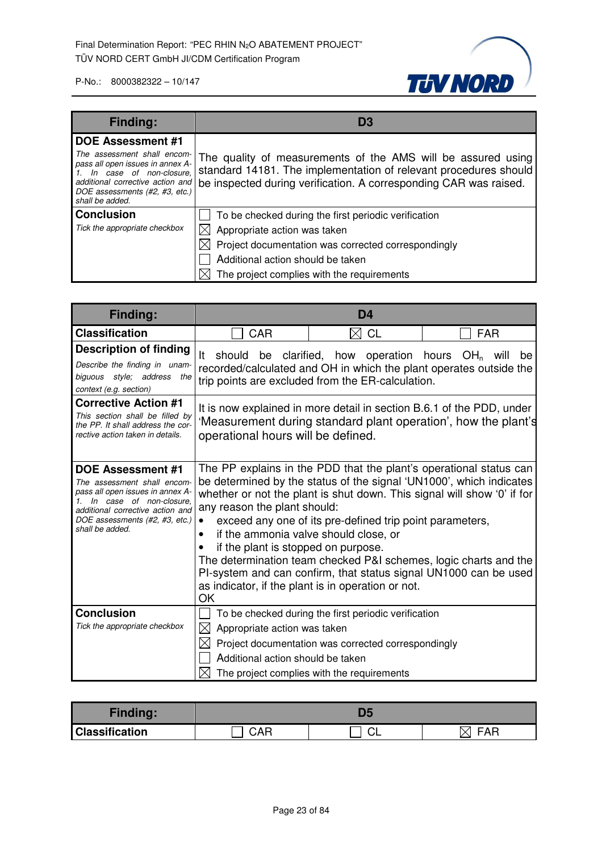

| <b>Finding:</b>                                                                                                                                                                                                    | D3                                                                                                                                                                                                                                                     |
|--------------------------------------------------------------------------------------------------------------------------------------------------------------------------------------------------------------------|--------------------------------------------------------------------------------------------------------------------------------------------------------------------------------------------------------------------------------------------------------|
| <b>DOE Assessment #1</b><br>The assessment shall encom-<br>pass all open issues in annex A-<br>1. In case of non-closure,<br>additional corrective action and<br>DOE assessments (#2, #3, etc.)<br>shall be added. | The quality of measurements of the AMS will be assured using<br>standard 14181. The implementation of relevant procedures should<br>be inspected during verification. A corresponding CAR was raised.                                                  |
| <b>Conclusion</b><br>Tick the appropriate checkbox                                                                                                                                                                 | To be checked during the first periodic verification<br>$\boxtimes$ Appropriate action was taken<br>$\boxtimes$ Project documentation was corrected correspondingly<br>Additional action should be taken<br>The project complies with the requirements |

| <b>Finding:</b>                                                                                                                                                                                                    | D4                                                                                                                 |                                                                                                                                                           |                                                                                                                                                                                                                                                                                                                                                              |
|--------------------------------------------------------------------------------------------------------------------------------------------------------------------------------------------------------------------|--------------------------------------------------------------------------------------------------------------------|-----------------------------------------------------------------------------------------------------------------------------------------------------------|--------------------------------------------------------------------------------------------------------------------------------------------------------------------------------------------------------------------------------------------------------------------------------------------------------------------------------------------------------------|
| <b>Classification</b>                                                                                                                                                                                              | <b>CAR</b>                                                                                                         | $\boxtimes$ CL                                                                                                                                            | <b>FAR</b>                                                                                                                                                                                                                                                                                                                                                   |
| <b>Description of finding</b><br>Describe the finding in unam-<br>biguous style; address the<br>context (e.g. section)                                                                                             | It<br>should<br>be<br>trip points are excluded from the ER-calculation.                                            | clarified, how operation                                                                                                                                  | hours OH <sub>n</sub> will<br>be<br>recorded/calculated and OH in which the plant operates outside the                                                                                                                                                                                                                                                       |
| <b>Corrective Action #1</b><br>This section shall be filled by<br>the PP. It shall address the cor-<br>rective action taken in details.                                                                            | operational hours will be defined.                                                                                 |                                                                                                                                                           | It is now explained in more detail in section B.6.1 of the PDD, under<br>'Measurement during standard plant operation', how the plant's                                                                                                                                                                                                                      |
| <b>DOE Assessment #1</b><br>The assessment shall encom-<br>pass all open issues in annex A-<br>1. In case of non-closure,<br>additional corrective action and<br>DOE assessments (#2, #3, etc.)<br>shall be added. | any reason the plant should:<br>if the ammonia valve should close, or<br>if the plant is stopped on purpose.<br>OK | exceed any one of its pre-defined trip point parameters,<br>as indicator, if the plant is in operation or not.                                            | The PP explains in the PDD that the plant's operational status can<br>be determined by the status of the signal 'UN1000', which indicates<br>whether or not the plant is shut down. This signal will show '0' if for<br>The determination team checked P&I schemes, logic charts and the<br>PI-system and can confirm, that status signal UN1000 can be used |
| <b>Conclusion</b><br>Tick the appropriate checkbox                                                                                                                                                                 | Appropriate action was taken<br>⊠<br>Additional action should be taken                                             | To be checked during the first periodic verification<br>Project documentation was corrected correspondingly<br>The project complies with the requirements |                                                                                                                                                                                                                                                                                                                                                              |

| <b>Finding:</b>       |            |    |     |
|-----------------------|------------|----|-----|
| <b>Classification</b> | <b>CAR</b> | ◡∟ | FAR |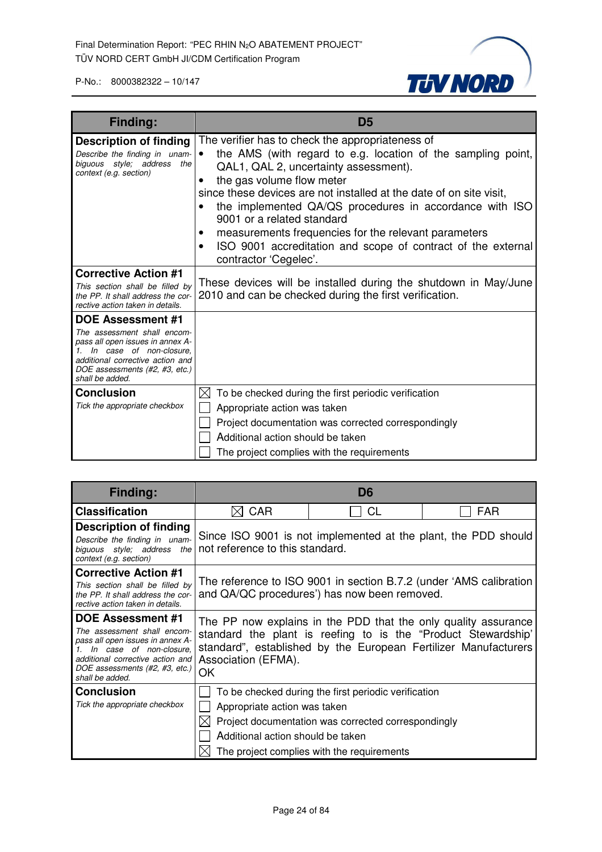

| Finding:                                                                                                                                                                                                           | D <sub>5</sub>                                                                                                                                                                                                                                                                                                                                                                                                                                                                                               |  |
|--------------------------------------------------------------------------------------------------------------------------------------------------------------------------------------------------------------------|--------------------------------------------------------------------------------------------------------------------------------------------------------------------------------------------------------------------------------------------------------------------------------------------------------------------------------------------------------------------------------------------------------------------------------------------------------------------------------------------------------------|--|
| <b>Description of finding</b><br>Describe the finding in unam-<br>biguous style; address the<br>context (e.g. section)                                                                                             | The verifier has to check the appropriateness of<br>the AMS (with regard to e.g. location of the sampling point,<br>QAL1, QAL 2, uncertainty assessment).<br>the gas volume flow meter<br>٠<br>since these devices are not installed at the date of on site visit,<br>the implemented QA/QS procedures in accordance with ISO<br>9001 or a related standard<br>measurements frequencies for the relevant parameters<br>ISO 9001 accreditation and scope of contract of the external<br>contractor 'Cegelec'. |  |
| <b>Corrective Action #1</b><br>This section shall be filled by<br>the PP. It shall address the cor-<br>rective action taken in details.                                                                            | These devices will be installed during the shutdown in May/June<br>2010 and can be checked during the first verification.                                                                                                                                                                                                                                                                                                                                                                                    |  |
| <b>DOE Assessment #1</b><br>The assessment shall encom-<br>pass all open issues in annex A-<br>1. In case of non-closure,<br>additional corrective action and<br>DOE assessments (#2, #3, etc.)<br>shall be added. |                                                                                                                                                                                                                                                                                                                                                                                                                                                                                                              |  |
| <b>Conclusion</b><br>Tick the appropriate checkbox                                                                                                                                                                 | To be checked during the first periodic verification<br>IХI<br>Appropriate action was taken<br>Project documentation was corrected correspondingly<br>Additional action should be taken<br>The project complies with the requirements                                                                                                                                                                                                                                                                        |  |

| Finding:                                                                                                                                                                                                        | D6                                                                                                                                                                                                                              |                                                                                                                                                           |     |
|-----------------------------------------------------------------------------------------------------------------------------------------------------------------------------------------------------------------|---------------------------------------------------------------------------------------------------------------------------------------------------------------------------------------------------------------------------------|-----------------------------------------------------------------------------------------------------------------------------------------------------------|-----|
| <b>Classification</b>                                                                                                                                                                                           | <b>CAR</b>                                                                                                                                                                                                                      | CL                                                                                                                                                        | FAR |
| Description of finding<br>Describe the finding in unam-<br>biguous style; address<br>the<br>context (e.g. section)                                                                                              | Since ISO 9001 is not implemented at the plant, the PDD should<br>not reference to this standard.                                                                                                                               |                                                                                                                                                           |     |
| <b>Corrective Action #1</b><br>This section shall be filled by<br>the PP. It shall address the cor-<br>rective action taken in details.                                                                         |                                                                                                                                                                                                                                 | The reference to ISO 9001 in section B.7.2 (under 'AMS calibration<br>and QA/QC procedures') has now been removed.                                        |     |
| <b>DOE Assessment #1</b><br>The assessment shall encom-<br>pass all open issues in annex A-<br>In case of non-closure.<br>additional corrective action and<br>DOE assessments (#2, #3, etc.)<br>shall be added. | The PP now explains in the PDD that the only quality assurance<br>standard the plant is reefing to is the "Product Stewardship"<br>standard", established by the European Fertilizer Manufacturers<br>Association (EFMA).<br>ОK |                                                                                                                                                           |     |
| <b>Conclusion</b><br>Tick the appropriate checkbox                                                                                                                                                              | Appropriate action was taken<br>Additional action should be taken                                                                                                                                                               | To be checked during the first periodic verification<br>Project documentation was corrected correspondingly<br>The project complies with the requirements |     |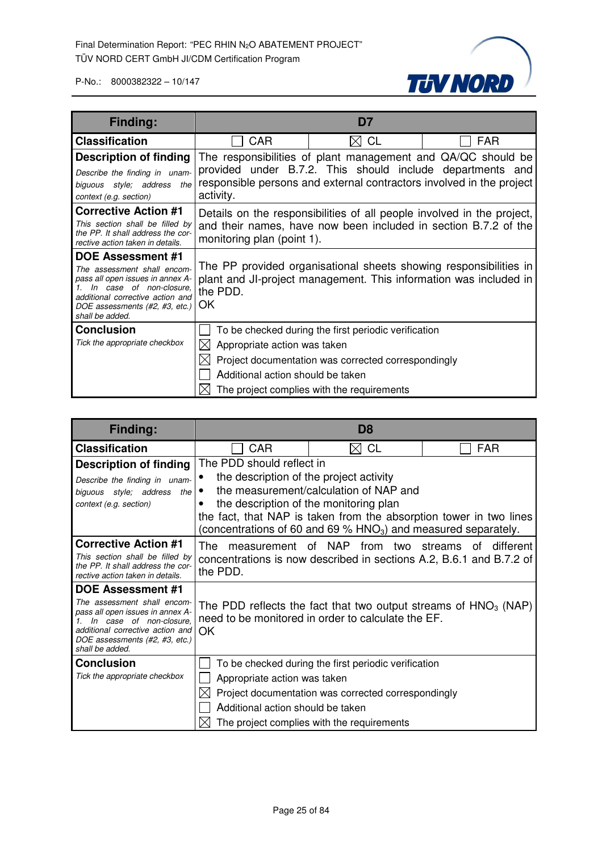

| Finding:                                                                                                                                                                                                        |                                                                                                                                                                                                                | D7                                                                                                                                                        |            |
|-----------------------------------------------------------------------------------------------------------------------------------------------------------------------------------------------------------------|----------------------------------------------------------------------------------------------------------------------------------------------------------------------------------------------------------------|-----------------------------------------------------------------------------------------------------------------------------------------------------------|------------|
| <b>Classification</b>                                                                                                                                                                                           | CAR                                                                                                                                                                                                            | CL<br>M                                                                                                                                                   | <b>FAR</b> |
| <b>Description of finding</b><br>Describe the finding in unam-<br>biguous style; address<br>the<br>context (e.g. section)                                                                                       | The responsibilities of plant management and QA/QC should be<br>provided under B.7.2. This should include departments and<br>responsible persons and external contractors involved in the project<br>activity. |                                                                                                                                                           |            |
| <b>Corrective Action #1</b><br>This section shall be filled by<br>the PP. It shall address the cor-<br>rective action taken in details.                                                                         | Details on the responsibilities of all people involved in the project,<br>and their names, have now been included in section B.7.2 of the<br>monitoring plan (point 1).                                        |                                                                                                                                                           |            |
| <b>DOE Assessment #1</b><br>The assessment shall encom-<br>pass all open issues in annex A-<br>In case of non-closure.<br>additional corrective action and<br>DOE assessments (#2, #3, etc.)<br>shall be added. | The PP provided organisational sheets showing responsibilities in<br>plant and JI-project management. This information was included in<br>the PDD.<br>ΟK                                                       |                                                                                                                                                           |            |
| <b>Conclusion</b><br>Tick the appropriate checkbox                                                                                                                                                              | Appropriate action was taken<br>IХ<br>Additional action should be taken                                                                                                                                        | To be checked during the first periodic verification<br>Project documentation was corrected correspondingly<br>The project complies with the requirements |            |

| <b>Finding:</b>                                                                                                                                                                     |                                                                                                                               | D8                                                                                                                                     |                 |
|-------------------------------------------------------------------------------------------------------------------------------------------------------------------------------------|-------------------------------------------------------------------------------------------------------------------------------|----------------------------------------------------------------------------------------------------------------------------------------|-----------------|
| <b>Classification</b>                                                                                                                                                               | CAR                                                                                                                           | <b>CL</b>                                                                                                                              | <b>FAR</b>      |
| <b>Description of finding</b>                                                                                                                                                       | The PDD should reflect in                                                                                                     |                                                                                                                                        |                 |
| Describe the finding in unam-                                                                                                                                                       | the description of the project activity                                                                                       |                                                                                                                                        |                 |
| biguous style; address the                                                                                                                                                          |                                                                                                                               | the measurement/calculation of NAP and                                                                                                 |                 |
| context (e.g. section)                                                                                                                                                              | the description of the monitoring plan                                                                                        |                                                                                                                                        |                 |
|                                                                                                                                                                                     |                                                                                                                               | the fact, that NAP is taken from the absorption tower in two lines<br>(concentrations of 60 and 69 % $HNO3$ ) and measured separately. |                 |
| <b>Corrective Action #1</b>                                                                                                                                                         | measurement of NAP<br>The.                                                                                                    | from two streams                                                                                                                       | different<br>ot |
| This section shall be filled by<br>the PP. It shall address the cor-<br>rective action taken in details.                                                                            | the PDD.                                                                                                                      | concentrations is now described in sections A.2, B.6.1 and B.7.2 of                                                                    |                 |
| DOE Assessment #1                                                                                                                                                                   |                                                                                                                               |                                                                                                                                        |                 |
| The assessment shall encom-<br>pass all open issues in annex A-<br>In case of non-closure.<br>additional corrective action and<br>DOE assessments (#2, #3, etc.)<br>shall be added. | The PDD reflects the fact that two output streams of $HNO3$ (NAP)<br>need to be monitored in order to calculate the EF.<br>OK |                                                                                                                                        |                 |
| <b>Conclusion</b>                                                                                                                                                                   |                                                                                                                               | To be checked during the first periodic verification                                                                                   |                 |
| Tick the appropriate checkbox                                                                                                                                                       | Appropriate action was taken                                                                                                  |                                                                                                                                        |                 |
|                                                                                                                                                                                     | Project documentation was corrected correspondingly                                                                           |                                                                                                                                        |                 |
|                                                                                                                                                                                     | Additional action should be taken                                                                                             |                                                                                                                                        |                 |
|                                                                                                                                                                                     |                                                                                                                               | The project complies with the requirements                                                                                             |                 |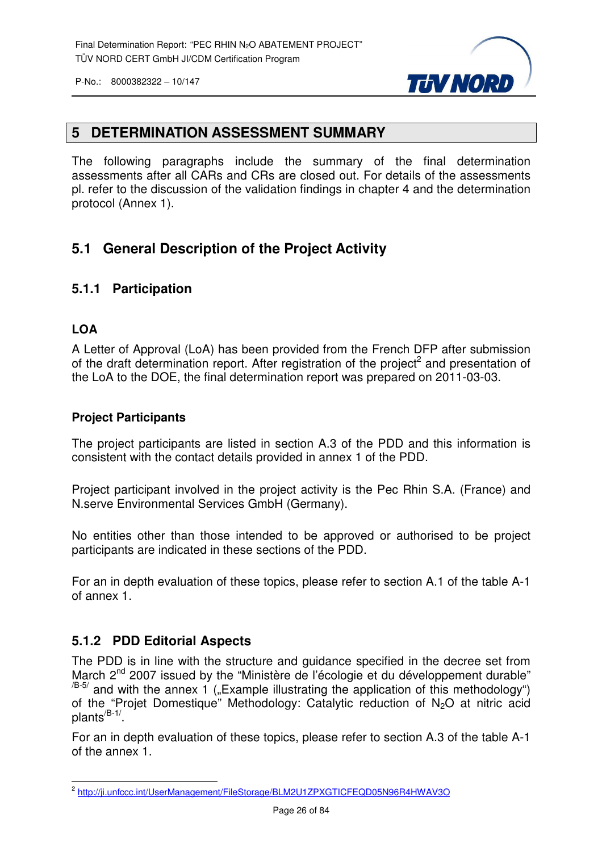

#### **5 DETERMINATION ASSESSMENT SUMMARY**

The following paragraphs include the summary of the final determination assessments after all CARs and CRs are closed out. For details of the assessments pl. refer to the discussion of the validation findings in chapter 4 and the determination protocol (Annex 1).

#### **5.1 General Description of the Project Activity**

#### **5.1.1 Participation**

#### **LOA**

A Letter of Approval (LoA) has been provided from the French DFP after submission of the draft determination report. After registration of the project<sup>2</sup> and presentation of the LoA to the DOE, the final determination report was prepared on 2011-03-03.

#### **Project Participants**

The project participants are listed in section A.3 of the PDD and this information is consistent with the contact details provided in annex 1 of the PDD.

Project participant involved in the project activity is the Pec Rhin S.A. (France) and N.serve Environmental Services GmbH (Germany).

No entities other than those intended to be approved or authorised to be project participants are indicated in these sections of the PDD.

For an in depth evaluation of these topics, please refer to section A.1 of the table A-1 of annex 1.

#### **5.1.2 PDD Editorial Aspects**

The PDD is in line with the structure and guidance specified in the decree set from March 2<sup>nd</sup> 2007 issued by the "Ministère de l'écologie et du développement durable"  $\frac{1}{18-5}$  and with the annex 1 ("Example illustrating the application of this methodology") of the "Projet Domestique" Methodology: Catalytic reduction of N<sub>2</sub>O at nitric acid plants<sup>/B-1/</sup>.

For an in depth evaluation of these topics, please refer to section A.3 of the table A-1 of the annex 1.

 2 http://ji.unfccc.int/UserManagement/FileStorage/BLM2U1ZPXGTICFEQD05N96R4HWAV3O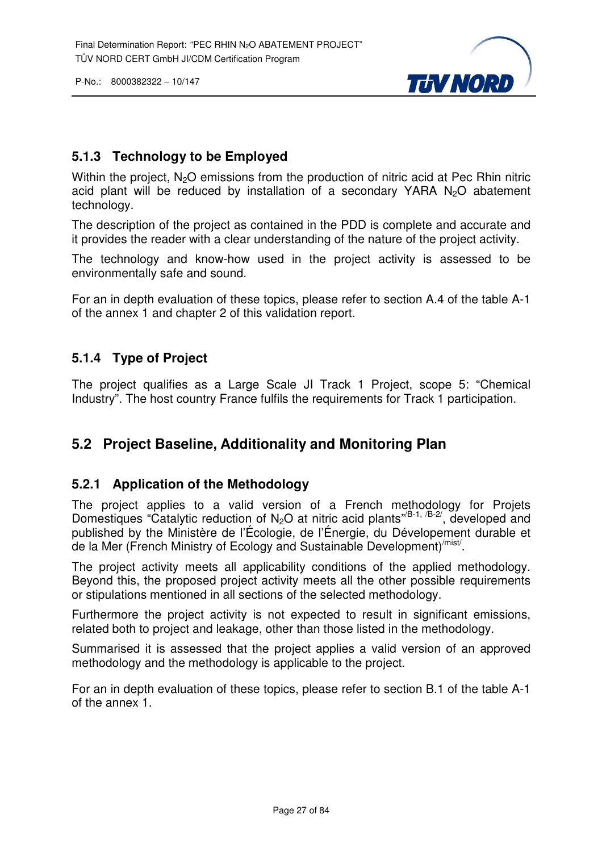

#### **5.1.3 Technology to be Employed**

Within the project,  $N_2O$  emissions from the production of nitric acid at Pec Rhin nitric acid plant will be reduced by installation of a secondary YARA  $N_2O$  abatement technology.

The description of the project as contained in the PDD is complete and accurate and it provides the reader with a clear understanding of the nature of the project activity.

The technology and know-how used in the project activity is assessed to be environmentally safe and sound.

For an in depth evaluation of these topics, please refer to section A.4 of the table A-1 of the annex 1 and chapter 2 of this validation report.

#### **5.1.4 Type of Project**

The project qualifies as a Large Scale JI Track 1 Project, scope 5: "Chemical Industry". The host country France fulfils the requirements for Track 1 participation.

#### **5.2 Project Baseline, Additionality and Monitoring Plan**

#### **5.2.1 Application of the Methodology**

The project applies to a valid version of a French methodology for Projets Domestiques "Catalytic reduction of N<sub>2</sub>O at nitric acid plants"<sup>(B-1, /B-2/, developed and</sup> published by the Ministère de l'Écologie, de l'Énergie, du Dévelopement durable et de la Mer (French Ministry of Ecology and Sustainable Development)<sup>/mist/</sup>.

The project activity meets all applicability conditions of the applied methodology. Beyond this, the proposed project activity meets all the other possible requirements or stipulations mentioned in all sections of the selected methodology.

Furthermore the project activity is not expected to result in significant emissions, related both to project and leakage, other than those listed in the methodology.

Summarised it is assessed that the project applies a valid version of an approved methodology and the methodology is applicable to the project.

For an in depth evaluation of these topics, please refer to section B.1 of the table A-1 of the annex 1.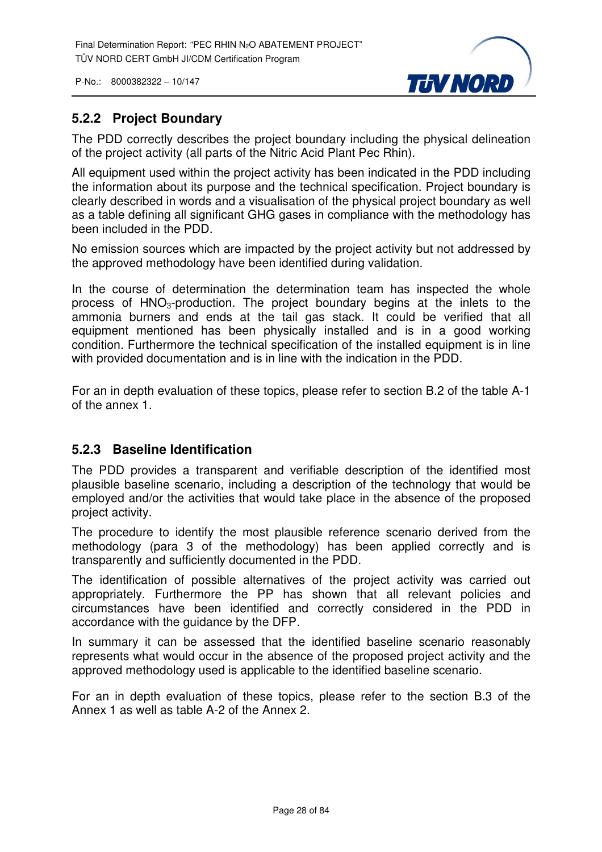

#### **5.2.2 Project Boundary**

The PDD correctly describes the project boundary including the physical delineation of the project activity (all parts of the Nitric Acid Plant Pec Rhin).

All equipment used within the project activity has been indicated in the PDD including the information about its purpose and the technical specification. Project boundary is clearly described in words and a visualisation of the physical project boundary as well as a table defining all significant GHG gases in compliance with the methodology has been included in the PDD.

No emission sources which are impacted by the project activity but not addressed by the approved methodology have been identified during validation.

In the course of determination the determination team has inspected the whole process of  $HNO<sub>3</sub>-production$ . The project boundary begins at the inlets to the ammonia burners and ends at the tail gas stack. It could be verified that all equipment mentioned has been physically installed and is in a good working condition. Furthermore the technical specification of the installed equipment is in line with provided documentation and is in line with the indication in the PDD.

For an in depth evaluation of these topics, please refer to section B.2 of the table A-1 of the annex 1.

#### **5.2.3 Baseline Identification**

The PDD provides a transparent and verifiable description of the identified most plausible baseline scenario, including a description of the technology that would be employed and/or the activities that would take place in the absence of the proposed project activity.

The procedure to identify the most plausible reference scenario derived from the methodology (para 3 of the methodology) has been applied correctly and is transparently and sufficiently documented in the PDD.

The identification of possible alternatives of the project activity was carried out appropriately. Furthermore the PP has shown that all relevant policies and circumstances have been identified and correctly considered in the PDD in accordance with the guidance by the DFP.

In summary it can be assessed that the identified baseline scenario reasonably represents what would occur in the absence of the proposed project activity and the approved methodology used is applicable to the identified baseline scenario.

For an in depth evaluation of these topics, please refer to the section B.3 of the Annex 1 as well as table A-2 of the Annex 2.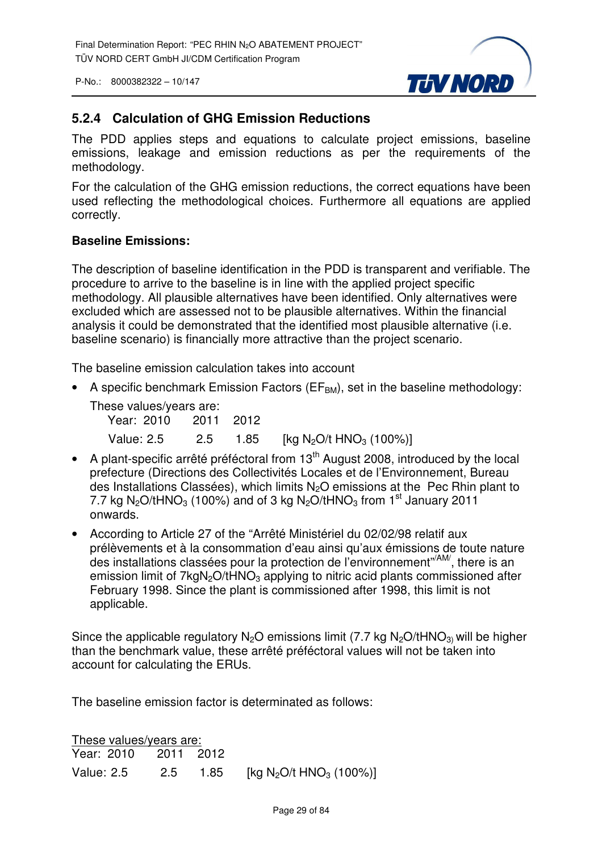

#### **5.2.4 Calculation of GHG Emission Reductions**

The PDD applies steps and equations to calculate project emissions, baseline emissions, leakage and emission reductions as per the requirements of the methodology.

For the calculation of the GHG emission reductions, the correct equations have been used reflecting the methodological choices. Furthermore all equations are applied correctly.

#### **Baseline Emissions:**

The description of baseline identification in the PDD is transparent and verifiable. The procedure to arrive to the baseline is in line with the applied project specific methodology. All plausible alternatives have been identified. Only alternatives were excluded which are assessed not to be plausible alternatives. Within the financial analysis it could be demonstrated that the identified most plausible alternative (i.e. baseline scenario) is financially more attractive than the project scenario.

The baseline emission calculation takes into account

A specific benchmark Emission Factors ( $EF<sub>BM</sub>$ ), set in the baseline methodology:

| These values/years are: |     |      |                                                 |
|-------------------------|-----|------|-------------------------------------------------|
| Year: 2010 2011 2012    |     |      |                                                 |
| Value: 2.5              | 2.5 | 1.85 | [kg N <sub>2</sub> O/t HNO <sub>3</sub> (100%)] |

- A plant-specific arrêté préféctoral from  $13<sup>th</sup>$  August 2008, introduced by the local prefecture (Directions des Collectivités Locales et de l'Environnement, Bureau des Installations Classées), which limits N2O emissions at the Pec Rhin plant to 7.7 kg N<sub>2</sub>O/tHNO<sub>3</sub> (100%) and of 3 kg N<sub>2</sub>O/tHNO<sub>3</sub> from 1<sup>st</sup> January 2011 onwards.
- According to Article 27 of the "Arrêté Ministériel du 02/02/98 relatif aux prélèvements et à la consommation d'eau ainsi qu'aux émissions de toute nature des installations classées pour la protection de l'environnement"/AM/, there is an emission limit of  $7kqN<sub>2</sub>O/tHNO<sub>3</sub>$  applying to nitric acid plants commissioned after February 1998. Since the plant is commissioned after 1998, this limit is not applicable.

Since the applicable regulatory  $N_2O$  emissions limit (7.7 kg  $N_2O$ /tHNO<sub>3)</sub> will be higher than the benchmark value, these arrêté préféctoral values will not be taken into account for calculating the ERUs.

The baseline emission factor is determinated as follows:

| These values/years are: |  |          |                                                 |
|-------------------------|--|----------|-------------------------------------------------|
| Year: 2010 2011 2012    |  |          |                                                 |
| Value: 2.5              |  | 2.5 1.85 | [kg N <sub>2</sub> O/t HNO <sub>3</sub> (100%)] |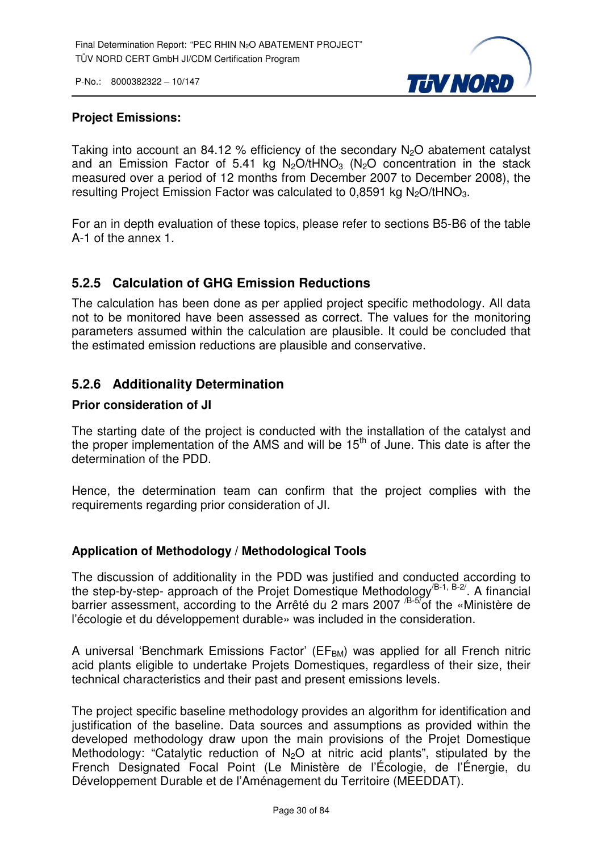

#### **Project Emissions:**

Taking into account an 84.12 % efficiency of the secondary  $N_2O$  abatement catalyst and an Emission Factor of 5.41 kg  $N_2O/tHNO_3$  ( $N_2O$  concentration in the stack measured over a period of 12 months from December 2007 to December 2008), the resulting Project Emission Factor was calculated to  $0.8591$  kg N<sub>2</sub>O/tHNO<sub>3</sub>.

For an in depth evaluation of these topics, please refer to sections B5-B6 of the table A-1 of the annex 1.

#### **5.2.5 Calculation of GHG Emission Reductions**

The calculation has been done as per applied project specific methodology. All data not to be monitored have been assessed as correct. The values for the monitoring parameters assumed within the calculation are plausible. It could be concluded that the estimated emission reductions are plausible and conservative.

#### **5.2.6 Additionality Determination**

#### **Prior consideration of JI**

The starting date of the project is conducted with the installation of the catalyst and the proper implementation of the AMS and will be  $15<sup>th</sup>$  of June. This date is after the determination of the PDD.

Hence, the determination team can confirm that the project complies with the requirements regarding prior consideration of JI.

#### **Application of Methodology / Methodological Tools**

The discussion of additionality in the PDD was justified and conducted according to the step-by-step- approach of the Projet Domestique Methodology<sup>/B-1, B-2/</sup>. A financial barrier assessment, according to the Arrêté du 2 mars 2007 <sup>/B-5/</sup>of the «Ministère de l'écologie et du développement durable» was included in the consideration.

A universal 'Benchmark Emissions Factor' ( $EF<sub>BM</sub>$ ) was applied for all French nitric acid plants eligible to undertake Projets Domestiques, regardless of their size, their technical characteristics and their past and present emissions levels.

The project specific baseline methodology provides an algorithm for identification and justification of the baseline. Data sources and assumptions as provided within the developed methodology draw upon the main provisions of the Projet Domestique Methodology: "Catalytic reduction of  $N<sub>2</sub>O$  at nitric acid plants", stipulated by the French Designated Focal Point (Le Ministère de l'Écologie, de l'Énergie, du Développement Durable et de l'Aménagement du Territoire (MEEDDAT).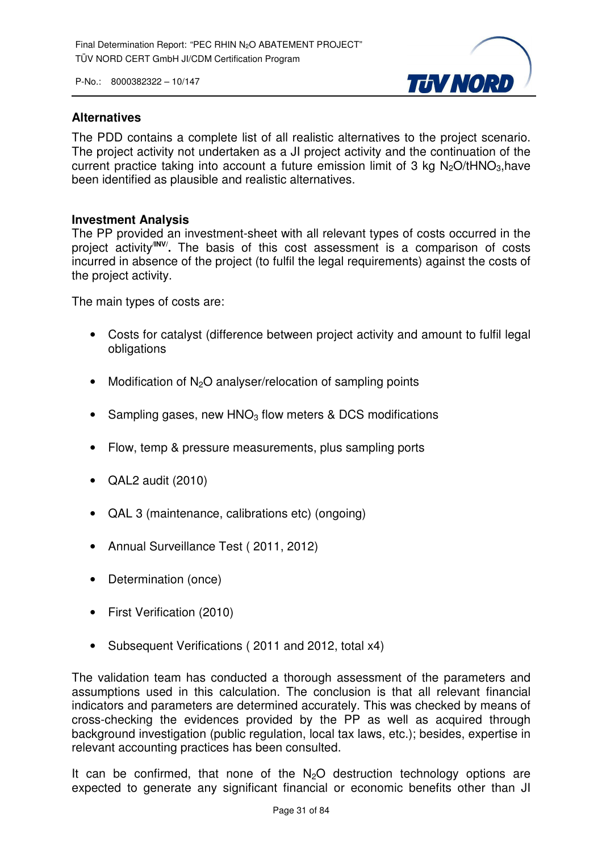

#### **Alternatives**

The PDD contains a complete list of all realistic alternatives to the project scenario. The project activity not undertaken as a JI project activity and the continuation of the current practice taking into account a future emission limit of 3 kg  $N<sub>2</sub>O/tHNO<sub>3</sub>$ , have been identified as plausible and realistic alternatives.

#### **Investment Analysis**

The PP provided an investment-sheet with all relevant types of costs occurred in the project activity**/INV/ .** The basis of this cost assessment is a comparison of costs incurred in absence of the project (to fulfil the legal requirements) against the costs of the project activity.

The main types of costs are:

- Costs for catalyst (difference between project activity and amount to fulfil legal obligations
- Modification of  $N_2O$  analyser/relocation of sampling points
- Sampling gases, new  $HNO<sub>3</sub>$  flow meters & DCS modifications
- Flow, temp & pressure measurements, plus sampling ports
- QAL2 audit (2010)
- QAL 3 (maintenance, calibrations etc) (ongoing)
- Annual Surveillance Test ( 2011, 2012)
- Determination (once)
- First Verification (2010)
- Subsequent Verifications ( 2011 and 2012, total x4)

The validation team has conducted a thorough assessment of the parameters and assumptions used in this calculation. The conclusion is that all relevant financial indicators and parameters are determined accurately. This was checked by means of cross-checking the evidences provided by the PP as well as acquired through background investigation (public regulation, local tax laws, etc.); besides, expertise in relevant accounting practices has been consulted.

It can be confirmed, that none of the  $N_2O$  destruction technology options are expected to generate any significant financial or economic benefits other than JI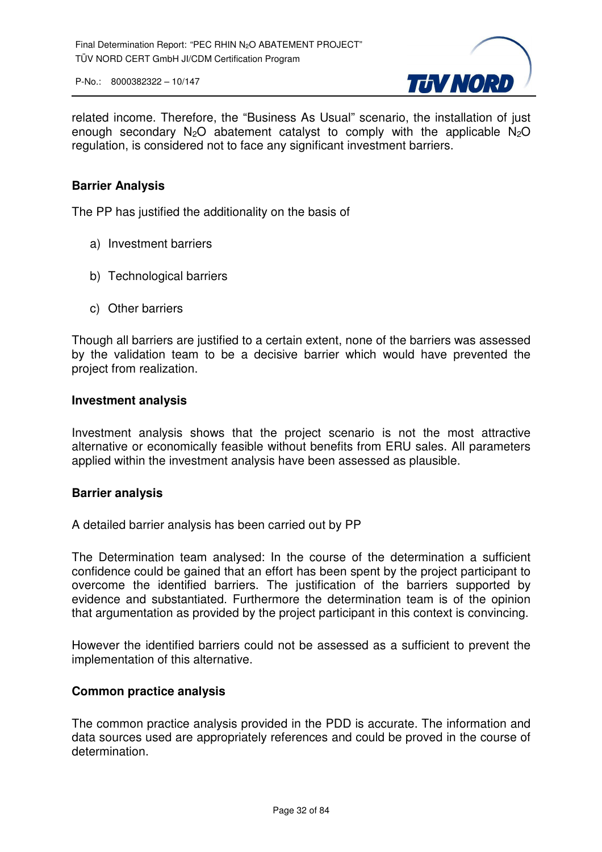

related income. Therefore, the "Business As Usual" scenario, the installation of just enough secondary  $N_2O$  abatement catalyst to comply with the applicable  $N_2O$ regulation, is considered not to face any significant investment barriers.

#### **Barrier Analysis**

The PP has justified the additionality on the basis of

- a) Investment barriers
- b) Technological barriers
- c) Other barriers

Though all barriers are justified to a certain extent, none of the barriers was assessed by the validation team to be a decisive barrier which would have prevented the project from realization.

#### **Investment analysis**

Investment analysis shows that the project scenario is not the most attractive alternative or economically feasible without benefits from ERU sales. All parameters applied within the investment analysis have been assessed as plausible.

#### **Barrier analysis**

A detailed barrier analysis has been carried out by PP

The Determination team analysed: In the course of the determination a sufficient confidence could be gained that an effort has been spent by the project participant to overcome the identified barriers. The justification of the barriers supported by evidence and substantiated. Furthermore the determination team is of the opinion that argumentation as provided by the project participant in this context is convincing.

However the identified barriers could not be assessed as a sufficient to prevent the implementation of this alternative.

#### **Common practice analysis**

The common practice analysis provided in the PDD is accurate. The information and data sources used are appropriately references and could be proved in the course of determination.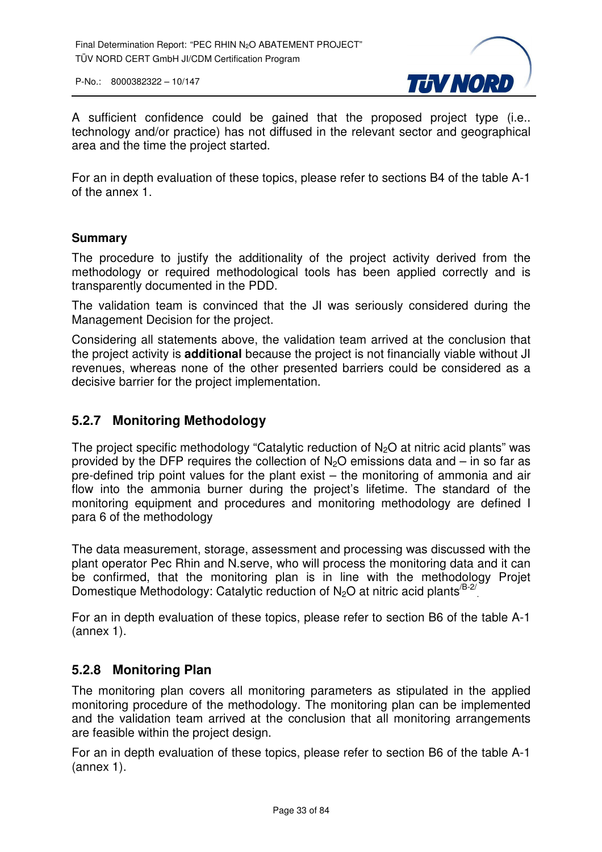

A sufficient confidence could be gained that the proposed project type (i.e.. technology and/or practice) has not diffused in the relevant sector and geographical area and the time the project started.

For an in depth evaluation of these topics, please refer to sections B4 of the table A-1 of the annex 1.

#### **Summary**

The procedure to justify the additionality of the project activity derived from the methodology or required methodological tools has been applied correctly and is transparently documented in the PDD.

The validation team is convinced that the JI was seriously considered during the Management Decision for the project.

Considering all statements above, the validation team arrived at the conclusion that the project activity is **additional** because the project is not financially viable without JI revenues, whereas none of the other presented barriers could be considered as a decisive barrier for the project implementation.

#### **5.2.7 Monitoring Methodology**

The project specific methodology "Catalytic reduction of  $N_2O$  at nitric acid plants" was provided by the DFP requires the collection of  $N<sub>2</sub>O$  emissions data and – in so far as pre-defined trip point values for the plant exist – the monitoring of ammonia and air flow into the ammonia burner during the project's lifetime. The standard of the monitoring equipment and procedures and monitoring methodology are defined I para 6 of the methodology

The data measurement, storage, assessment and processing was discussed with the plant operator Pec Rhin and N.serve, who will process the monitoring data and it can be confirmed, that the monitoring plan is in line with the methodology Projet Domestique Methodology: Catalytic reduction of  $N_2O$  at nitric acid plants<sup>/B-2/</sup>

For an in depth evaluation of these topics, please refer to section B6 of the table A-1 (annex 1).

#### **5.2.8 Monitoring Plan**

The monitoring plan covers all monitoring parameters as stipulated in the applied monitoring procedure of the methodology. The monitoring plan can be implemented and the validation team arrived at the conclusion that all monitoring arrangements are feasible within the project design.

For an in depth evaluation of these topics, please refer to section B6 of the table A-1 (annex 1).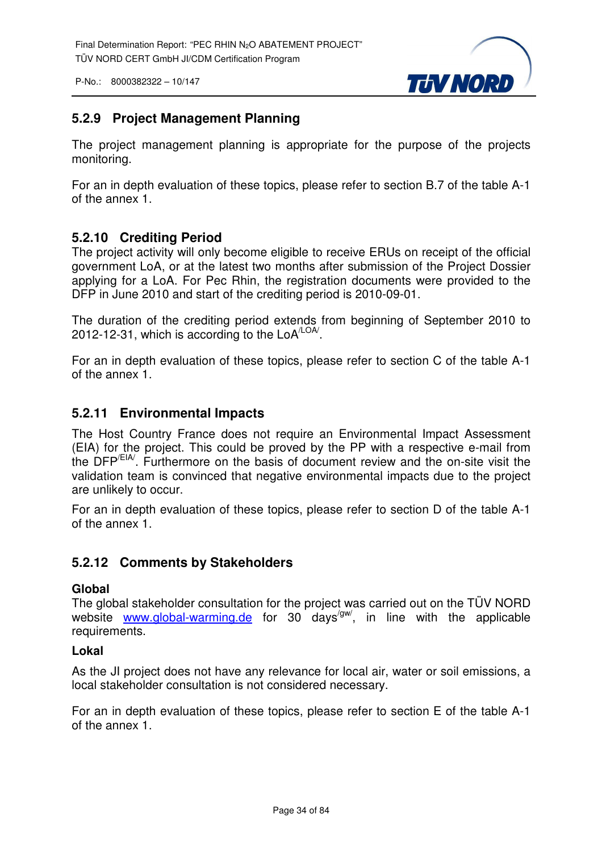

#### **5.2.9 Project Management Planning**

The project management planning is appropriate for the purpose of the projects monitoring.

For an in depth evaluation of these topics, please refer to section B.7 of the table A-1 of the annex 1.

#### **5.2.10 Crediting Period**

The project activity will only become eligible to receive ERUs on receipt of the official government LoA, or at the latest two months after submission of the Project Dossier applying for a LoA. For Pec Rhin, the registration documents were provided to the DFP in June 2010 and start of the crediting period is 2010-09-01.

The duration of the crediting period extends from beginning of September 2010 to 2012-12-31, which is according to the  $LoA<sup>LOA/</sup>$ </sup>.

For an in depth evaluation of these topics, please refer to section C of the table A-1 of the annex 1.

#### **5.2.11 Environmental Impacts**

The Host Country France does not require an Environmental Impact Assessment (EIA) for the project. This could be proved by the PP with a respective e-mail from the DFP/EIA/. Furthermore on the basis of document review and the on-site visit the validation team is convinced that negative environmental impacts due to the project are unlikely to occur.

For an in depth evaluation of these topics, please refer to section D of the table A-1 of the annex 1.

#### **5.2.12 Comments by Stakeholders**

#### **Global**

The global stakeholder consultation for the project was carried out on the TÜV NORD website www.global-warming.de for 30 days<sup>/gw/</sup>, in line with the applicable requirements.

#### **Lokal**

As the JI project does not have any relevance for local air, water or soil emissions, a local stakeholder consultation is not considered necessary.

For an in depth evaluation of these topics, please refer to section E of the table A-1 of the annex 1.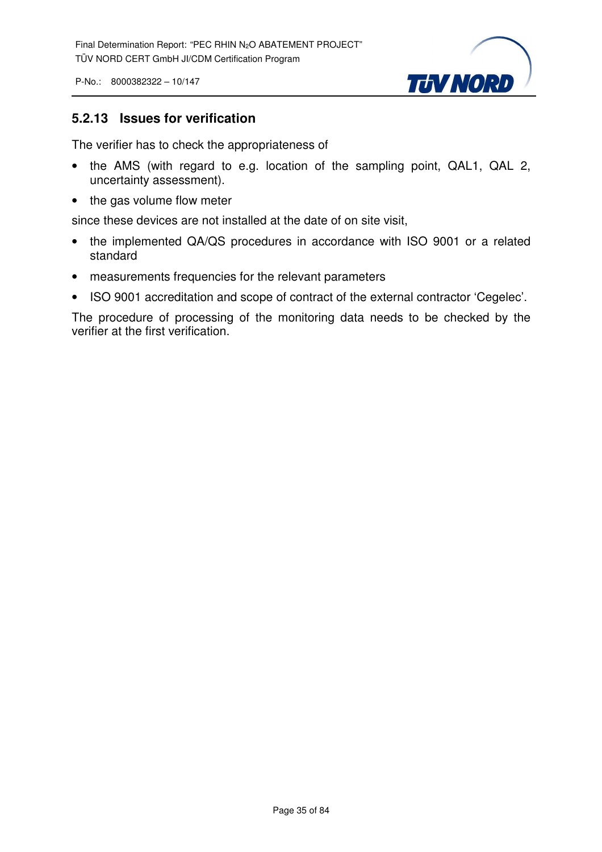

#### **5.2.13 Issues for verification**

The verifier has to check the appropriateness of

- the AMS (with regard to e.g. location of the sampling point, QAL1, QAL 2, uncertainty assessment).
- the gas volume flow meter

since these devices are not installed at the date of on site visit,

- the implemented QA/QS procedures in accordance with ISO 9001 or a related standard
- measurements frequencies for the relevant parameters
- ISO 9001 accreditation and scope of contract of the external contractor 'Cegelec'.

The procedure of processing of the monitoring data needs to be checked by the verifier at the first verification.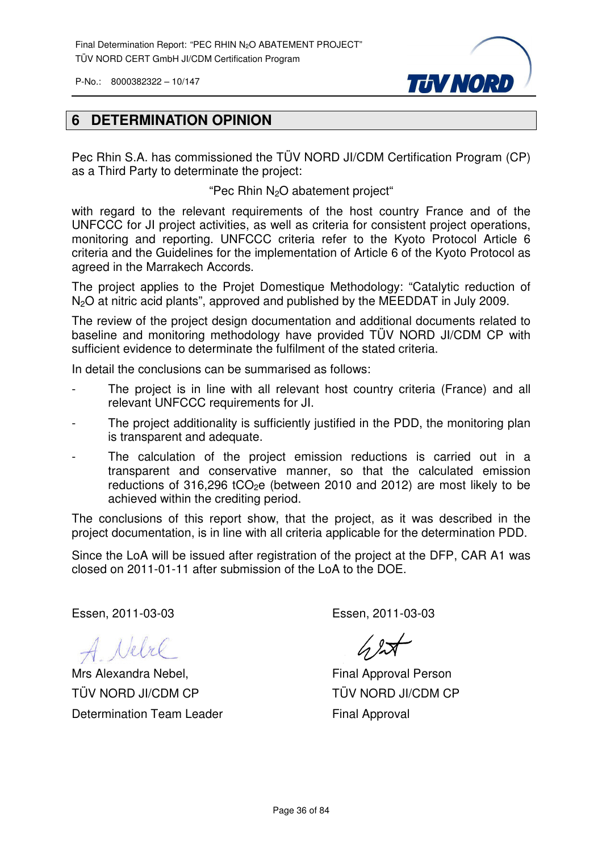

#### **6 DETERMINATION OPINION**

Pec Rhin S.A. has commissioned the TÜV NORD JI/CDM Certification Program (CP) as a Third Party to determinate the project:

"Pec Rhin  $N_2O$  abatement project"

with regard to the relevant requirements of the host country France and of the UNFCCC for JI project activities, as well as criteria for consistent project operations, monitoring and reporting. UNFCCC criteria refer to the Kyoto Protocol Article 6 criteria and the Guidelines for the implementation of Article 6 of the Kyoto Protocol as agreed in the Marrakech Accords.

The project applies to the Projet Domestique Methodology: "Catalytic reduction of N<sub>2</sub>O at nitric acid plants", approved and published by the MEEDDAT in July 2009.

The review of the project design documentation and additional documents related to baseline and monitoring methodology have provided TÜV NORD JI/CDM CP with sufficient evidence to determinate the fulfilment of the stated criteria.

In detail the conclusions can be summarised as follows:

- The project is in line with all relevant host country criteria (France) and all relevant UNFCCC requirements for JI.
- The project additionality is sufficiently justified in the PDD, the monitoring plan is transparent and adequate.
- The calculation of the project emission reductions is carried out in a transparent and conservative manner, so that the calculated emission reductions of 316,296 tCO<sub>2</sub>e (between 2010 and 2012) are most likely to be achieved within the crediting period.

The conclusions of this report show, that the project, as it was described in the project documentation, is in line with all criteria applicable for the determination PDD.

Since the LoA will be issued after registration of the project at the DFP, CAR A1 was closed on 2011-01-11 after submission of the LoA to the DOE.

Essen, 2011-03-03

A Nebre

Mrs Alexandra Nebel, TÜV NORD JI/CDM CP Determination Team Leader

Essen, 2011-03-03

 $42$ 

Final Approval Person TÜV NORD JI/CDM CP Final Approval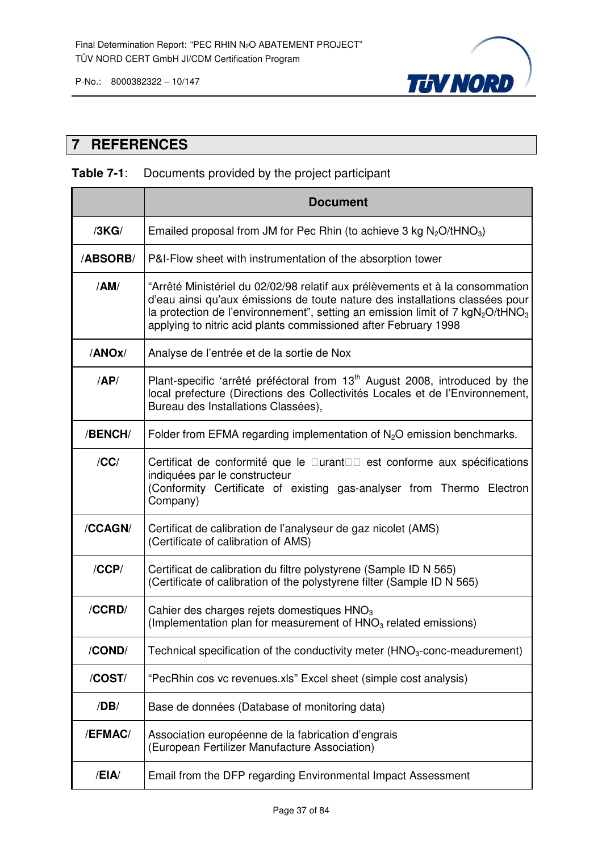

## **7 REFERENCES**

## **Table 7-1**: Documents provided by the project participant

|          | <b>Document</b>                                                                                                                                                                                                                                                                                                                             |
|----------|---------------------------------------------------------------------------------------------------------------------------------------------------------------------------------------------------------------------------------------------------------------------------------------------------------------------------------------------|
| /3KG/    | Emailed proposal from JM for Pec Rhin (to achieve 3 kg $N_2O/tHNO_3$ )                                                                                                                                                                                                                                                                      |
| /ABSORB/ | P&I-Flow sheet with instrumentation of the absorption tower                                                                                                                                                                                                                                                                                 |
| /AM/     | "Arrêté Ministériel du 02/02/98 relatif aux prélèvements et à la consommation<br>d'eau ainsi qu'aux émissions de toute nature des installations classées pour<br>la protection de l'environnement", setting an emission limit of $7 \text{ kgN}_2\text{O}/\text{tHNO}_3$<br>applying to nitric acid plants commissioned after February 1998 |
| /ANOx/   | Analyse de l'entrée et de la sortie de Nox                                                                                                                                                                                                                                                                                                  |
| AP/      | Plant-specific 'arrêté préféctoral from 13 <sup>th</sup> August 2008, introduced by the<br>local prefecture (Directions des Collectivités Locales et de l'Environnement,<br>Bureau des Installations Classées),                                                                                                                             |
| /BENCH/  | Folder from EFMA regarding implementation of $N2O$ emission benchmarks.                                                                                                                                                                                                                                                                     |
| /CC/     | Certificat de conformité que le urant<br>est conforme aux spécifications<br>indiquées par le constructeur<br>(Conformity Certificate of existing gas-analyser from Thermo Electron<br>Company)                                                                                                                                              |
| /CCAGN/  | Certificat de calibration de l'analyseur de gaz nicolet (AMS)<br>(Certificate of calibration of AMS)                                                                                                                                                                                                                                        |
| /CCP/    | Certificat de calibration du filtre polystyrene (Sample ID N 565)<br>(Certificate of calibration of the polystyrene filter (Sample ID N 565)                                                                                                                                                                                                |
| /CCRD/   | Cahier des charges rejets domestiques HNO <sub>3</sub><br>(Implementation plan for measurement of HNO <sub>3</sub> related emissions)                                                                                                                                                                                                       |
| /COND/   | Technical specification of the conductivity meter $(HNO3-conc-meanedurement)$                                                                                                                                                                                                                                                               |
| /COST/   | "PecRhin cos vc revenues.xls" Excel sheet (simple cost analysis)                                                                                                                                                                                                                                                                            |
| /DB/     | Base de données (Database of monitoring data)                                                                                                                                                                                                                                                                                               |
| /EFMAC/  | Association européenne de la fabrication d'engrais<br>(European Fertilizer Manufacture Association)                                                                                                                                                                                                                                         |
| /EIA/    | Email from the DFP regarding Environmental Impact Assessment                                                                                                                                                                                                                                                                                |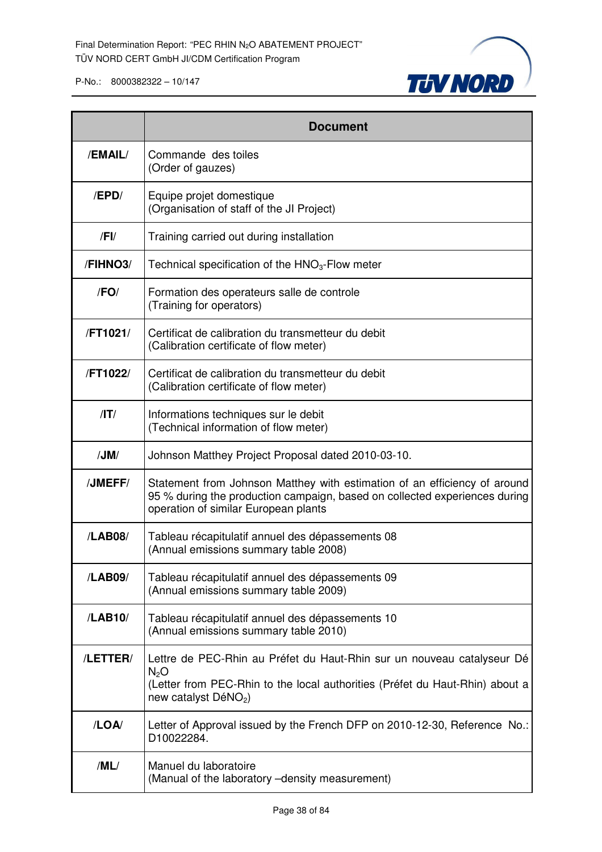

|            | <b>Document</b>                                                                                                                                                                                 |
|------------|-------------------------------------------------------------------------------------------------------------------------------------------------------------------------------------------------|
| /EMAIL/    | Commande des toiles<br>(Order of gauzes)                                                                                                                                                        |
| /EPD/      | Equipe projet domestique<br>(Organisation of staff of the JI Project)                                                                                                                           |
| $/$ FI $/$ | Training carried out during installation                                                                                                                                                        |
| /FIHNO3/   | Technical specification of the $HNO3$ -Flow meter                                                                                                                                               |
| /FO/       | Formation des operateurs salle de controle<br>(Training for operators)                                                                                                                          |
| /FT1021/   | Certificat de calibration du transmetteur du debit<br>(Calibration certificate of flow meter)                                                                                                   |
| /FT1022/   | Certificat de calibration du transmetteur du debit<br>(Calibration certificate of flow meter)                                                                                                   |
| $/$ T $/$  | Informations techniques sur le debit<br>(Technical information of flow meter)                                                                                                                   |
| /JM/       | Johnson Matthey Project Proposal dated 2010-03-10.                                                                                                                                              |
| /JMEFF/    | Statement from Johnson Matthey with estimation of an efficiency of around<br>95 % during the production campaign, based on collected experiences during<br>operation of similar European plants |
| /LAB08/    | Tableau récapitulatif annuel des dépassements 08<br>(Annual emissions summary table 2008)                                                                                                       |
| /LAB09/    | Tableau récapitulatif annuel des dépassements 09<br>(Annual emissions summary table 2009)                                                                                                       |
| /LAB10/    | Tableau récapitulatif annuel des dépassements 10<br>(Annual emissions summary table 2010)                                                                                                       |
| /LETTER/   | Lettre de PEC-Rhin au Préfet du Haut-Rhin sur un nouveau catalyseur Dé<br>$N_2O$<br>(Letter from PEC-Rhin to the local authorities (Préfet du Haut-Rhin) about a<br>new catalyst $DéNO2$ )      |
| /LOA/      | Letter of Approval issued by the French DFP on 2010-12-30, Reference No.:<br>D10022284.                                                                                                         |
| /ML/       | Manuel du laboratoire<br>(Manual of the laboratory -density measurement)                                                                                                                        |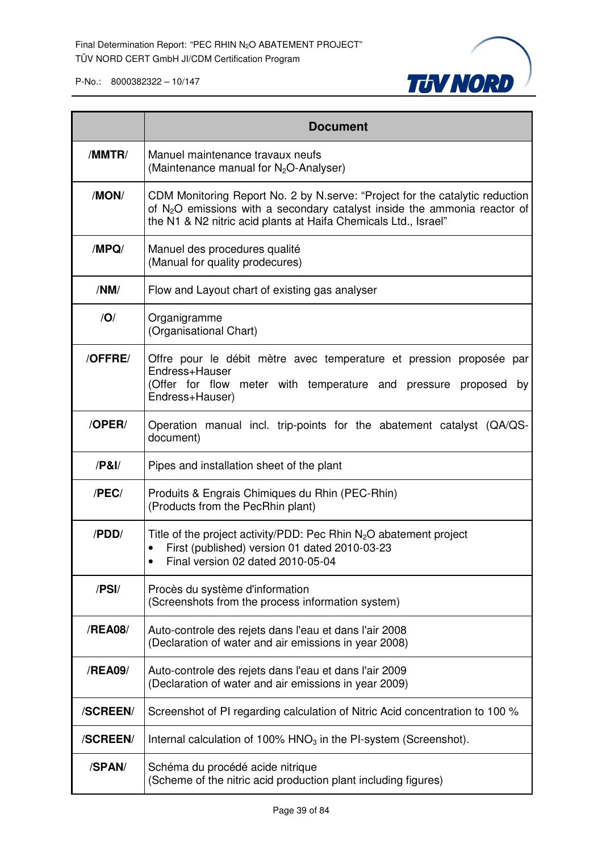

|          | <b>Document</b>                                                                                                                                                                                                                |
|----------|--------------------------------------------------------------------------------------------------------------------------------------------------------------------------------------------------------------------------------|
| /MMTR/   | Manuel maintenance travaux neufs<br>(Maintenance manual for N <sub>2</sub> O-Analyser)                                                                                                                                         |
| /MON/    | CDM Monitoring Report No. 2 by N.serve: "Project for the catalytic reduction<br>of $N_2O$ emissions with a secondary catalyst inside the ammonia reactor of<br>the N1 & N2 nitric acid plants at Haifa Chemicals Ltd., Israel" |
| /MPQ/    | Manuel des procedures qualité<br>(Manual for quality prodecures)                                                                                                                                                               |
| /NM/     | Flow and Layout chart of existing gas analyser                                                                                                                                                                                 |
| IO/      | Organigramme<br>(Organisational Chart)                                                                                                                                                                                         |
| /OFFRE/  | Offre pour le débit mètre avec temperature et pression proposée par<br>Endress+Hauser<br>(Offer for flow meter with temperature and pressure proposed<br>by<br>Endress+Hauser)                                                 |
| /OPER/   | Operation manual incl. trip-points for the abatement catalyst (QA/QS-<br>document)                                                                                                                                             |
| /P&I/    | Pipes and installation sheet of the plant                                                                                                                                                                                      |
| /PEC/    | Produits & Engrais Chimiques du Rhin (PEC-Rhin)<br>(Products from the PecRhin plant)                                                                                                                                           |
| /PDD/    | Title of the project activity/PDD: Pec Rhin $N_2O$ abatement project<br>First (published) version 01 dated 2010-03-23<br>Final version 02 dated 2010-05-04                                                                     |
| /PSI/    | Procès du système d'information<br>(Screenshots from the process information system)                                                                                                                                           |
| /REA08/  | Auto-controle des rejets dans l'eau et dans l'air 2008<br>(Declaration of water and air emissions in year 2008)                                                                                                                |
| /REA09/  | Auto-controle des rejets dans l'eau et dans l'air 2009<br>(Declaration of water and air emissions in year 2009)                                                                                                                |
| /SCREEN/ | Screenshot of PI regarding calculation of Nitric Acid concentration to 100 %                                                                                                                                                   |
| /SCREEN/ | Internal calculation of 100% $HNO3$ in the PI-system (Screenshot).                                                                                                                                                             |
| /SPAN/   | Schéma du procédé acide nitrique<br>(Scheme of the nitric acid production plant including figures)                                                                                                                             |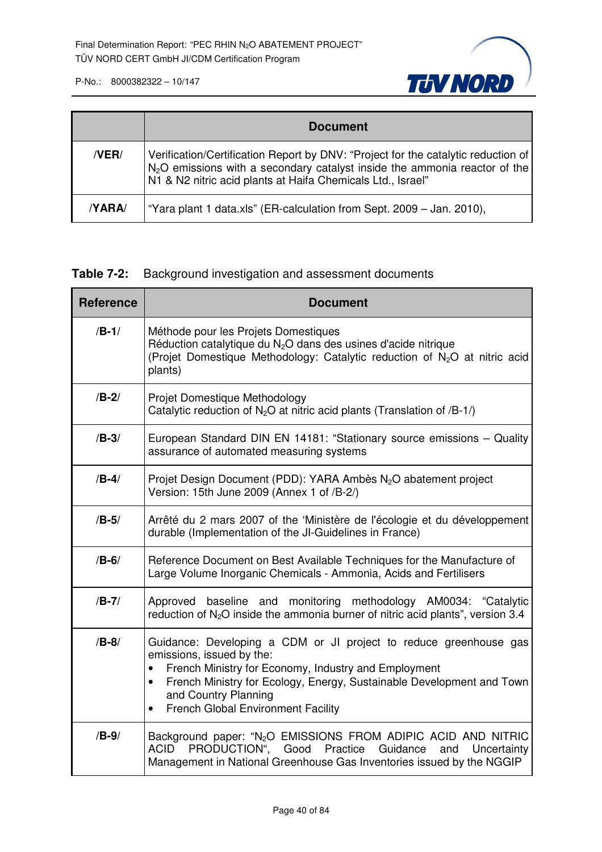

|       | <b>Document</b>                                                                                                                                                                                                                   |
|-------|-----------------------------------------------------------------------------------------------------------------------------------------------------------------------------------------------------------------------------------|
| /VER/ | Verification/Certification Report by DNV: "Project for the catalytic reduction of<br>$N_2$ O emissions with a secondary catalyst inside the ammonia reactor of the<br>N1 & N2 nitric acid plants at Haifa Chemicals Ltd., Israel" |
| YARA/ | "Yara plant 1 data.xls" (ER-calculation from Sept. 2009 – Jan. 2010),                                                                                                                                                             |

## **Table 7-2:** Background investigation and assessment documents

| <b>Reference</b> | <b>Document</b>                                                                                                                                                                                                                                                                                                                |
|------------------|--------------------------------------------------------------------------------------------------------------------------------------------------------------------------------------------------------------------------------------------------------------------------------------------------------------------------------|
| $/B-1/$          | Méthode pour les Projets Domestiques<br>Réduction catalytique du $N2O$ dans des usines d'acide nitrique<br>(Projet Domestique Methodology: Catalytic reduction of N <sub>2</sub> O at nitric acid<br>plants)                                                                                                                   |
| $/B-2/$          | Projet Domestique Methodology<br>Catalytic reduction of $N_2O$ at nitric acid plants (Translation of /B-1/)                                                                                                                                                                                                                    |
| $/B-3/$          | European Standard DIN EN 14181: "Stationary source emissions - Quality<br>assurance of automated measuring systems                                                                                                                                                                                                             |
| $/B-4/$          | Projet Design Document (PDD): YARA Ambès N <sub>2</sub> O abatement project<br>Version: 15th June 2009 (Annex 1 of /B-2/)                                                                                                                                                                                                      |
| $/B-5/$          | Arrêté du 2 mars 2007 of the 'Ministère de l'écologie et du développement<br>durable (Implementation of the JI-Guidelines in France)                                                                                                                                                                                           |
| $/B-6/$          | Reference Document on Best Available Techniques for the Manufacture of<br>Large Volume Inorganic Chemicals - Ammonia, Acids and Fertilisers                                                                                                                                                                                    |
| $/B-7/$          | baseline and monitoring methodology AM0034: "Catalytic<br>Approved<br>reduction of $N_2O$ inside the ammonia burner of nitric acid plants", version 3.4                                                                                                                                                                        |
| $/B-8/$          | Guidance: Developing a CDM or JI project to reduce greenhouse gas<br>emissions, issued by the:<br>French Ministry for Economy, Industry and Employment<br>French Ministry for Ecology, Energy, Sustainable Development and Town<br>$\bullet$<br>and Country Planning<br><b>French Global Environment Facility</b><br>$\bullet$ |
| $/B-9/$          | Background paper: "N <sub>2</sub> O EMISSIONS FROM ADIPIC ACID AND NITRIC<br>PRODUCTION", Good Practice<br>ACID<br>Guidance<br>Uncertainty<br>and<br>Management in National Greenhouse Gas Inventories issued by the NGGIP                                                                                                     |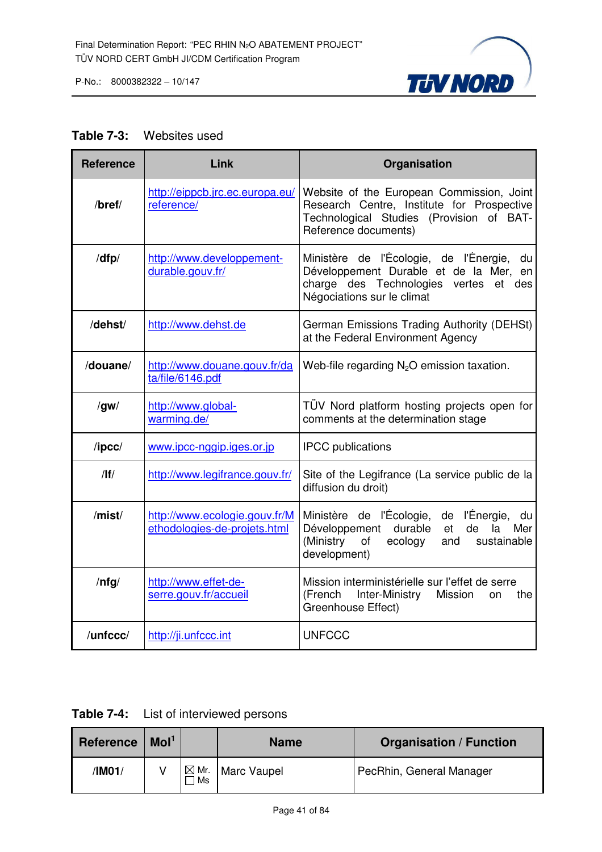

#### **Table 7-3:** Websites used

| <b>Reference</b> | Link                                                          | Organisation                                                                                                                                                     |
|------------------|---------------------------------------------------------------|------------------------------------------------------------------------------------------------------------------------------------------------------------------|
| /bref/           | http://eippcb.jrc.ec.europa.eu/<br>reference/                 | Website of the European Commission, Joint<br>Research Centre, Institute for Prospective<br>Technological Studies (Provision of BAT-<br>Reference documents)      |
| /dfp/            | http://www.developpement-<br>durable.gouv.fr/                 | Ministère de l'Écologie, de l'Énergie,<br>du<br>Développement Durable et de la Mer, en<br>charge des Technologies vertes<br>et des<br>Négociations sur le climat |
| /dehst/          | http://www.dehst.de                                           | German Emissions Trading Authority (DEHSt)<br>at the Federal Environment Agency                                                                                  |
| /douane/         | http://www.douane.gouv.fr/da<br>ta/file/6146.pdf              | Web-file regarding $N_2O$ emission taxation.                                                                                                                     |
| /gw/             | http://www.global-<br>warming.de/                             | TÜV Nord platform hosting projects open for<br>comments at the determination stage                                                                               |
| $/$ ipcc $/$     | www.ipcc-nggip.iges.or.jp                                     | <b>IPCC</b> publications                                                                                                                                         |
| /                | http://www.legifrance.gouv.fr/                                | Site of the Legifrance (La service public de la<br>diffusion du droit)                                                                                           |
| /mist/           | http://www.ecologie.gouv.fr/M<br>ethodologies-de-projets.html | Ministère de l'Écologie, de l'Énergie, du<br>Développement durable<br>de<br>et<br>la<br>Mer<br>(Ministry<br>of<br>ecology<br>sustainable<br>and<br>development)  |
| $/$ nfg $/$      | http://www.effet-de-<br>serre.gouv.fr/accueil                 | Mission interministérielle sur l'effet de serre<br>Inter-Ministry Mission<br>(French<br>the<br><b>on</b><br>Greenhouse Effect)                                   |
| /unfccc/         | http://ji.unfccc.int                                          | <b>UNFCCC</b>                                                                                                                                                    |

**Table 7-4:** List of interviewed persons

| Reference | Mol <sup>1</sup> |                       | <b>Organisation / Function</b><br><b>Name</b> |                          |
|-----------|------------------|-----------------------|-----------------------------------------------|--------------------------|
| /IM01/    |                  | $\boxtimes$ Mr.<br>Ms | Marc Vaupel                                   | PecRhin, General Manager |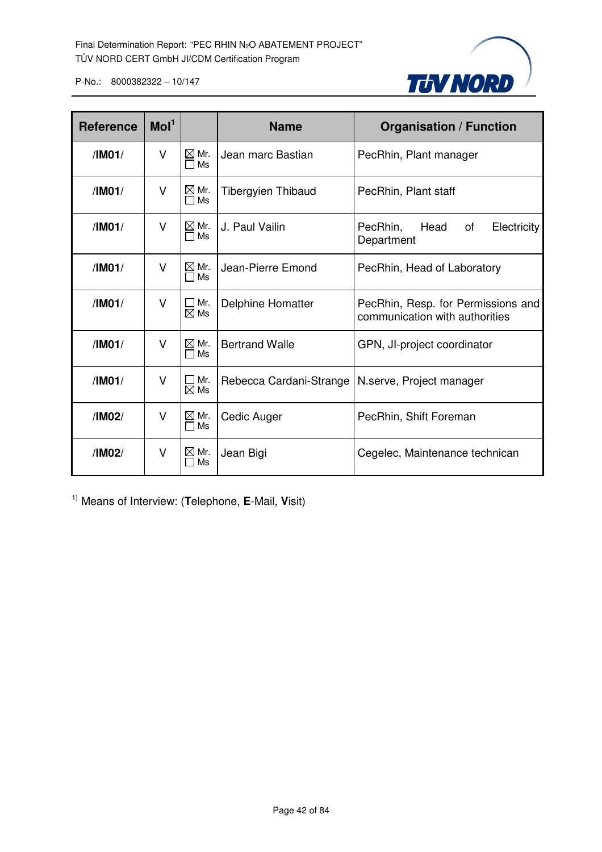

| <b>Reference</b> | Mol <sup>1</sup> |                            | <b>Name</b>               | <b>Organisation / Function</b>                                       |  |
|------------------|------------------|----------------------------|---------------------------|----------------------------------------------------------------------|--|
| /IM01/           | V                | $\boxtimes$ Mr.<br>Ms<br>П | Jean marc Bastian         | PecRhin, Plant manager                                               |  |
| /IM01/           | v                | $\boxtimes$ Mr.<br>Ms      | <b>Tibergyien Thibaud</b> | PecRhin, Plant staff                                                 |  |
| /IMO1/           | V                | $\boxtimes$ Mr.<br>Ms      | J. Paul Vailin            | Head<br>PecRhin,<br>of<br>Electricity<br>Department                  |  |
| /IM01/           | V                | $\boxtimes$ Mr.<br>Ms      | Jean-Pierre Emond         | PecRhin, Head of Laboratory                                          |  |
| /IMO1/           | V                | Mr.<br>$\boxtimes$ Ms      | Delphine Homatter         | PecRhin, Resp. for Permissions and<br>communication with authorities |  |
| /IM01/           | V                | $\boxtimes$ Mr.<br>Ms      | <b>Bertrand Walle</b>     | GPN, JI-project coordinator                                          |  |
| /IM01/           | v                | Mr.<br>$\boxtimes$ Ms      | Rebecca Cardani-Strange   | N.serve, Project manager                                             |  |
| /IM02/           | V                | $\boxtimes$ Mr.<br>Ms      | Cedic Auger               | PecRhin, Shift Foreman                                               |  |
| /IM02/           | V                | $\boxtimes$ Mr.<br>Ms      | Jean Bigi                 | Cegelec, Maintenance technican                                       |  |

1) Means of Interview: (**T**elephone, **E**-Mail, **V**isit)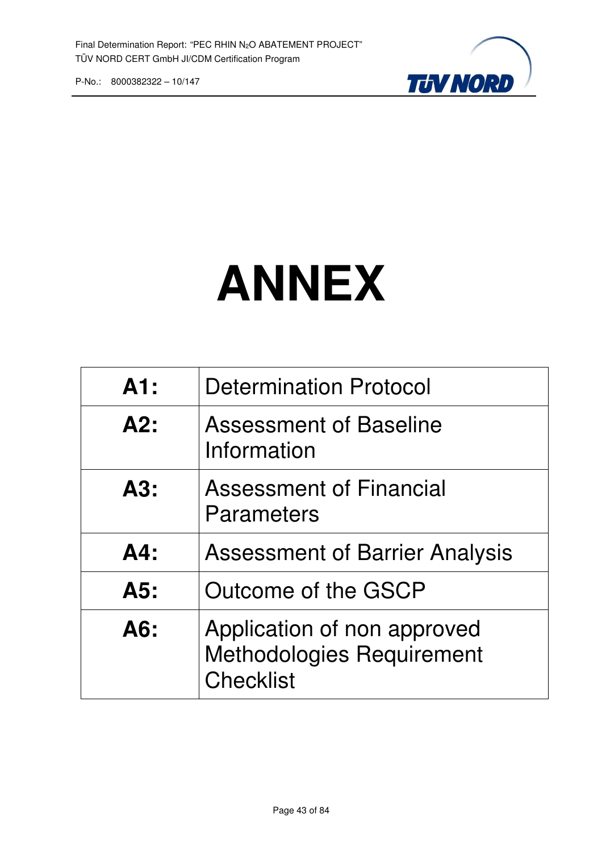

# **ANNEX**

| A1:    | <b>Determination Protocol</b>                                                       |
|--------|-------------------------------------------------------------------------------------|
| A2:    | <b>Assessment of Baseline</b><br>Information                                        |
| A3:    | <b>Assessment of Financial</b><br>Parameters                                        |
| $AA$ : | <b>Assessment of Barrier Analysis</b>                                               |
| A5:    | Outcome of the GSCP                                                                 |
| A6:    | Application of non approved<br><b>Methodologies Requirement</b><br><b>Checklist</b> |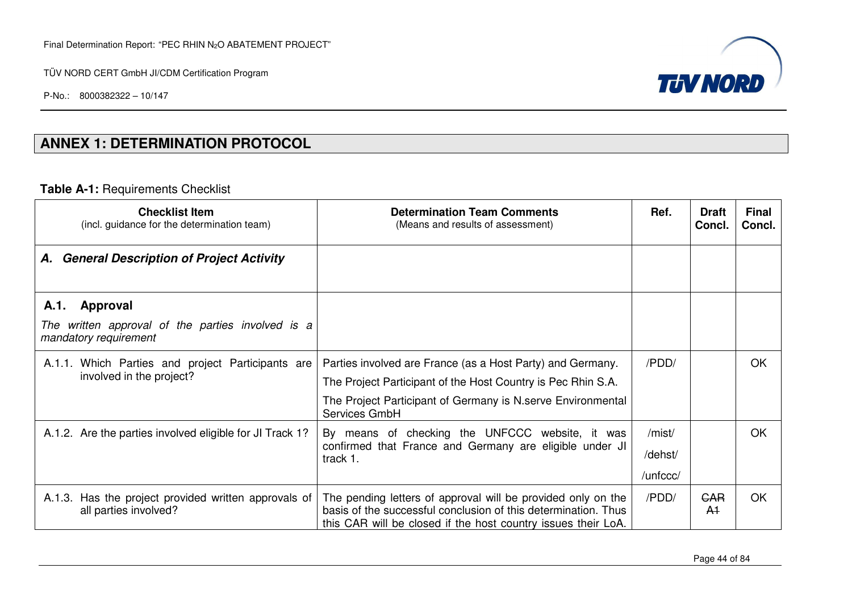P-No.: 8000382322 – 10/147



# **ANNEX 1: DETERMINATION PROTOCOL**

#### **Table A-1:** Requirements Checklist

| <b>Checklist Item</b><br>(incl. guidance for the determination team)                           | <b>Determination Team Comments</b><br>(Means and results of assessment)                                                                                                                                     | Ref.                          | <b>Draft</b><br>Concl.       | <b>Final</b><br>Concl. |
|------------------------------------------------------------------------------------------------|-------------------------------------------------------------------------------------------------------------------------------------------------------------------------------------------------------------|-------------------------------|------------------------------|------------------------|
| <b>General Description of Project Activity</b><br>А.                                           |                                                                                                                                                                                                             |                               |                              |                        |
| Approval<br>A.1.<br>The written approval of the parties involved is a<br>mandatory requirement |                                                                                                                                                                                                             |                               |                              |                        |
| A.1.1. Which Parties and project Participants are<br>involved in the project?                  | Parties involved are France (as a Host Party) and Germany.<br>The Project Participant of the Host Country is Pec Rhin S.A.<br>The Project Participant of Germany is N. serve Environmental<br>Services GmbH | /PDD/                         |                              | OK                     |
| A.1.2. Are the parties involved eligible for JI Track 1?                                       | By means of checking the UNFCCC website, it was<br>confirmed that France and Germany are eligible under JI<br>track 1.                                                                                      | /mist/<br>/dehst/<br>/unfccc/ |                              | OK                     |
| Has the project provided written approvals of<br>A.1.3.<br>all parties involved?               | The pending letters of approval will be provided only on the<br>basis of the successful conclusion of this determination. Thus<br>this CAR will be closed if the host country issues their LoA.             | /PDD/                         | <b>GAR</b><br>A <sup>1</sup> | <b>OK</b>              |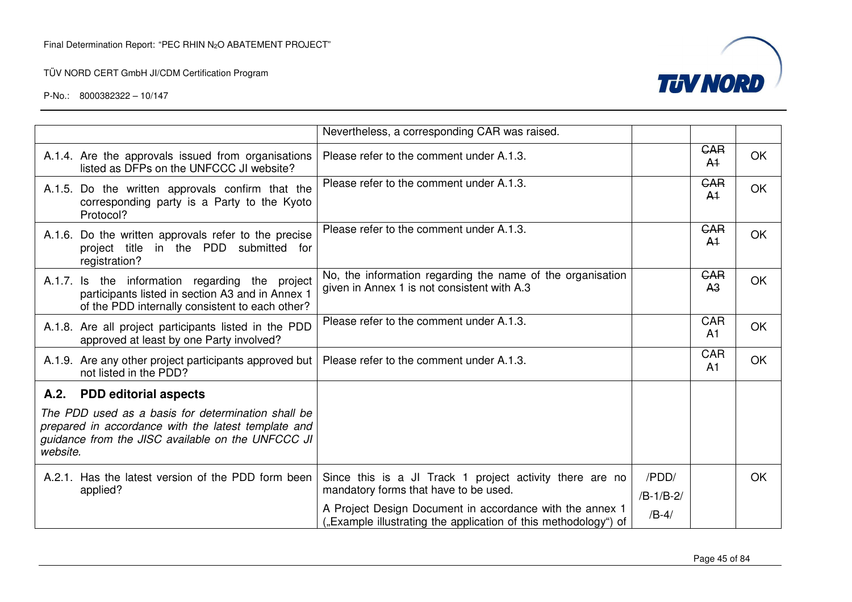

|          |                                                                                                                                                                | Nevertheless, a corresponding CAR was raised.                                                                              |                      |                              |           |
|----------|----------------------------------------------------------------------------------------------------------------------------------------------------------------|----------------------------------------------------------------------------------------------------------------------------|----------------------|------------------------------|-----------|
|          | A.1.4. Are the approvals issued from organisations<br>listed as DFPs on the UNFCCC JI website?                                                                 | Please refer to the comment under A.1.3.                                                                                   |                      | <b>GAR</b><br>A <sup>1</sup> | <b>OK</b> |
|          | A.1.5. Do the written approvals confirm that the<br>corresponding party is a Party to the Kyoto<br>Protocol?                                                   | Please refer to the comment under A.1.3.                                                                                   |                      | <b>GAR</b><br>A <sup>1</sup> | <b>OK</b> |
|          | A.1.6. Do the written approvals refer to the precise<br>project title in the PDD submitted for<br>registration?                                                | Please refer to the comment under A.1.3.                                                                                   |                      | <b>GAR</b><br>A <sup>1</sup> | <b>OK</b> |
|          | A.1.7. Is the information regarding the project<br>participants listed in section A3 and in Annex 1<br>of the PDD internally consistent to each other?         | No, the information regarding the name of the organisation<br>given in Annex 1 is not consistent with A.3                  |                      | <b>GAR</b><br>A <sub>3</sub> | <b>OK</b> |
|          | A.1.8. Are all project participants listed in the PDD<br>approved at least by one Party involved?                                                              | Please refer to the comment under A.1.3.                                                                                   |                      | <b>CAR</b><br>A <sub>1</sub> | <b>OK</b> |
|          | A.1.9. Are any other project participants approved but<br>not listed in the PDD?                                                                               | Please refer to the comment under A.1.3.                                                                                   |                      | CAR<br>A <sub>1</sub>        | <b>OK</b> |
| A.2.     | <b>PDD editorial aspects</b>                                                                                                                                   |                                                                                                                            |                      |                              |           |
| website. | The PDD used as a basis for determination shall be<br>prepared in accordance with the latest template and<br>guidance from the JISC available on the UNFCCC JI |                                                                                                                            |                      |                              |           |
|          | A.2.1. Has the latest version of the PDD form been<br>applied?                                                                                                 | Since this is a JI Track 1 project activity there are no<br>mandatory forms that have to be used.                          | /PDD/<br>$/B-1/B-2/$ |                              | <b>OK</b> |
|          |                                                                                                                                                                | A Project Design Document in accordance with the annex 1<br>"Example illustrating the application of this methodology") of | $/B-4/$              |                              |           |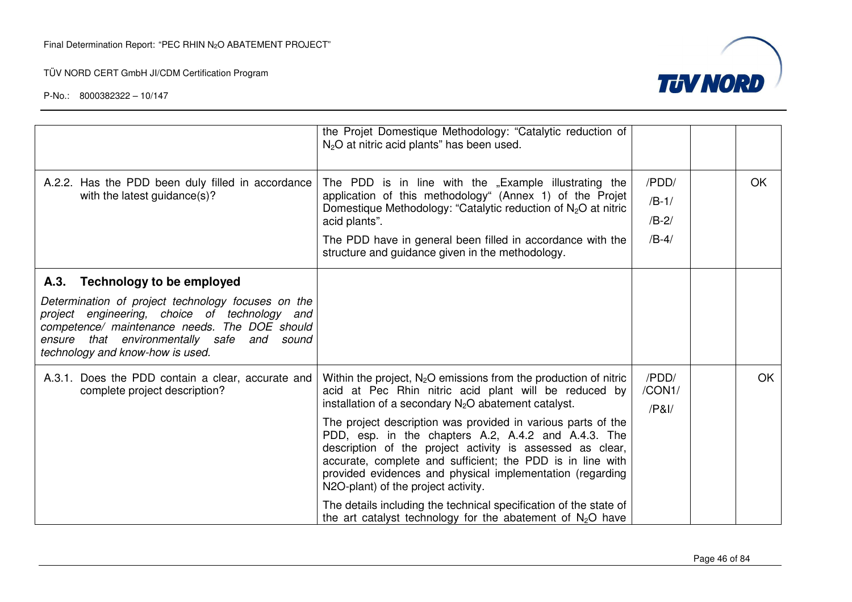

|                                                                                                                                                                                                                                                                                       | the Projet Domestique Methodology: "Catalytic reduction of<br>$N2O$ at nitric acid plants" has been used.                                                                                                                                                                                                                                                                                                                                                                                                                                                                                                                                                                        |                                        |           |
|---------------------------------------------------------------------------------------------------------------------------------------------------------------------------------------------------------------------------------------------------------------------------------------|----------------------------------------------------------------------------------------------------------------------------------------------------------------------------------------------------------------------------------------------------------------------------------------------------------------------------------------------------------------------------------------------------------------------------------------------------------------------------------------------------------------------------------------------------------------------------------------------------------------------------------------------------------------------------------|----------------------------------------|-----------|
| A.2.2. Has the PDD been duly filled in accordance<br>with the latest guidance(s)?                                                                                                                                                                                                     | The PDD is in line with the "Example illustrating the<br>application of this methodology" (Annex 1) of the Projet<br>Domestique Methodology: "Catalytic reduction of $N_2O$ at nitric<br>acid plants".<br>The PDD have in general been filled in accordance with the<br>structure and guidance given in the methodology.                                                                                                                                                                                                                                                                                                                                                         | /PDD/<br>$/B-1/$<br>$/B-2/$<br>$/B-4/$ | OK.       |
| <b>Technology to be employed</b><br>A.3.<br>Determination of project technology focuses on the<br>project engineering, choice of technology and<br>competence/ maintenance needs. The DOE should<br>ensure that environmentally safe and<br>sound<br>technology and know-how is used. |                                                                                                                                                                                                                                                                                                                                                                                                                                                                                                                                                                                                                                                                                  |                                        |           |
| A.3.1. Does the PDD contain a clear, accurate and<br>complete project description?                                                                                                                                                                                                    | Within the project, $N_2O$ emissions from the production of nitric<br>acid at Pec Rhin nitric acid plant will be reduced by<br>installation of a secondary $N_2O$ abatement catalyst.<br>The project description was provided in various parts of the<br>PDD, esp. in the chapters A.2, A.4.2 and A.4.3. The<br>description of the project activity is assessed as clear,<br>accurate, complete and sufficient; the PDD is in line with<br>provided evidences and physical implementation (regarding<br>N2O-plant) of the project activity.<br>The details including the technical specification of the state of<br>the art catalyst technology for the abatement of $N_2O$ have | /PDD/<br>/CON1/<br>/PA                 | <b>OK</b> |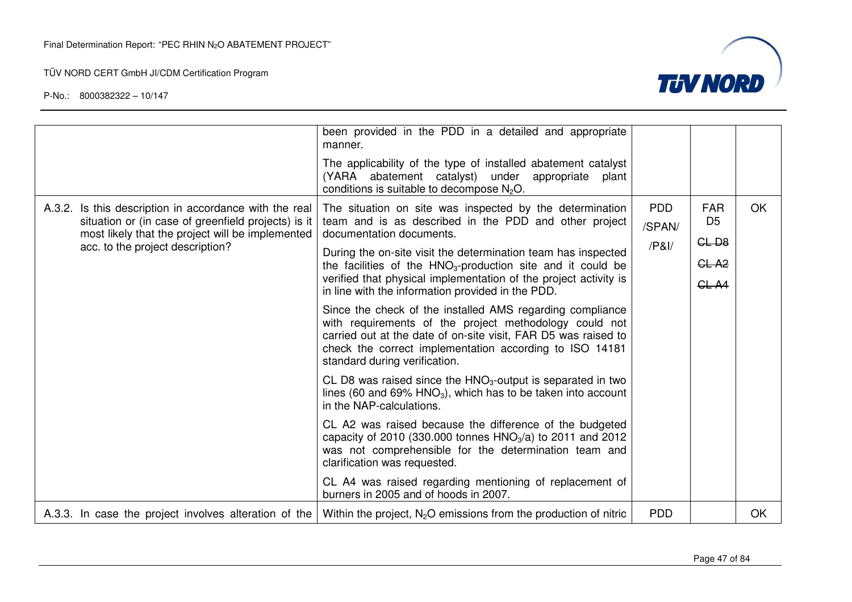

|                                                                                                                                                                                                       | been provided in the PDD in a detailed and appropriate<br>manner.<br>The applicability of the type of installed abatement catalyst<br>(YARA abatement catalyst) under<br>appropriate<br>plant<br>conditions is suitable to decompose $N2O$ .                                                                                                                                                                                                                                                                                                                                                                                                                                                                                                                                                                                                                                                                                                                                                                                                                                                                                                                                        |                             |                                                          |    |
|-------------------------------------------------------------------------------------------------------------------------------------------------------------------------------------------------------|-------------------------------------------------------------------------------------------------------------------------------------------------------------------------------------------------------------------------------------------------------------------------------------------------------------------------------------------------------------------------------------------------------------------------------------------------------------------------------------------------------------------------------------------------------------------------------------------------------------------------------------------------------------------------------------------------------------------------------------------------------------------------------------------------------------------------------------------------------------------------------------------------------------------------------------------------------------------------------------------------------------------------------------------------------------------------------------------------------------------------------------------------------------------------------------|-----------------------------|----------------------------------------------------------|----|
| A.3.2. Is this description in accordance with the real<br>situation or (in case of greenfield projects) is it<br>most likely that the project will be implemented<br>acc. to the project description? | The situation on site was inspected by the determination<br>team and is as described in the PDD and other project<br>documentation documents.<br>During the on-site visit the determination team has inspected<br>the facilities of the $HNO3-production$ site and it could be<br>verified that physical implementation of the project activity is<br>in line with the information provided in the PDD.<br>Since the check of the installed AMS regarding compliance<br>with requirements of the project methodology could not<br>carried out at the date of on-site visit, FAR D5 was raised to<br>check the correct implementation according to ISO 14181<br>standard during verification.<br>CL D8 was raised since the $HNO3$ -output is separated in two<br>lines (60 and 69% $HNO3$ ), which has to be taken into account<br>in the NAP-calculations.<br>CL A2 was raised because the difference of the budgeted<br>capacity of 2010 (330.000 tonnes $HNO3/a$ ) to 2011 and 2012<br>was not comprehensible for the determination team and<br>clarification was requested.<br>CL A4 was raised regarding mentioning of replacement of<br>burners in 2005 and of hoods in 2007. | <b>PDD</b><br>/SPAN/<br>/PA | <b>FAR</b><br>D <sub>5</sub><br>$CL-DB$<br>GLA2<br>CL A4 | OK |
| A.3.3. In case the project involves alteration of the                                                                                                                                                 | Within the project, $N_2O$ emissions from the production of nitric                                                                                                                                                                                                                                                                                                                                                                                                                                                                                                                                                                                                                                                                                                                                                                                                                                                                                                                                                                                                                                                                                                                  | <b>PDD</b>                  |                                                          | OK |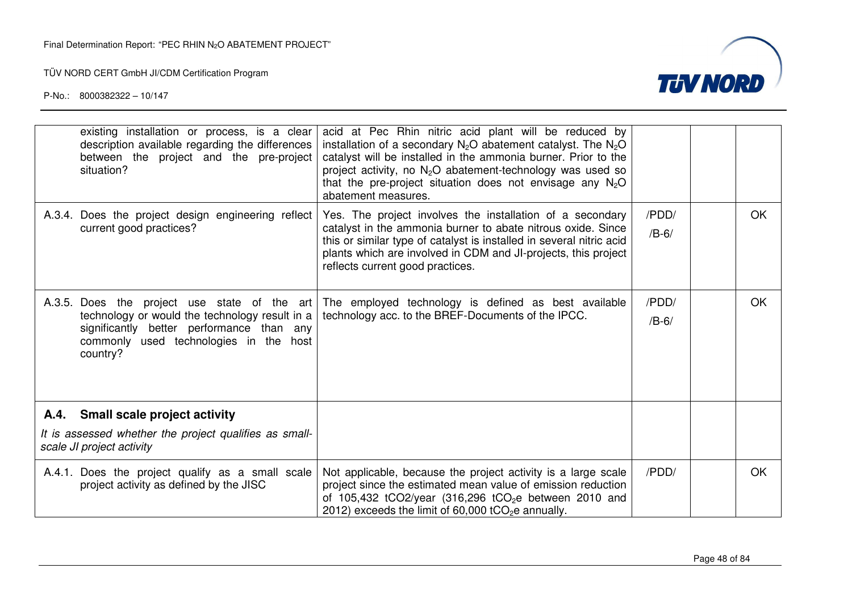

| existing installation or process, is a clear<br>description available regarding the differences<br>between the project and the pre-project<br>situation?                                          | acid at Pec Rhin nitric acid plant will be reduced by<br>installation of a secondary $N_2O$ abatement catalyst. The $N_2O$<br>catalyst will be installed in the ammonia burner. Prior to the<br>project activity, no $N_2O$ abatement-technology was used so<br>that the pre-project situation does not envisage any $N_2O$<br>abatement measures. |                  |     |
|---------------------------------------------------------------------------------------------------------------------------------------------------------------------------------------------------|----------------------------------------------------------------------------------------------------------------------------------------------------------------------------------------------------------------------------------------------------------------------------------------------------------------------------------------------------|------------------|-----|
| A.3.4. Does the project design engineering reflect<br>current good practices?                                                                                                                     | Yes. The project involves the installation of a secondary<br>catalyst in the ammonia burner to abate nitrous oxide. Since<br>this or similar type of catalyst is installed in several nitric acid<br>plants which are involved in CDM and JI-projects, this project<br>reflects current good practices.                                            | /PDD/<br>$/B-6/$ | OK. |
| A.3.5. Does the project use state of the art<br>technology or would the technology result in a<br>significantly better performance than any<br>commonly used technologies in the host<br>country? | The employed technology is defined as best available<br>technology acc. to the BREF-Documents of the IPCC.                                                                                                                                                                                                                                         | /PDD/<br>$/B-6/$ | OK. |
| A.4. Small scale project activity                                                                                                                                                                 |                                                                                                                                                                                                                                                                                                                                                    |                  |     |
| It is assessed whether the project qualifies as small-<br>scale JI project activity                                                                                                               |                                                                                                                                                                                                                                                                                                                                                    |                  |     |
| A.4.1. Does the project qualify as a small scale<br>project activity as defined by the JISC                                                                                                       | Not applicable, because the project activity is a large scale<br>project since the estimated mean value of emission reduction<br>of 105,432 tCO2/year (316,296 tCO <sub>2</sub> e between 2010 and<br>2012) exceeds the limit of $60,000$ tCO <sub>2</sub> e annually.                                                                             | /PDD/            | OK  |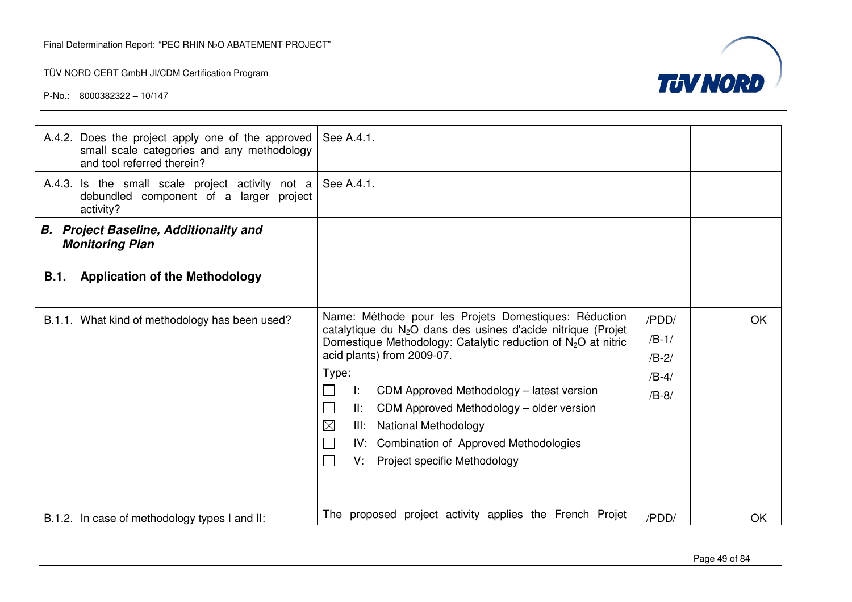

| A.4.2. Does the project apply one of the approved<br>small scale categories and any methodology<br>and tool referred therein? | See A.4.1.                                                                                                                                                                                                                                                                                                                                                                                                                                                                                 |                                                   |    |
|-------------------------------------------------------------------------------------------------------------------------------|--------------------------------------------------------------------------------------------------------------------------------------------------------------------------------------------------------------------------------------------------------------------------------------------------------------------------------------------------------------------------------------------------------------------------------------------------------------------------------------------|---------------------------------------------------|----|
| A.4.3. Is the small scale project activity not a<br>debundled component of a larger project<br>activity?                      | See A.4.1.                                                                                                                                                                                                                                                                                                                                                                                                                                                                                 |                                                   |    |
| <b>B.</b> Project Baseline, Additionality and<br><b>Monitoring Plan</b>                                                       |                                                                                                                                                                                                                                                                                                                                                                                                                                                                                            |                                                   |    |
| <b>Application of the Methodology</b><br><b>B.1.</b>                                                                          |                                                                                                                                                                                                                                                                                                                                                                                                                                                                                            |                                                   |    |
| B.1.1. What kind of methodology has been used?                                                                                | Name: Méthode pour les Projets Domestiques: Réduction<br>catalytique du N <sub>2</sub> O dans des usines d'acide nitrique (Projet<br>Domestique Methodology: Catalytic reduction of $N_2O$ at nitric<br>acid plants) from 2009-07.<br>Type:<br>CDM Approved Methodology – latest version<br>Ŀ.<br>CDM Approved Methodology – older version<br>II:<br>$\boxtimes$<br><b>National Methodology</b><br>III:<br>IV: Combination of Approved Methodologies<br>Project specific Methodology<br>V. | /PDD/<br>$/B-1/$<br>$/B-2/$<br>$/B-4/$<br>$/B-8/$ | OK |
| B.1.2. In case of methodology types I and II:                                                                                 | The proposed project activity applies the French Projet                                                                                                                                                                                                                                                                                                                                                                                                                                    | /PDD/                                             | OK |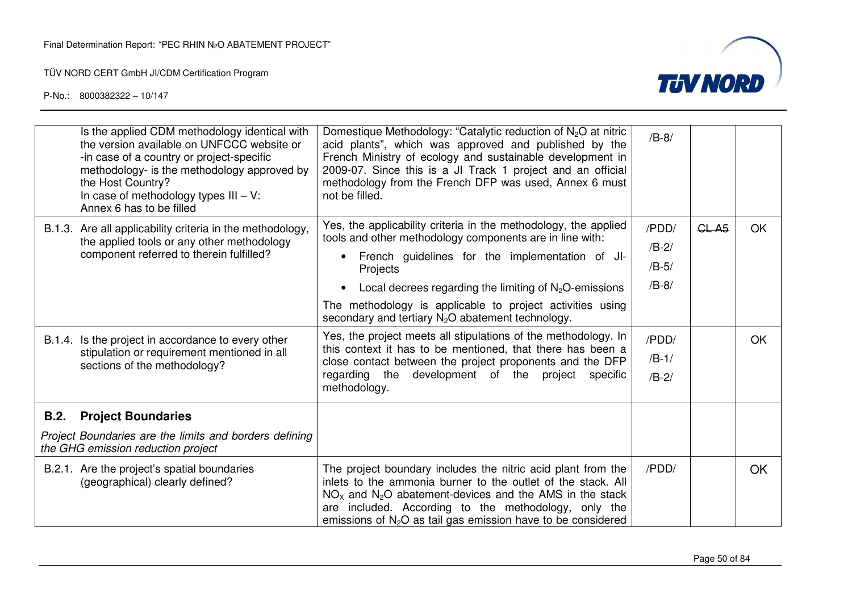

| Is the applied CDM methodology identical with<br>the version available on UNFCCC website or<br>-in case of a country or project-specific<br>methodology- is the methodology approved by<br>the Host Country?<br>In case of methodology types $III - V$ :<br>Annex 6 has to be filled     | Domestique Methodology: "Catalytic reduction of $N_2O$ at nitric<br>acid plants", which was approved and published by the<br>French Ministry of ecology and sustainable development in<br>2009-07. Since this is a JI Track 1 project and an official<br>methodology from the French DFP was used, Annex 6 must<br>not be filled.                                                                                                                                                                                                                                                                                                                        | $/B-8/$                                                               |                   |           |
|------------------------------------------------------------------------------------------------------------------------------------------------------------------------------------------------------------------------------------------------------------------------------------------|----------------------------------------------------------------------------------------------------------------------------------------------------------------------------------------------------------------------------------------------------------------------------------------------------------------------------------------------------------------------------------------------------------------------------------------------------------------------------------------------------------------------------------------------------------------------------------------------------------------------------------------------------------|-----------------------------------------------------------------------|-------------------|-----------|
| B.1.3. Are all applicability criteria in the methodology,<br>the applied tools or any other methodology<br>component referred to therein fulfilled?<br>B.1.4. Is the project in accordance to every other<br>stipulation or requirement mentioned in all<br>sections of the methodology? | Yes, the applicability criteria in the methodology, the applied<br>tools and other methodology components are in line with:<br>French guidelines for the implementation of JI-<br>Projects<br>Local decrees regarding the limiting of $N2O$ -emissions<br>$\bullet$<br>The methodology is applicable to project activities using<br>secondary and tertiary $N_2O$ abatement technology.<br>Yes, the project meets all stipulations of the methodology. In<br>this context it has to be mentioned, that there has been a<br>close contact between the project proponents and the DFP<br>regarding the development of the project specific<br>methodology. | /PDD/<br>$/B-2/$<br>$/B-5/$<br>$/B-8/$<br>/PDD/<br>$/B-1/$<br>$/B-2/$ | CL A <sub>5</sub> | OK.<br>OK |
| <b>Project Boundaries</b><br><b>B.2.</b><br>Project Boundaries are the limits and borders defining<br>the GHG emission reduction project<br>B.2.1. Are the project's spatial boundaries<br>(geographical) clearly defined?                                                               | The project boundary includes the nitric acid plant from the<br>inlets to the ammonia burner to the outlet of the stack. All<br>$NOx$ and $N2O$ abatement-devices and the AMS in the stack                                                                                                                                                                                                                                                                                                                                                                                                                                                               | /PDD/                                                                 |                   | OK.       |
|                                                                                                                                                                                                                                                                                          | are included. According to the methodology, only the<br>emissions of $N2O$ as tail gas emission have to be considered                                                                                                                                                                                                                                                                                                                                                                                                                                                                                                                                    |                                                                       |                   |           |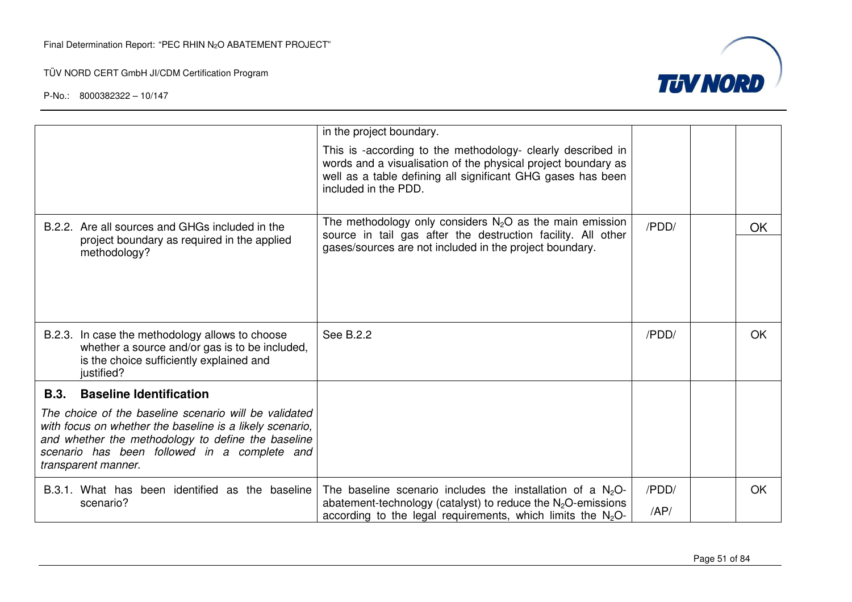

|                                                                                                                                                                                                                                                | in the project boundary.                                                                                                                                                                                            |       |           |
|------------------------------------------------------------------------------------------------------------------------------------------------------------------------------------------------------------------------------------------------|---------------------------------------------------------------------------------------------------------------------------------------------------------------------------------------------------------------------|-------|-----------|
|                                                                                                                                                                                                                                                | This is -according to the methodology- clearly described in<br>words and a visualisation of the physical project boundary as<br>well as a table defining all significant GHG gases has been<br>included in the PDD. |       |           |
| B.2.2. Are all sources and GHGs included in the                                                                                                                                                                                                | The methodology only considers $N_2O$ as the main emission                                                                                                                                                          | /PDD/ | <b>OK</b> |
| project boundary as required in the applied<br>methodology?                                                                                                                                                                                    | source in tail gas after the destruction facility. All other<br>gases/sources are not included in the project boundary.                                                                                             |       |           |
| B.2.3. In case the methodology allows to choose<br>whether a source and/or gas is to be included,<br>is the choice sufficiently explained and<br>justified?                                                                                    | See B.2.2                                                                                                                                                                                                           | /PDD/ | OK.       |
| B.3.<br><b>Baseline Identification</b>                                                                                                                                                                                                         |                                                                                                                                                                                                                     |       |           |
| The choice of the baseline scenario will be validated<br>with focus on whether the baseline is a likely scenario,<br>and whether the methodology to define the baseline<br>scenario has been followed in a complete and<br>transparent manner. |                                                                                                                                                                                                                     |       |           |
| B.3.1. What has been identified as the baseline                                                                                                                                                                                                | The baseline scenario includes the installation of a $N2O-$                                                                                                                                                         | /PDD/ | <b>OK</b> |
| scenario?                                                                                                                                                                                                                                      | abatement-technology (catalyst) to reduce the $N_2O$ -emissions<br>according to the legal requirements, which limits the $N_2O$ -                                                                                   | AP/   |           |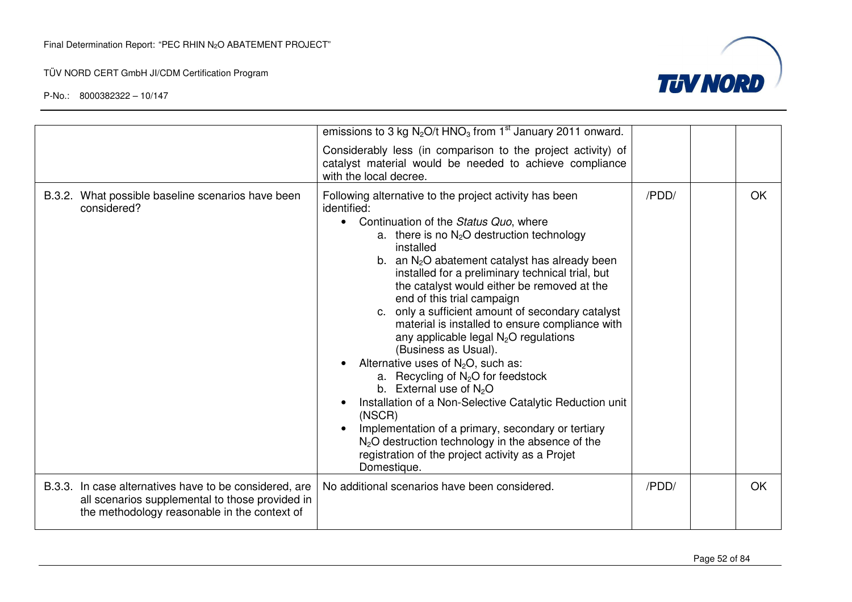

|                                                                                                                                                           | emissions to 3 kg $N_2O/t$ HNO <sub>3</sub> from 1 <sup>st</sup> January 2011 onward.                                                                                                                                                                                                                                                                                                                                                                                                                                                                                                                                                                                                                                                                                                                                                                                                                                                                     |       |     |
|-----------------------------------------------------------------------------------------------------------------------------------------------------------|-----------------------------------------------------------------------------------------------------------------------------------------------------------------------------------------------------------------------------------------------------------------------------------------------------------------------------------------------------------------------------------------------------------------------------------------------------------------------------------------------------------------------------------------------------------------------------------------------------------------------------------------------------------------------------------------------------------------------------------------------------------------------------------------------------------------------------------------------------------------------------------------------------------------------------------------------------------|-------|-----|
|                                                                                                                                                           | Considerably less (in comparison to the project activity) of<br>catalyst material would be needed to achieve compliance<br>with the local decree.                                                                                                                                                                                                                                                                                                                                                                                                                                                                                                                                                                                                                                                                                                                                                                                                         |       |     |
| B.3.2. What possible baseline scenarios have been<br>considered?                                                                                          | Following alternative to the project activity has been<br>identified:<br>Continuation of the Status Quo, where<br>$\bullet$<br>a. there is no $N_2O$ destruction technology<br>installed<br>b. an N <sub>2</sub> O abatement catalyst has already been<br>installed for a preliminary technical trial, but<br>the catalyst would either be removed at the<br>end of this trial campaign<br>c. only a sufficient amount of secondary catalyst<br>material is installed to ensure compliance with<br>any applicable legal N <sub>2</sub> O regulations<br>(Business as Usual).<br>Alternative uses of $N_2O$ , such as:<br>a. Recycling of N <sub>2</sub> O for feedstock<br>b. External use of $N_2O$<br>Installation of a Non-Selective Catalytic Reduction unit<br>(NSCR)<br>Implementation of a primary, secondary or tertiary<br>$N2O$ destruction technology in the absence of the<br>registration of the project activity as a Projet<br>Domestique. | /PDD/ | OK. |
| B.3.3. In case alternatives have to be considered, are<br>all scenarios supplemental to those provided in<br>the methodology reasonable in the context of | No additional scenarios have been considered.                                                                                                                                                                                                                                                                                                                                                                                                                                                                                                                                                                                                                                                                                                                                                                                                                                                                                                             | /PDD/ | OK  |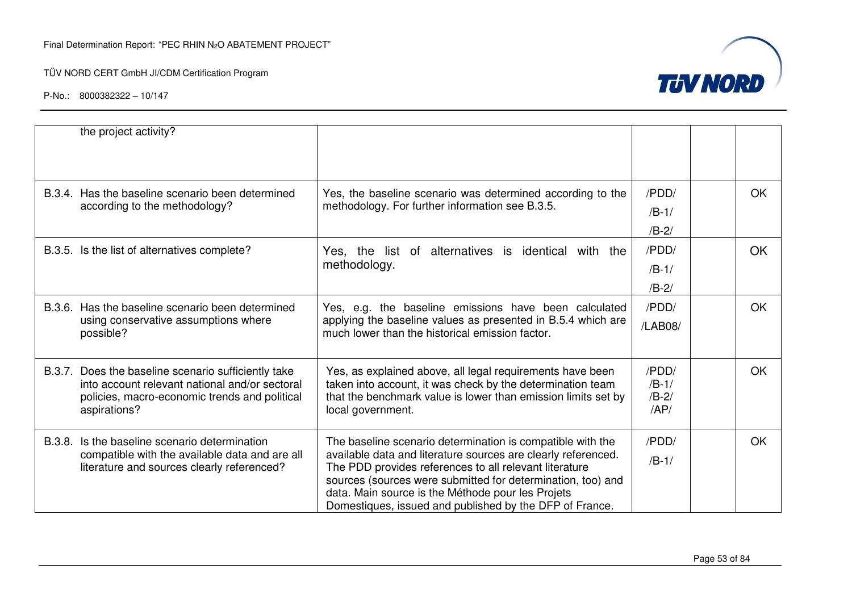

|                                                | the project activity?                                                                                               |                                                                                                                       |                |           |
|------------------------------------------------|---------------------------------------------------------------------------------------------------------------------|-----------------------------------------------------------------------------------------------------------------------|----------------|-----------|
|                                                | B.3.4. Has the baseline scenario been determined                                                                    | Yes, the baseline scenario was determined according to the                                                            | /PDD/          | <b>OK</b> |
|                                                | according to the methodology?                                                                                       | methodology. For further information see B.3.5.                                                                       | $/B-1/$        |           |
|                                                |                                                                                                                     |                                                                                                                       | $/B-2/$        |           |
|                                                | B.3.5. Is the list of alternatives complete?<br>Yes, the list of alternatives is identical with the<br>methodology. | /PDD/                                                                                                                 | <b>OK</b>      |           |
|                                                |                                                                                                                     | $/B-1/$                                                                                                               |                |           |
|                                                |                                                                                                                     |                                                                                                                       | $/B-2/$        |           |
|                                                | B.3.6. Has the baseline scenario been determined                                                                    | Yes, e.g. the baseline emissions have been calculated                                                                 | /PDD/          | OK.       |
|                                                | using conservative assumptions where<br>possible?                                                                   | applying the baseline values as presented in B.5.4 which are<br>much lower than the historical emission factor.       | /LAB08/        |           |
|                                                | B.3.7. Does the baseline scenario sufficiently take                                                                 | Yes, as explained above, all legal requirements have been                                                             | /PDD/          | <b>OK</b> |
|                                                | into account relevant national and/or sectoral                                                                      | taken into account, it was check by the determination team                                                            | $/B-1/$        |           |
|                                                | policies, macro-economic trends and political<br>aspirations?                                                       | that the benchmark value is lower than emission limits set by<br>local government.                                    | $/B-2/$<br>AP/ |           |
| B.3.8.                                         | Is the baseline scenario determination                                                                              | The baseline scenario determination is compatible with the                                                            | /PDD/          | <b>OK</b> |
| compatible with the available data and are all | available data and literature sources are clearly referenced.                                                       | $/B-1/$                                                                                                               |                |           |
|                                                | literature and sources clearly referenced?                                                                          | The PDD provides references to all relevant literature<br>sources (sources were submitted for determination, too) and |                |           |
|                                                |                                                                                                                     | data. Main source is the Méthode pour les Projets                                                                     |                |           |
|                                                |                                                                                                                     | Domestiques, issued and published by the DFP of France.                                                               |                |           |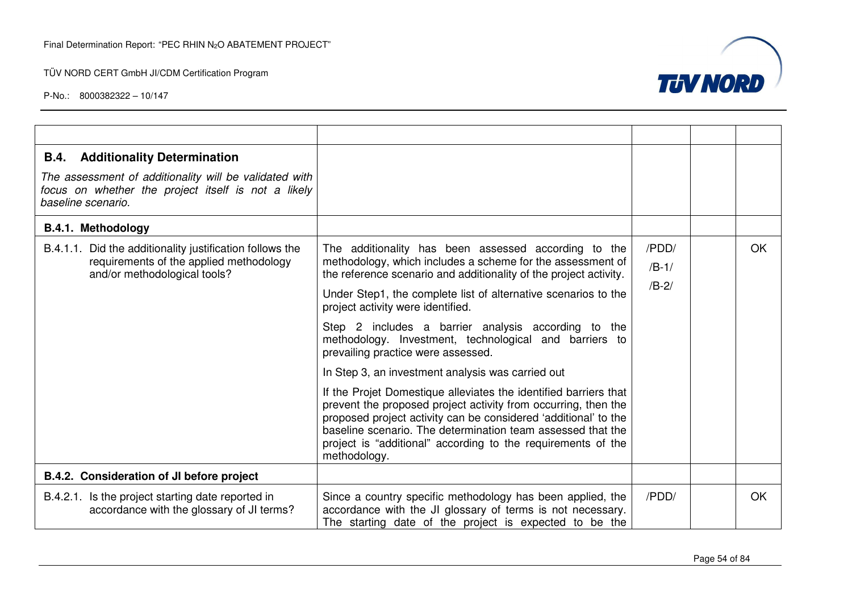

| <b>B.4.</b> Additionality Determination                                                                                             |                                                                                                                                                                                                                                                                                                                                                      |         |           |
|-------------------------------------------------------------------------------------------------------------------------------------|------------------------------------------------------------------------------------------------------------------------------------------------------------------------------------------------------------------------------------------------------------------------------------------------------------------------------------------------------|---------|-----------|
| The assessment of additionality will be validated with<br>focus on whether the project itself is not a likely<br>baseline scenario. |                                                                                                                                                                                                                                                                                                                                                      |         |           |
| <b>B.4.1. Methodology</b>                                                                                                           |                                                                                                                                                                                                                                                                                                                                                      |         |           |
| B.4.1.1. Did the additionality justification follows the                                                                            | The additionality has been assessed according to the                                                                                                                                                                                                                                                                                                 | /PDD/   | <b>OK</b> |
| requirements of the applied methodology<br>and/or methodological tools?                                                             | methodology, which includes a scheme for the assessment of<br>the reference scenario and additionality of the project activity.                                                                                                                                                                                                                      | $/B-1/$ |           |
|                                                                                                                                     | Under Step1, the complete list of alternative scenarios to the<br>project activity were identified.                                                                                                                                                                                                                                                  | $/B-2/$ |           |
|                                                                                                                                     | Step 2 includes a barrier analysis according to the<br>methodology. Investment, technological and barriers to<br>prevailing practice were assessed.                                                                                                                                                                                                  |         |           |
|                                                                                                                                     | In Step 3, an investment analysis was carried out                                                                                                                                                                                                                                                                                                    |         |           |
|                                                                                                                                     | If the Projet Domestique alleviates the identified barriers that<br>prevent the proposed project activity from occurring, then the<br>proposed project activity can be considered 'additional' to the<br>baseline scenario. The determination team assessed that the<br>project is "additional" according to the requirements of the<br>methodology. |         |           |
| B.4.2. Consideration of JI before project                                                                                           |                                                                                                                                                                                                                                                                                                                                                      |         |           |
| B.4.2.1. Is the project starting date reported in<br>accordance with the glossary of JI terms?                                      | Since a country specific methodology has been applied, the<br>accordance with the JI glossary of terms is not necessary.<br>The starting date of the project is expected to be the                                                                                                                                                                   | /PDD/   | <b>OK</b> |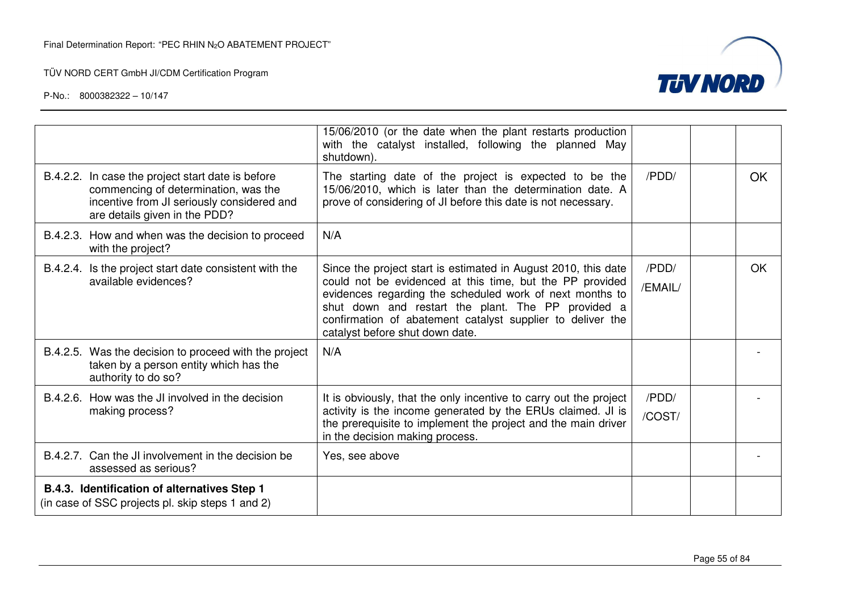

|                                                                                                                                                                          | 15/06/2010 (or the date when the plant restarts production<br>with the catalyst installed, following the planned May<br>shutdown).                                                                                                                                                                                                            |                  |           |
|--------------------------------------------------------------------------------------------------------------------------------------------------------------------------|-----------------------------------------------------------------------------------------------------------------------------------------------------------------------------------------------------------------------------------------------------------------------------------------------------------------------------------------------|------------------|-----------|
| B.4.2.2. In case the project start date is before<br>commencing of determination, was the<br>incentive from JI seriously considered and<br>are details given in the PDD? | The starting date of the project is expected to be the<br>15/06/2010, which is later than the determination date. A<br>prove of considering of JI before this date is not necessary.                                                                                                                                                          | /PDD/            | <b>OK</b> |
| B.4.2.3. How and when was the decision to proceed<br>with the project?                                                                                                   | N/A                                                                                                                                                                                                                                                                                                                                           |                  |           |
| B.4.2.4. Is the project start date consistent with the<br>available evidences?                                                                                           | Since the project start is estimated in August 2010, this date<br>could not be evidenced at this time, but the PP provided<br>evidences regarding the scheduled work of next months to<br>shut down and restart the plant. The PP provided a<br>confirmation of abatement catalyst supplier to deliver the<br>catalyst before shut down date. | /PDD/<br>/EMAIL/ | OK        |
| B.4.2.5. Was the decision to proceed with the project<br>taken by a person entity which has the<br>authority to do so?                                                   | N/A                                                                                                                                                                                                                                                                                                                                           |                  |           |
| B.4.2.6. How was the JI involved in the decision                                                                                                                         | It is obviously, that the only incentive to carry out the project                                                                                                                                                                                                                                                                             | /PDD/            |           |
| making process?                                                                                                                                                          | activity is the income generated by the ERUs claimed. JI is<br>the prerequisite to implement the project and the main driver<br>in the decision making process.                                                                                                                                                                               | /COST/           |           |
| B.4.2.7. Can the JI involvement in the decision be<br>assessed as serious?                                                                                               | Yes, see above                                                                                                                                                                                                                                                                                                                                |                  |           |
| B.4.3. Identification of alternatives Step 1<br>(in case of SSC projects pl. skip steps 1 and 2)                                                                         |                                                                                                                                                                                                                                                                                                                                               |                  |           |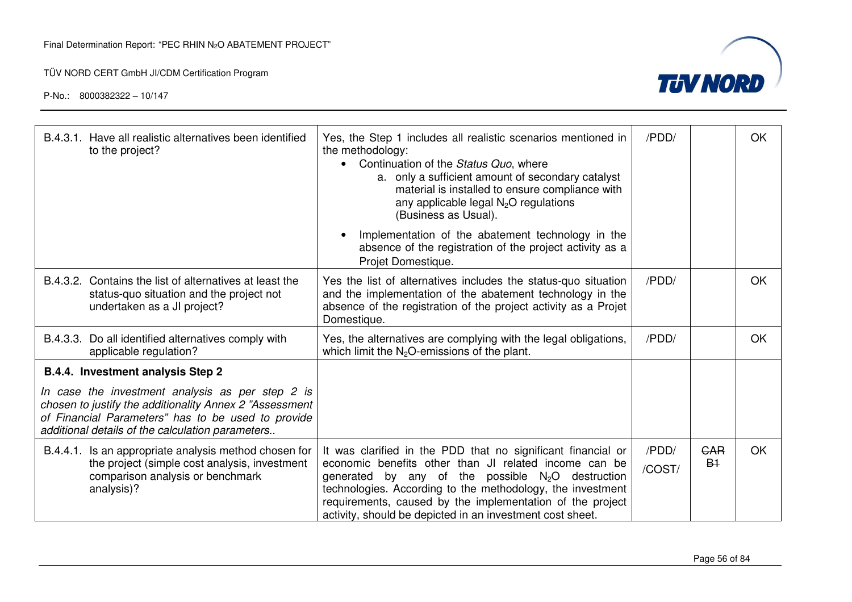P-No.: 8000382322 – 10/147



| B.4.3.1. Have all realistic alternatives been identified<br>to the project?                                                                                                                                           | Yes, the Step 1 includes all realistic scenarios mentioned in<br>the methodology:<br>Continuation of the Status Quo, where<br>a. only a sufficient amount of secondary catalyst<br>material is installed to ensure compliance with<br>any applicable legal $N_2O$ regulations<br>(Business as Usual).                                                                | /PDD/           |                    | OK |
|-----------------------------------------------------------------------------------------------------------------------------------------------------------------------------------------------------------------------|----------------------------------------------------------------------------------------------------------------------------------------------------------------------------------------------------------------------------------------------------------------------------------------------------------------------------------------------------------------------|-----------------|--------------------|----|
|                                                                                                                                                                                                                       | Implementation of the abatement technology in the<br>absence of the registration of the project activity as a<br>Projet Domestique.                                                                                                                                                                                                                                  |                 |                    |    |
| B.4.3.2. Contains the list of alternatives at least the<br>status-quo situation and the project not<br>undertaken as a JI project?                                                                                    | Yes the list of alternatives includes the status-quo situation<br>and the implementation of the abatement technology in the<br>absence of the registration of the project activity as a Projet<br>Domestique.                                                                                                                                                        | /PDD/           |                    | OK |
| B.4.3.3. Do all identified alternatives comply with<br>applicable regulation?                                                                                                                                         | Yes, the alternatives are complying with the legal obligations,<br>which limit the $N_2O$ -emissions of the plant.                                                                                                                                                                                                                                                   | /PDD/           |                    | OK |
| B.4.4. Investment analysis Step 2                                                                                                                                                                                     |                                                                                                                                                                                                                                                                                                                                                                      |                 |                    |    |
| In case the investment analysis as per step 2 is<br>chosen to justify the additionality Annex 2 "Assessment<br>of Financial Parameters" has to be used to provide<br>additional details of the calculation parameters |                                                                                                                                                                                                                                                                                                                                                                      |                 |                    |    |
| B.4.4.1. Is an appropriate analysis method chosen for<br>the project (simple cost analysis, investment<br>comparison analysis or benchmark<br>analysis)?                                                              | It was clarified in the PDD that no significant financial or<br>economic benefits other than JI related income can be<br>generated by any of the possible $N_2O$ destruction<br>technologies. According to the methodology, the investment<br>requirements, caused by the implementation of the project<br>activity, should be depicted in an investment cost sheet. | /PDD/<br>/COST/ | <b>GAR</b><br>$B+$ | OK |

Page 56 of 84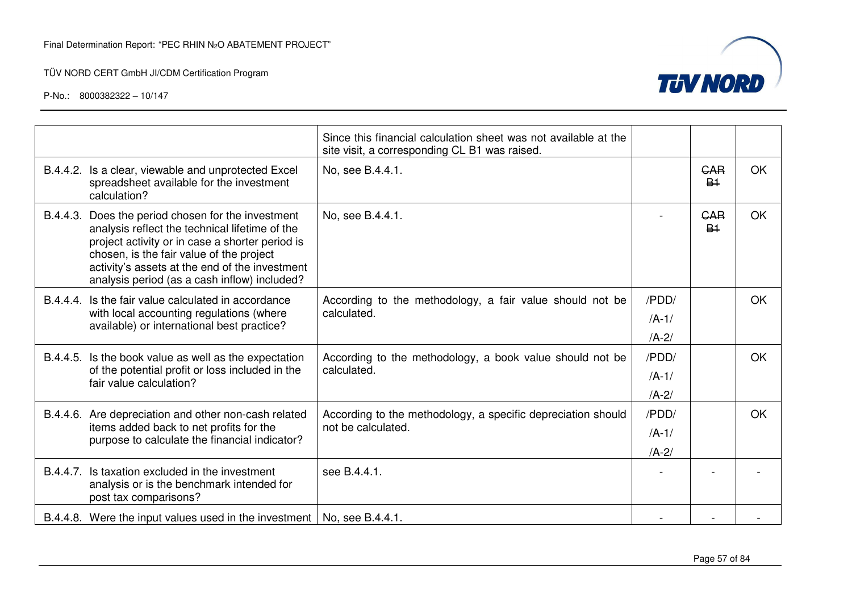

|                                                                                                                                                              |                                                                                                                                                                                                                                                                                                       | Since this financial calculation sheet was not available at the<br>site visit, a corresponding CL B1 was raised. |           |                              |           |
|--------------------------------------------------------------------------------------------------------------------------------------------------------------|-------------------------------------------------------------------------------------------------------------------------------------------------------------------------------------------------------------------------------------------------------------------------------------------------------|------------------------------------------------------------------------------------------------------------------|-----------|------------------------------|-----------|
|                                                                                                                                                              | B.4.4.2. Is a clear, viewable and unprotected Excel<br>spreadsheet available for the investment<br>calculation?                                                                                                                                                                                       | No, see B.4.4.1.                                                                                                 |           | GAR<br><b>B<sub>1</sub></b>  | <b>OK</b> |
|                                                                                                                                                              | B.4.4.3. Does the period chosen for the investment<br>analysis reflect the technical lifetime of the<br>project activity or in case a shorter period is<br>chosen, is the fair value of the project<br>activity's assets at the end of the investment<br>analysis period (as a cash inflow) included? | No, see B.4.4.1.                                                                                                 |           | <b>GAR</b><br>B <sub>1</sub> | <b>OK</b> |
| B.4.4.4. Is the fair value calculated in accordance<br>with local accounting regulations (where<br>calculated.<br>available) or international best practice? | According to the methodology, a fair value should not be                                                                                                                                                                                                                                              | /PDD/                                                                                                            |           | OK                           |           |
|                                                                                                                                                              |                                                                                                                                                                                                                                                                                                       | $/A-1/$                                                                                                          |           |                              |           |
|                                                                                                                                                              |                                                                                                                                                                                                                                                                                                       |                                                                                                                  | $/A - 2/$ |                              |           |
|                                                                                                                                                              | B.4.4.5. Is the book value as well as the expectation                                                                                                                                                                                                                                                 | According to the methodology, a book value should not be<br>calculated.                                          | /PDD/     |                              | OK        |
|                                                                                                                                                              | of the potential profit or loss included in the<br>fair value calculation?                                                                                                                                                                                                                            |                                                                                                                  | $/A-1/$   |                              |           |
|                                                                                                                                                              |                                                                                                                                                                                                                                                                                                       |                                                                                                                  | $/A-2/$   |                              |           |
|                                                                                                                                                              | B.4.4.6. Are depreciation and other non-cash related                                                                                                                                                                                                                                                  | According to the methodology, a specific depreciation should                                                     | /PDD/     |                              | OK        |
|                                                                                                                                                              | items added back to net profits for the<br>purpose to calculate the financial indicator?                                                                                                                                                                                                              | not be calculated.                                                                                               | $/A-1/$   |                              |           |
|                                                                                                                                                              |                                                                                                                                                                                                                                                                                                       |                                                                                                                  | $/A - 2/$ |                              |           |
| B.4.4.7.                                                                                                                                                     | Is taxation excluded in the investment<br>analysis or is the benchmark intended for<br>post tax comparisons?                                                                                                                                                                                          | see B.4.4.1.                                                                                                     |           |                              |           |
|                                                                                                                                                              | B.4.4.8. Were the input values used in the investment   No, see B.4.4.1.                                                                                                                                                                                                                              |                                                                                                                  |           |                              |           |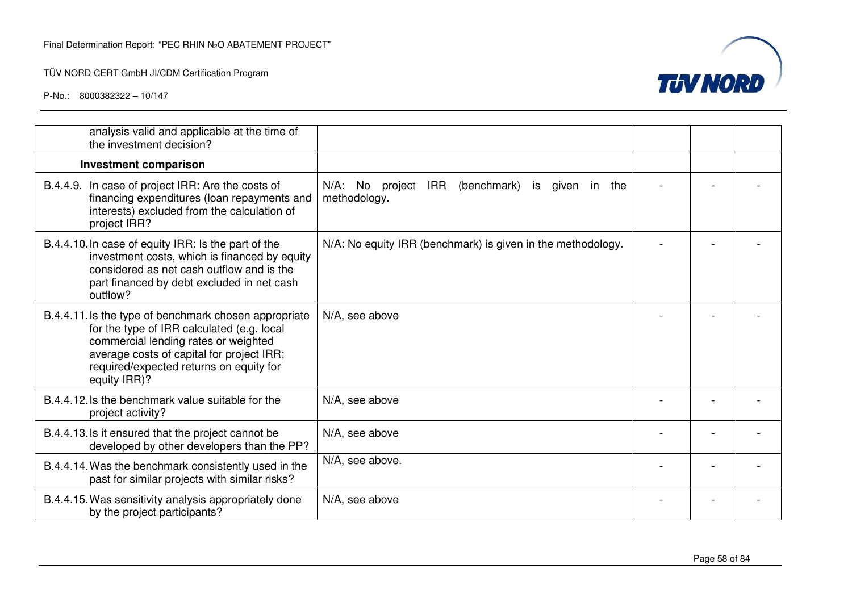

| analysis valid and applicable at the time of<br>the investment decision?                                                                                                                                                                            |                                                                             |  |  |
|-----------------------------------------------------------------------------------------------------------------------------------------------------------------------------------------------------------------------------------------------------|-----------------------------------------------------------------------------|--|--|
| <b>Investment comparison</b>                                                                                                                                                                                                                        |                                                                             |  |  |
| B.4.4.9. In case of project IRR: Are the costs of<br>financing expenditures (loan repayments and<br>interests) excluded from the calculation of<br>project IRR?                                                                                     | N/A: No project<br>IRR<br>(benchmark)<br>is given in<br>the<br>methodology. |  |  |
| B.4.4.10. In case of equity IRR: Is the part of the<br>investment costs, which is financed by equity<br>considered as net cash outflow and is the<br>part financed by debt excluded in net cash<br>outflow?                                         | N/A: No equity IRR (benchmark) is given in the methodology.                 |  |  |
| B.4.4.11. Is the type of benchmark chosen appropriate<br>for the type of IRR calculated (e.g. local<br>commercial lending rates or weighted<br>average costs of capital for project IRR;<br>required/expected returns on equity for<br>equity IRR)? | N/A, see above                                                              |  |  |
| B.4.4.12. Is the benchmark value suitable for the<br>project activity?                                                                                                                                                                              | N/A, see above                                                              |  |  |
| B.4.4.13. Is it ensured that the project cannot be<br>developed by other developers than the PP?                                                                                                                                                    | N/A, see above                                                              |  |  |
| B.4.4.14. Was the benchmark consistently used in the<br>past for similar projects with similar risks?                                                                                                                                               | N/A, see above.                                                             |  |  |
| B.4.4.15. Was sensitivity analysis appropriately done<br>by the project participants?                                                                                                                                                               | N/A, see above                                                              |  |  |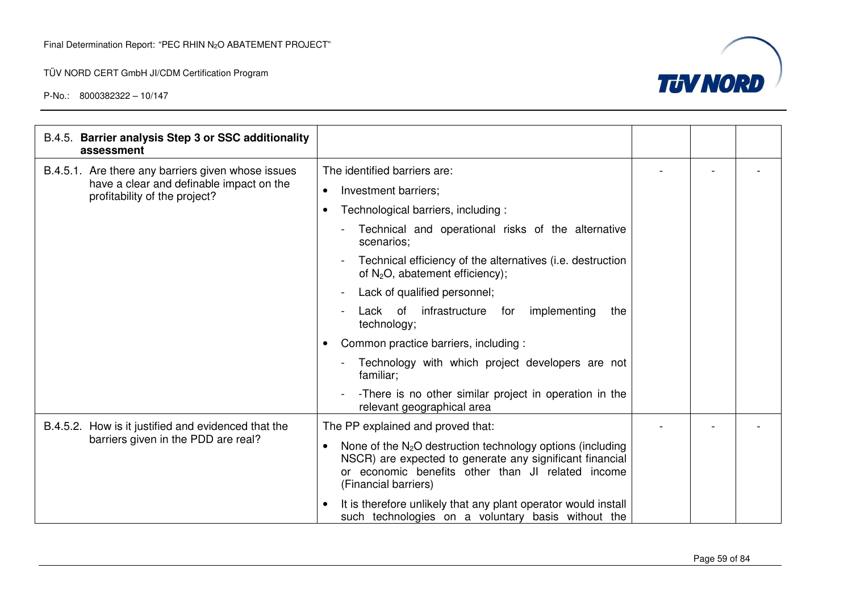

| B.4.5. Barrier analysis Step 3 or SSC additionality<br>assessment         |                                                                                                                                                                                                       |  |  |
|---------------------------------------------------------------------------|-------------------------------------------------------------------------------------------------------------------------------------------------------------------------------------------------------|--|--|
| B.4.5.1. Are there any barriers given whose issues                        | The identified barriers are:                                                                                                                                                                          |  |  |
| have a clear and definable impact on the<br>profitability of the project? | Investment barriers;<br>$\bullet$                                                                                                                                                                     |  |  |
|                                                                           | Technological barriers, including :                                                                                                                                                                   |  |  |
|                                                                           | Technical and operational risks of the alternative<br>scenarios;                                                                                                                                      |  |  |
|                                                                           | Technical efficiency of the alternatives (i.e. destruction<br>of $N_2O$ , abatement efficiency);                                                                                                      |  |  |
|                                                                           | Lack of qualified personnel;<br>$\blacksquare$                                                                                                                                                        |  |  |
|                                                                           | implementing<br>Lack of<br>infrastructure<br>for<br>the<br>technology;                                                                                                                                |  |  |
|                                                                           | Common practice barriers, including :                                                                                                                                                                 |  |  |
|                                                                           | Technology with which project developers are not<br>familiar;                                                                                                                                         |  |  |
|                                                                           | -There is no other similar project in operation in the<br>relevant geographical area                                                                                                                  |  |  |
| B.4.5.2. How is it justified and evidenced that the                       | The PP explained and proved that:                                                                                                                                                                     |  |  |
| barriers given in the PDD are real?                                       | None of the $N_2O$ destruction technology options (including<br>NSCR) are expected to generate any significant financial<br>or economic benefits other than JI related income<br>(Financial barriers) |  |  |
|                                                                           | It is therefore unlikely that any plant operator would install<br>such technologies on a voluntary basis without the                                                                                  |  |  |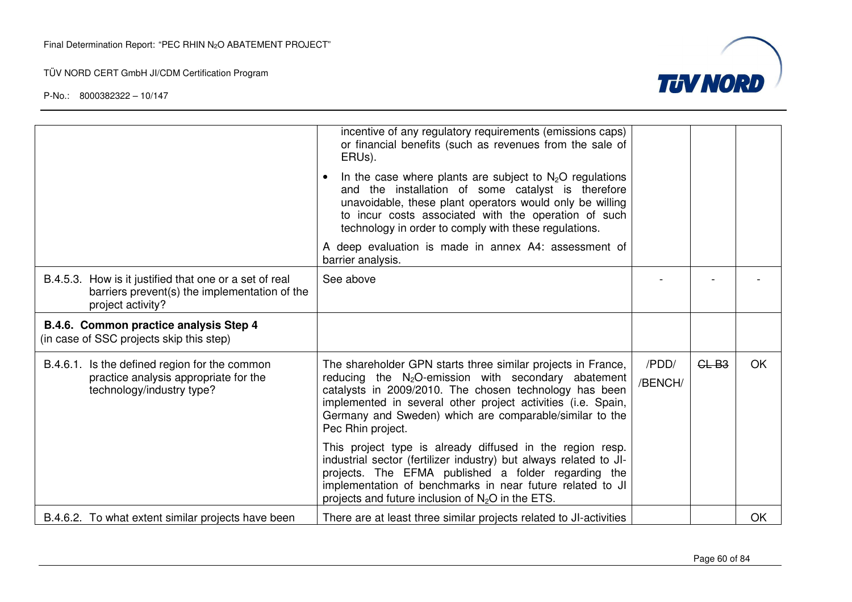

|                                                                                                                              | incentive of any regulatory requirements (emissions caps)<br>or financial benefits (such as revenues from the sale of<br>ERUs).                                                                                                                                                                                                  |                  |         |           |
|------------------------------------------------------------------------------------------------------------------------------|----------------------------------------------------------------------------------------------------------------------------------------------------------------------------------------------------------------------------------------------------------------------------------------------------------------------------------|------------------|---------|-----------|
|                                                                                                                              | In the case where plants are subject to $N_2O$ regulations<br>and the installation of some catalyst is therefore<br>unavoidable, these plant operators would only be willing<br>to incur costs associated with the operation of such<br>technology in order to comply with these regulations.                                    |                  |         |           |
|                                                                                                                              | A deep evaluation is made in annex A4: assessment of<br>barrier analysis.                                                                                                                                                                                                                                                        |                  |         |           |
| B.4.5.3. How is it justified that one or a set of real<br>barriers prevent(s) the implementation of the<br>project activity? | See above                                                                                                                                                                                                                                                                                                                        |                  |         |           |
| B.4.6. Common practice analysis Step 4<br>(in case of SSC projects skip this step)                                           |                                                                                                                                                                                                                                                                                                                                  |                  |         |           |
| B.4.6.1. Is the defined region for the common<br>practice analysis appropriate for the<br>technology/industry type?          | The shareholder GPN starts three similar projects in France,<br>reducing the $N_2O$ -emission with secondary abatement<br>catalysts in 2009/2010. The chosen technology has been<br>implemented in several other project activities (i.e. Spain,<br>Germany and Sweden) which are comparable/similar to the<br>Pec Rhin project. | /PDD/<br>/BENCH/ | $GL-B3$ | OK        |
|                                                                                                                              | This project type is already diffused in the region resp.<br>industrial sector (fertilizer industry) but always related to JI-<br>projects. The EFMA published a folder regarding the<br>implementation of benchmarks in near future related to JI<br>projects and future inclusion of $N_2O$ in the ETS.                        |                  |         |           |
| B.4.6.2. To what extent similar projects have been                                                                           | There are at least three similar projects related to JI-activities                                                                                                                                                                                                                                                               |                  |         | <b>OK</b> |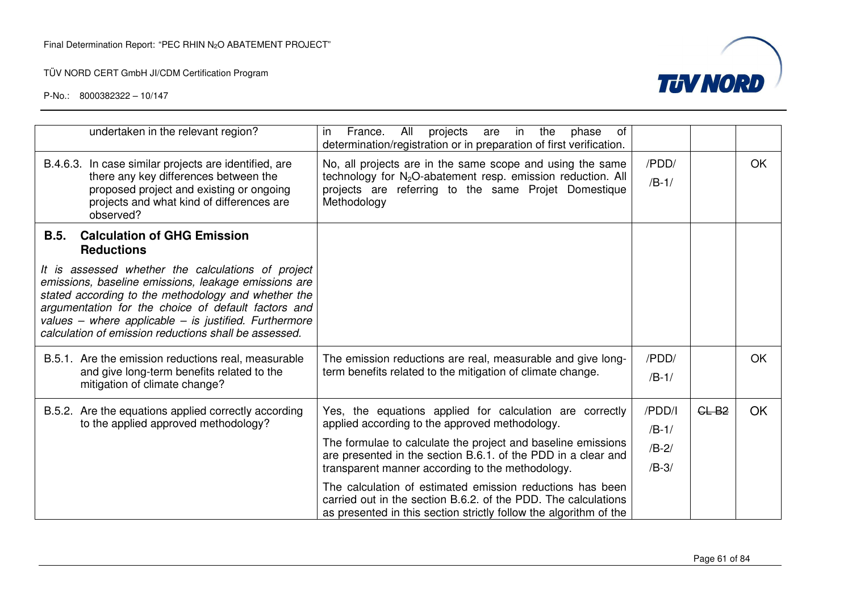

| undertaken in the relevant region?                                                                                                                                                                                                                                                                                                         | France.<br>projects<br>All<br>in<br>the<br>of<br>in.<br>are<br>phase<br>determination/registration or in preparation of first verification.                                                                 |                    |         |    |
|--------------------------------------------------------------------------------------------------------------------------------------------------------------------------------------------------------------------------------------------------------------------------------------------------------------------------------------------|-------------------------------------------------------------------------------------------------------------------------------------------------------------------------------------------------------------|--------------------|---------|----|
| B.4.6.3. In case similar projects are identified, are<br>there any key differences between the<br>proposed project and existing or ongoing<br>projects and what kind of differences are<br>observed?                                                                                                                                       | No, all projects are in the same scope and using the same<br>technology for N <sub>2</sub> O-abatement resp. emission reduction. All<br>projects are referring to the same Projet Domestique<br>Methodology | /PDD/<br>$/B-1/$   |         | OK |
| <b>Calculation of GHG Emission</b><br><b>B.5.</b><br><b>Reductions</b>                                                                                                                                                                                                                                                                     |                                                                                                                                                                                                             |                    |         |    |
| It is assessed whether the calculations of project<br>emissions, baseline emissions, leakage emissions are<br>stated according to the methodology and whether the<br>argumentation for the choice of default factors and<br>values - where applicable - is justified. Furthermore<br>calculation of emission reductions shall be assessed. |                                                                                                                                                                                                             |                    |         |    |
| B.5.1. Are the emission reductions real, measurable<br>and give long-term benefits related to the<br>mitigation of climate change?                                                                                                                                                                                                         | The emission reductions are real, measurable and give long-<br>term benefits related to the mitigation of climate change.                                                                                   | /PDD/<br>$/B-1/$   |         | OK |
| B.5.2. Are the equations applied correctly according<br>to the applied approved methodology?                                                                                                                                                                                                                                               | Yes, the equations applied for calculation are correctly<br>applied according to the approved methodology.                                                                                                  | /PDD/I<br>$/B-1/$  | $CL-B2$ | OK |
|                                                                                                                                                                                                                                                                                                                                            | The formulae to calculate the project and baseline emissions<br>are presented in the section B.6.1. of the PDD in a clear and<br>transparent manner according to the methodology.                           | $/B-2/$<br>$/B-3/$ |         |    |
|                                                                                                                                                                                                                                                                                                                                            | The calculation of estimated emission reductions has been<br>carried out in the section B.6.2. of the PDD. The calculations<br>as presented in this section strictly follow the algorithm of the            |                    |         |    |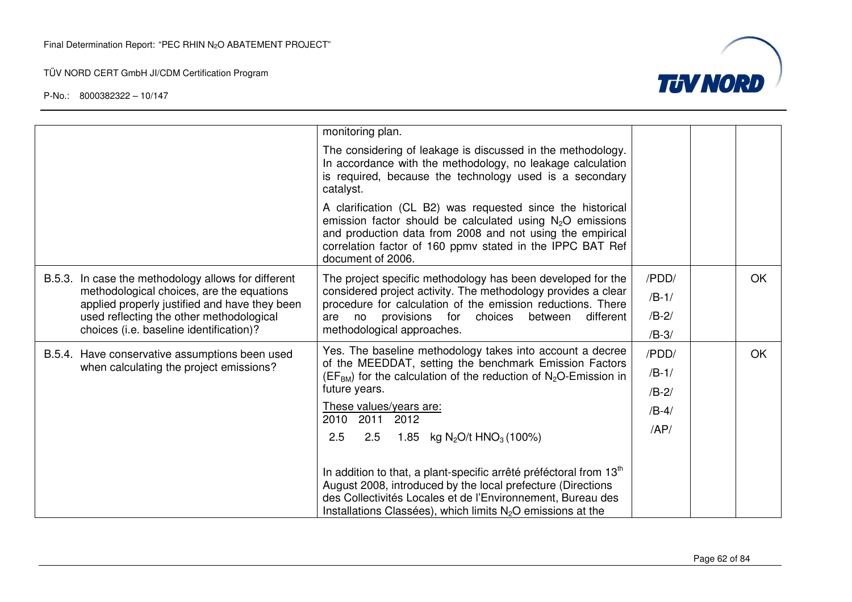



|                                                                                                                                                                                                                                          | monitoring plan.<br>The considering of leakage is discussed in the methodology.<br>In accordance with the methodology, no leakage calculation<br>is required, because the technology used is a secondary<br>catalyst.<br>A clarification (CL B2) was requested since the historical<br>emission factor should be calculated using $N_2O$ emissions<br>and production data from 2008 and not using the empirical                                                                                                                                                                                                                      |                                               |    |  |
|------------------------------------------------------------------------------------------------------------------------------------------------------------------------------------------------------------------------------------------|--------------------------------------------------------------------------------------------------------------------------------------------------------------------------------------------------------------------------------------------------------------------------------------------------------------------------------------------------------------------------------------------------------------------------------------------------------------------------------------------------------------------------------------------------------------------------------------------------------------------------------------|-----------------------------------------------|----|--|
| B.5.3. In case the methodology allows for different<br>methodological choices, are the equations<br>applied properly justified and have they been<br>used reflecting the other methodological<br>choices (i.e. baseline identification)? | correlation factor of 160 ppmv stated in the IPPC BAT Ref<br>document of 2006.<br>The project specific methodology has been developed for the<br>considered project activity. The methodology provides a clear<br>procedure for calculation of the emission reductions. There<br>are no provisions for choices between<br>different<br>methodological approaches.                                                                                                                                                                                                                                                                    | /PDD/<br>$/B-1/$<br>$/B-2/$<br>$/B-3/$        | OK |  |
| B.5.4. Have conservative assumptions been used<br>when calculating the project emissions?                                                                                                                                                | Yes. The baseline methodology takes into account a decree<br>of the MEEDDAT, setting the benchmark Emission Factors<br>$(EFBM)$ for the calculation of the reduction of N <sub>2</sub> O-Emission in<br>future years.<br>These values/years are:<br>2010 2011 2012<br>2.5<br>2.5<br>1.85<br>kg N <sub>2</sub> O/t HNO <sub>3</sub> (100%)<br>In addition to that, a plant-specific arrêté préféctoral from 13 <sup>th</sup><br>August 2008, introduced by the local prefecture (Directions<br>des Collectivités Locales et de l'Environnement, Bureau des<br>Installations Classées), which limits N <sub>2</sub> O emissions at the | /PDD/<br>$/B-1/$<br>$/B-2/$<br>$/B-4/$<br>AP/ | OK |  |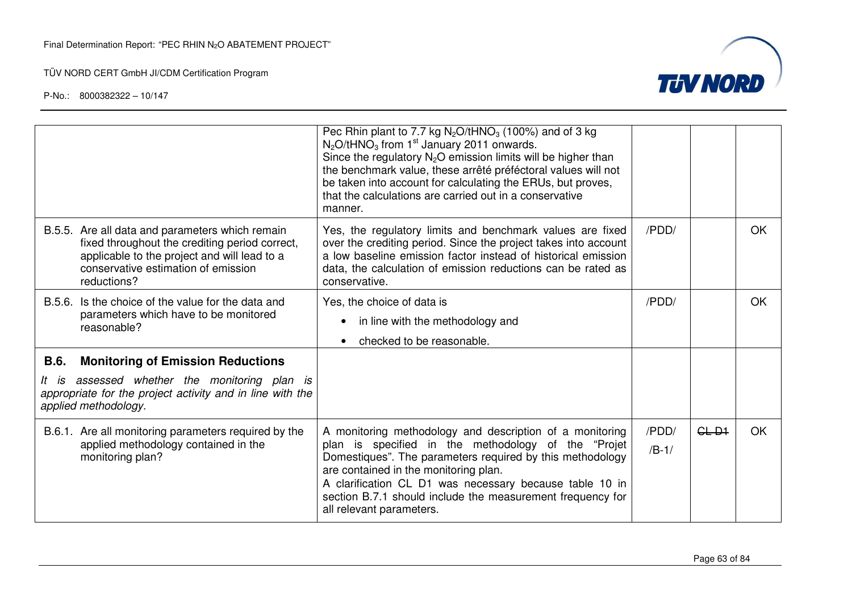

|                               |                                                                                                                                                                                          | Pec Rhin plant to 7.7 kg $N_2O/tHNO_3$ (100%) and of 3 kg<br>$N_2O$ /tHNO <sub>3</sub> from 1 <sup>st</sup> January 2011 onwards.<br>Since the regulatory $N_2O$ emission limits will be higher than<br>the benchmark value, these arrêté préféctoral values will not<br>be taken into account for calculating the ERUs, but proves,<br>that the calculations are carried out in a conservative<br>manner. |                  |         |           |
|-------------------------------|------------------------------------------------------------------------------------------------------------------------------------------------------------------------------------------|------------------------------------------------------------------------------------------------------------------------------------------------------------------------------------------------------------------------------------------------------------------------------------------------------------------------------------------------------------------------------------------------------------|------------------|---------|-----------|
| reductions?                   | B.5.5. Are all data and parameters which remain<br>fixed throughout the crediting period correct,<br>applicable to the project and will lead to a<br>conservative estimation of emission | Yes, the regulatory limits and benchmark values are fixed<br>over the crediting period. Since the project takes into account<br>a low baseline emission factor instead of historical emission<br>data, the calculation of emission reductions can be rated as<br>conservative.                                                                                                                             | /PDD/            |         | <b>OK</b> |
| reasonable?                   | B.5.6. Is the choice of the value for the data and<br>parameters which have to be monitored                                                                                              | Yes, the choice of data is<br>in line with the methodology and<br>checked to be reasonable.                                                                                                                                                                                                                                                                                                                | /PDD/            |         | OK.       |
| <b>B.6.</b>                   | <b>Monitoring of Emission Reductions</b>                                                                                                                                                 |                                                                                                                                                                                                                                                                                                                                                                                                            |                  |         |           |
| lt is<br>applied methodology. | assessed whether the monitoring plan is<br>appropriate for the project activity and in line with the                                                                                     |                                                                                                                                                                                                                                                                                                                                                                                                            |                  |         |           |
| monitoring plan?              | B.6.1. Are all monitoring parameters required by the<br>applied methodology contained in the                                                                                             | A monitoring methodology and description of a monitoring<br>plan is specified in the methodology of the "Projet<br>Domestiques". The parameters required by this methodology<br>are contained in the monitoring plan.<br>A clarification CL D1 was necessary because table 10 in<br>section B.7.1 should include the measurement frequency for<br>all relevant parameters.                                 | /PDD/<br>$/B-1/$ | $GL-D1$ | <b>OK</b> |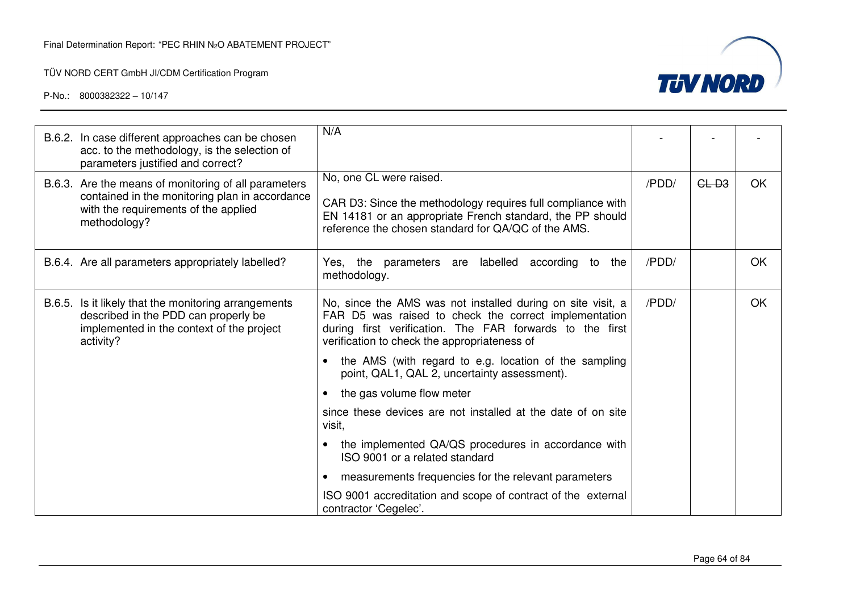

| B.6.2. In case different approaches can be chosen<br>acc. to the methodology, is the selection of<br>parameters justified and correct?                         | N/A                                                                                                                                                                                                                              |       |        |    |
|----------------------------------------------------------------------------------------------------------------------------------------------------------------|----------------------------------------------------------------------------------------------------------------------------------------------------------------------------------------------------------------------------------|-------|--------|----|
| B.6.3. Are the means of monitoring of all parameters<br>contained in the monitoring plan in accordance<br>with the requirements of the applied<br>methodology? | No, one CL were raised.<br>CAR D3: Since the methodology requires full compliance with<br>EN 14181 or an appropriate French standard, the PP should<br>reference the chosen standard for QA/QC of the AMS.                       | /PDD/ | $GL-3$ | OK |
| B.6.4. Are all parameters appropriately labelled?                                                                                                              | Yes, the parameters are labelled according to<br>the<br>methodology.                                                                                                                                                             | /PDD/ |        | OK |
| B.6.5. Is it likely that the monitoring arrangements<br>described in the PDD can properly be<br>implemented in the context of the project<br>activity?         | No, since the AMS was not installed during on site visit, a<br>FAR D5 was raised to check the correct implementation<br>during first verification. The FAR forwards to the first<br>verification to check the appropriateness of | /PDD/ |        | OK |
|                                                                                                                                                                | the AMS (with regard to e.g. location of the sampling<br>point, QAL1, QAL 2, uncertainty assessment).                                                                                                                            |       |        |    |
|                                                                                                                                                                | the gas volume flow meter                                                                                                                                                                                                        |       |        |    |
|                                                                                                                                                                | since these devices are not installed at the date of on site<br>visit,                                                                                                                                                           |       |        |    |
|                                                                                                                                                                | the implemented QA/QS procedures in accordance with<br>ISO 9001 or a related standard                                                                                                                                            |       |        |    |
|                                                                                                                                                                | measurements frequencies for the relevant parameters                                                                                                                                                                             |       |        |    |
|                                                                                                                                                                | ISO 9001 accreditation and scope of contract of the external<br>contractor 'Cegelec'.                                                                                                                                            |       |        |    |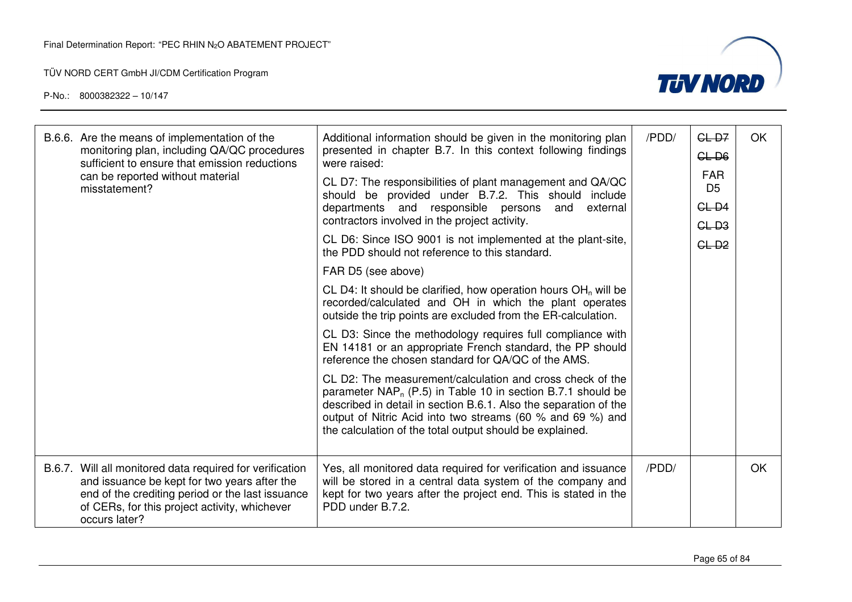

| B.6.6. Are the means of implementation of the<br>monitoring plan, including QA/QC procedures<br>sufficient to ensure that emission reductions                                                                                  | Additional information should be given in the monitoring plan<br>presented in chapter B.7. In this context following findings<br>were raised:                                                                                                                                                                             | /PDD/ | $GL-D7$<br>CLD6              | OK |
|--------------------------------------------------------------------------------------------------------------------------------------------------------------------------------------------------------------------------------|---------------------------------------------------------------------------------------------------------------------------------------------------------------------------------------------------------------------------------------------------------------------------------------------------------------------------|-------|------------------------------|----|
| can be reported without material<br>misstatement?                                                                                                                                                                              | CL D7: The responsibilities of plant management and QA/QC<br>should be provided under B.7.2. This should include                                                                                                                                                                                                          |       | <b>FAR</b><br>D <sub>5</sub> |    |
|                                                                                                                                                                                                                                | departments and responsible persons<br>external<br>and<br>contractors involved in the project activity.                                                                                                                                                                                                                   |       | $GL-D4$                      |    |
|                                                                                                                                                                                                                                | CL D6: Since ISO 9001 is not implemented at the plant-site,<br>the PDD should not reference to this standard.                                                                                                                                                                                                             |       | $GL-3$<br>$GL-D2$            |    |
|                                                                                                                                                                                                                                | FAR D5 (see above)                                                                                                                                                                                                                                                                                                        |       |                              |    |
|                                                                                                                                                                                                                                | CL D4: It should be clarified, how operation hours $OHn$ will be<br>recorded/calculated and OH in which the plant operates<br>outside the trip points are excluded from the ER-calculation.                                                                                                                               |       |                              |    |
|                                                                                                                                                                                                                                | CL D3: Since the methodology requires full compliance with<br>EN 14181 or an appropriate French standard, the PP should<br>reference the chosen standard for QA/QC of the AMS.                                                                                                                                            |       |                              |    |
|                                                                                                                                                                                                                                | CL D2: The measurement/calculation and cross check of the<br>parameter $NAP_n$ (P.5) in Table 10 in section B.7.1 should be<br>described in detail in section B.6.1. Also the separation of the<br>output of Nitric Acid into two streams (60 % and 69 %) and<br>the calculation of the total output should be explained. |       |                              |    |
| B.6.7. Will all monitored data required for verification<br>and issuance be kept for two years after the<br>end of the crediting period or the last issuance<br>of CERs, for this project activity, whichever<br>occurs later? | Yes, all monitored data required for verification and issuance<br>will be stored in a central data system of the company and<br>kept for two years after the project end. This is stated in the<br>PDD under B.7.2.                                                                                                       | /PDD/ |                              | OK |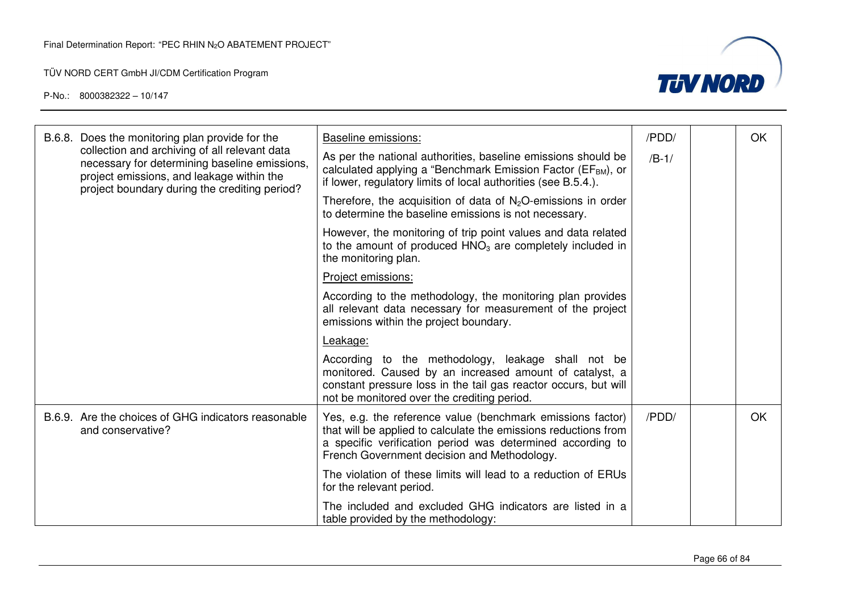

|  | B.6.8. Does the monitoring plan provide for the                                                                                                                                              | <b>Baseline emissions:</b>                                                                                                                                                                                                                 | /PDD/   | OK        |
|--|----------------------------------------------------------------------------------------------------------------------------------------------------------------------------------------------|--------------------------------------------------------------------------------------------------------------------------------------------------------------------------------------------------------------------------------------------|---------|-----------|
|  | collection and archiving of all relevant data<br>necessary for determining baseline emissions,<br>project emissions, and leakage within the<br>project boundary during the crediting period? | As per the national authorities, baseline emissions should be<br>calculated applying a "Benchmark Emission Factor (EF <sub>BM</sub> ), or<br>if lower, regulatory limits of local authorities (see B.5.4.).                                | $/B-1/$ |           |
|  |                                                                                                                                                                                              | Therefore, the acquisition of data of $N_2O$ -emissions in order<br>to determine the baseline emissions is not necessary.                                                                                                                  |         |           |
|  |                                                                                                                                                                                              | However, the monitoring of trip point values and data related<br>to the amount of produced $HNO3$ are completely included in<br>the monitoring plan.                                                                                       |         |           |
|  |                                                                                                                                                                                              | Project emissions:                                                                                                                                                                                                                         |         |           |
|  |                                                                                                                                                                                              | According to the methodology, the monitoring plan provides<br>all relevant data necessary for measurement of the project<br>emissions within the project boundary.                                                                         |         |           |
|  |                                                                                                                                                                                              | Leakage:                                                                                                                                                                                                                                   |         |           |
|  |                                                                                                                                                                                              | According to the methodology, leakage shall not be<br>monitored. Caused by an increased amount of catalyst, a<br>constant pressure loss in the tail gas reactor occurs, but will<br>not be monitored over the crediting period.            |         |           |
|  | B.6.9. Are the choices of GHG indicators reasonable<br>and conservative?                                                                                                                     | Yes, e.g. the reference value (benchmark emissions factor)<br>that will be applied to calculate the emissions reductions from<br>a specific verification period was determined according to<br>French Government decision and Methodology. | /PDD/   | <b>OK</b> |
|  |                                                                                                                                                                                              | The violation of these limits will lead to a reduction of ERUs<br>for the relevant period.                                                                                                                                                 |         |           |
|  |                                                                                                                                                                                              | The included and excluded GHG indicators are listed in a<br>table provided by the methodology:                                                                                                                                             |         |           |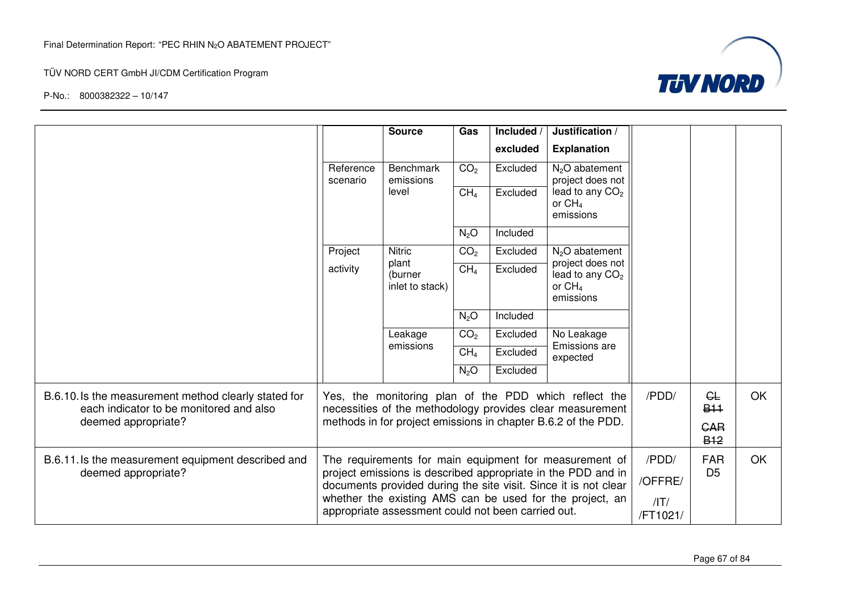

|                                                                                                 |                                                                                                                | <b>Source</b>                                                                                                                                                                             | Gas              | Included /<br>excluded | Justification /<br><b>Explanation</b>                                                                              |                  |                                     |    |
|-------------------------------------------------------------------------------------------------|----------------------------------------------------------------------------------------------------------------|-------------------------------------------------------------------------------------------------------------------------------------------------------------------------------------------|------------------|------------------------|--------------------------------------------------------------------------------------------------------------------|------------------|-------------------------------------|----|
|                                                                                                 | Reference<br>scenario                                                                                          | <b>Benchmark</b><br>emissions                                                                                                                                                             | CO <sub>2</sub>  | Excluded               | N <sub>2</sub> O abatement<br>project does not                                                                     |                  |                                     |    |
|                                                                                                 |                                                                                                                | level                                                                                                                                                                                     | CH <sub>4</sub>  | Excluded               | lead to any CO <sub>2</sub><br>or $CH4$<br>emissions                                                               |                  |                                     |    |
|                                                                                                 |                                                                                                                |                                                                                                                                                                                           | N <sub>2</sub> O | Included               |                                                                                                                    |                  |                                     |    |
|                                                                                                 | Project                                                                                                        | <b>Nitric</b><br>plant                                                                                                                                                                    | CO <sub>2</sub>  | Excluded               | N <sub>2</sub> O abatement<br>project does not                                                                     |                  |                                     |    |
|                                                                                                 | activity                                                                                                       | (burner<br>inlet to stack)                                                                                                                                                                | CH <sub>4</sub>  | Excluded               | lead to any CO <sub>2</sub><br>or CH <sub>4</sub><br>emissions                                                     |                  |                                     |    |
|                                                                                                 |                                                                                                                |                                                                                                                                                                                           | $N_2O$           | Included               |                                                                                                                    |                  |                                     |    |
|                                                                                                 |                                                                                                                | Leakage<br>emissions                                                                                                                                                                      | CO <sub>2</sub>  | Excluded               | No Leakage<br>Emissions are                                                                                        |                  |                                     |    |
|                                                                                                 |                                                                                                                |                                                                                                                                                                                           | CH <sub>4</sub>  | Excluded               | expected                                                                                                           |                  |                                     |    |
|                                                                                                 |                                                                                                                |                                                                                                                                                                                           | $N_2O$           | Excluded               |                                                                                                                    |                  |                                     |    |
| B.6.10. Is the measurement method clearly stated for<br>each indicator to be monitored and also |                                                                                                                |                                                                                                                                                                                           |                  |                        | Yes, the monitoring plan of the PDD which reflect the<br>necessities of the methodology provides clear measurement | /PDD/            | GL<br><b>B<sub>11</sub></b>         | OK |
| deemed appropriate?                                                                             | methods in for project emissions in chapter B.6.2 of the PDD.                                                  |                                                                                                                                                                                           |                  |                        |                                                                                                                    |                  | <b>GAR</b><br><b>B<sub>12</sub></b> |    |
| B.6.11. Is the measurement equipment described and<br>deemed appropriate?                       |                                                                                                                | The requirements for main equipment for measurement of<br>project emissions is described appropriate in the PDD and in<br>documents provided during the site visit. Since it is not clear |                  |                        |                                                                                                                    | /PDD/<br>/OFFRE/ | <b>FAR</b><br>D <sub>5</sub>        | OK |
|                                                                                                 | whether the existing AMS can be used for the project, an<br>appropriate assessment could not been carried out. |                                                                                                                                                                                           |                  |                        |                                                                                                                    | /IT/<br>/FT1021/ |                                     |    |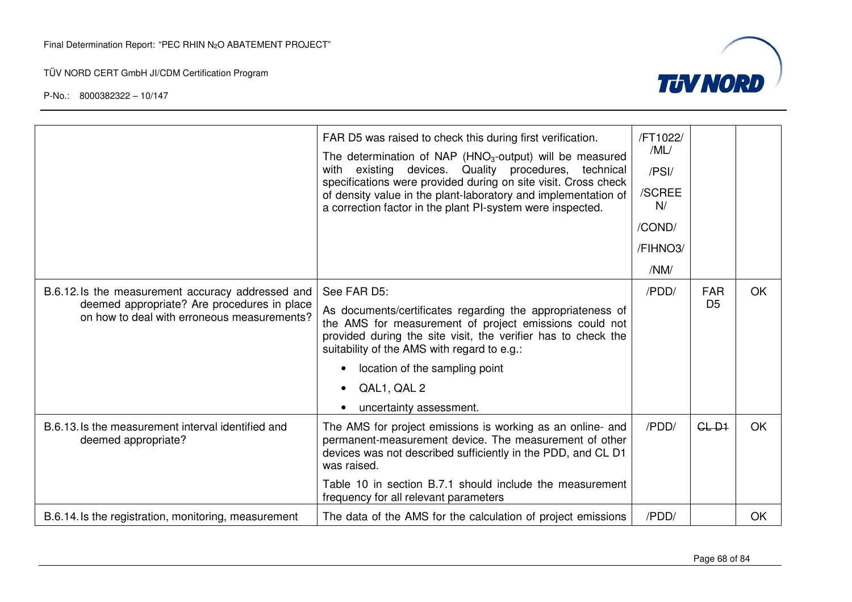

|                                                                                                                                                | FAR D5 was raised to check this during first verification.<br>The determination of NAP (HNO <sub>3</sub> -output) will be measured<br>existing devices. Quality procedures, technical<br>with<br>specifications were provided during on site visit. Cross check<br>of density value in the plant-laboratory and implementation of<br>a correction factor in the plant PI-system were inspected. | /FT1022/<br>/ML/<br>/PSI/<br>/SCREE<br>N/<br>/COND/<br>/FIHNO3/<br>/NM/ |                              |           |
|------------------------------------------------------------------------------------------------------------------------------------------------|-------------------------------------------------------------------------------------------------------------------------------------------------------------------------------------------------------------------------------------------------------------------------------------------------------------------------------------------------------------------------------------------------|-------------------------------------------------------------------------|------------------------------|-----------|
| B.6.12.1s the measurement accuracy addressed and<br>deemed appropriate? Are procedures in place<br>on how to deal with erroneous measurements? | See FAR D5:<br>As documents/certificates regarding the appropriateness of<br>the AMS for measurement of project emissions could not<br>provided during the site visit, the verifier has to check the<br>suitability of the AMS with regard to e.g.:<br>location of the sampling point<br>QAL1, QAL 2<br>uncertainty assessment.                                                                 | /PDD/                                                                   | <b>FAR</b><br>D <sub>5</sub> | <b>OK</b> |
| B.6.13. Is the measurement interval identified and<br>deemed appropriate?                                                                      | The AMS for project emissions is working as an online- and<br>permanent-measurement device. The measurement of other<br>devices was not described sufficiently in the PDD, and CL D1<br>was raised.<br>Table 10 in section B.7.1 should include the measurement<br>frequency for all relevant parameters                                                                                        | /PDD/                                                                   | $GL-D1$                      | <b>OK</b> |
| B.6.14. Is the registration, monitoring, measurement                                                                                           | The data of the AMS for the calculation of project emissions                                                                                                                                                                                                                                                                                                                                    | /PDD/                                                                   |                              | OK        |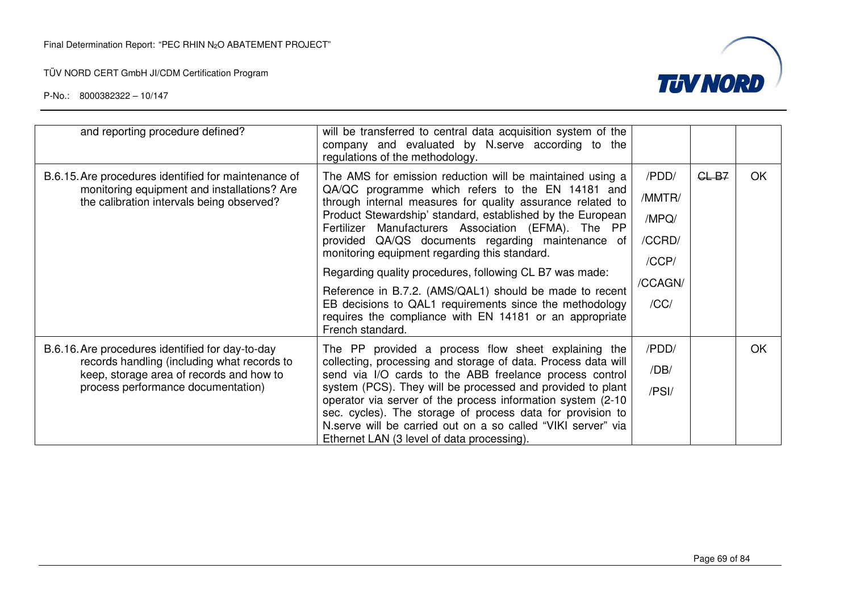

| and reporting procedure defined?                                                                                                                                                  | will be transferred to central data acquisition system of the<br>company and evaluated by N.serve according to the<br>regulations of the methodology.                                                                                                                                                                                                                                                                                                                                                                                                                                                                                                                  |                                                                |         |           |
|-----------------------------------------------------------------------------------------------------------------------------------------------------------------------------------|------------------------------------------------------------------------------------------------------------------------------------------------------------------------------------------------------------------------------------------------------------------------------------------------------------------------------------------------------------------------------------------------------------------------------------------------------------------------------------------------------------------------------------------------------------------------------------------------------------------------------------------------------------------------|----------------------------------------------------------------|---------|-----------|
| B.6.15. Are procedures identified for maintenance of<br>monitoring equipment and installations? Are<br>the calibration intervals being observed?                                  | The AMS for emission reduction will be maintained using a<br>QA/QC programme which refers to the EN 14181 and<br>through internal measures for quality assurance related to<br>Product Stewardship' standard, established by the European<br>Fertilizer Manufacturers Association (EFMA). The PP<br>provided QA/QS documents regarding maintenance of<br>monitoring equipment regarding this standard.<br>Regarding quality procedures, following CL B7 was made:<br>Reference in B.7.2. (AMS/QAL1) should be made to recent<br>EB decisions to QAL1 requirements since the methodology<br>requires the compliance with EN 14181 or an appropriate<br>French standard. | /PDD/<br>/MMTR/<br>/MPQ/<br>/CCRD/<br>/CCP/<br>/CCAGN/<br>/CC/ | $GL-B7$ | <b>OK</b> |
| B.6.16. Are procedures identified for day-to-day<br>records handling (including what records to<br>keep, storage area of records and how to<br>process performance documentation) | The PP provided a process flow sheet explaining the<br>collecting, processing and storage of data. Process data will<br>send via I/O cards to the ABB freelance process control<br>system (PCS). They will be processed and provided to plant<br>operator via server of the process information system (2-10)<br>sec. cycles). The storage of process data for provision to<br>N.serve will be carried out on a so called "VIKI server" via<br>Ethernet LAN (3 level of data processing).                                                                                                                                                                              | /PDD/<br>/DB/<br>/PSI/                                         |         | <b>OK</b> |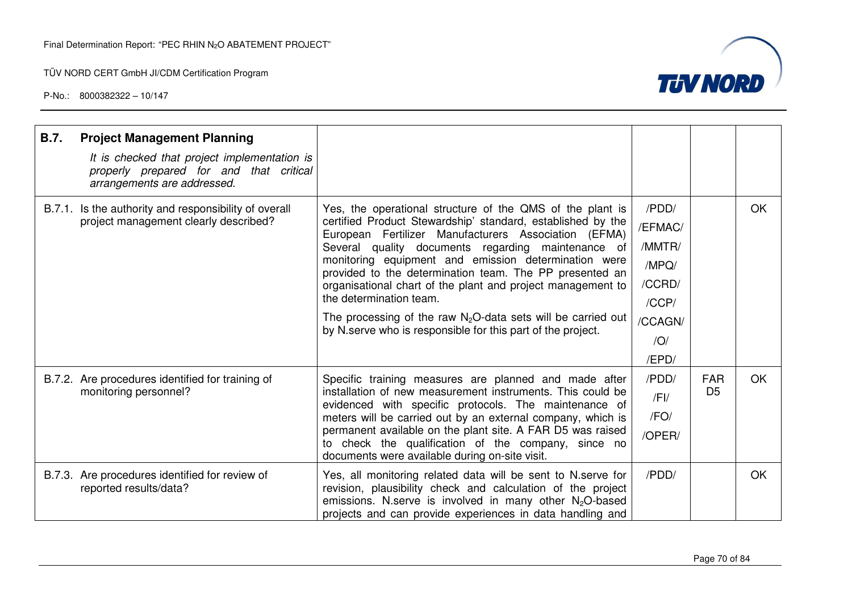

| <b>B.7.</b> | <b>Project Management Planning</b><br>It is checked that project implementation is<br>properly prepared for and that critical<br>arrangements are addressed. |                                                                                                                                                                                                                                                                                                                                                                                                                                                                                                                                                                                       |                                                                                              |                              |           |
|-------------|--------------------------------------------------------------------------------------------------------------------------------------------------------------|---------------------------------------------------------------------------------------------------------------------------------------------------------------------------------------------------------------------------------------------------------------------------------------------------------------------------------------------------------------------------------------------------------------------------------------------------------------------------------------------------------------------------------------------------------------------------------------|----------------------------------------------------------------------------------------------|------------------------------|-----------|
|             | B.7.1. Is the authority and responsibility of overall<br>project management clearly described?                                                               | Yes, the operational structure of the QMS of the plant is<br>certified Product Stewardship' standard, established by the<br>European Fertilizer Manufacturers Association (EFMA)<br>Several quality documents regarding maintenance of<br>monitoring equipment and emission determination were<br>provided to the determination team. The PP presented an<br>organisational chart of the plant and project management to<br>the determination team.<br>The processing of the raw $N_2O$ -data sets will be carried out<br>by N serve who is responsible for this part of the project. | /PDD/<br>/EFMAC/<br>/MMTR/<br>/MPQ/<br>/CCRD/<br>/CCP/<br>/CCAGN/<br>$\overline{O}$<br>/EPD/ |                              | OK        |
|             | B.7.2. Are procedures identified for training of<br>monitoring personnel?                                                                                    | Specific training measures are planned and made after<br>installation of new measurement instruments. This could be<br>evidenced with specific protocols. The maintenance of<br>meters will be carried out by an external company, which is<br>permanent available on the plant site. A FAR D5 was raised<br>to check the qualification of the company, since no<br>documents were available during on-site visit.                                                                                                                                                                    | /PDD/<br>$/$ FI $/$<br>/FO/<br>/OPER/                                                        | <b>FAR</b><br>D <sub>5</sub> | <b>OK</b> |
|             | B.7.3. Are procedures identified for review of<br>reported results/data?                                                                                     | Yes, all monitoring related data will be sent to N. serve for<br>revision, plausibility check and calculation of the project<br>emissions. N.serve is involved in many other N <sub>2</sub> O-based<br>projects and can provide experiences in data handling and                                                                                                                                                                                                                                                                                                                      | /PDD/                                                                                        |                              | OK        |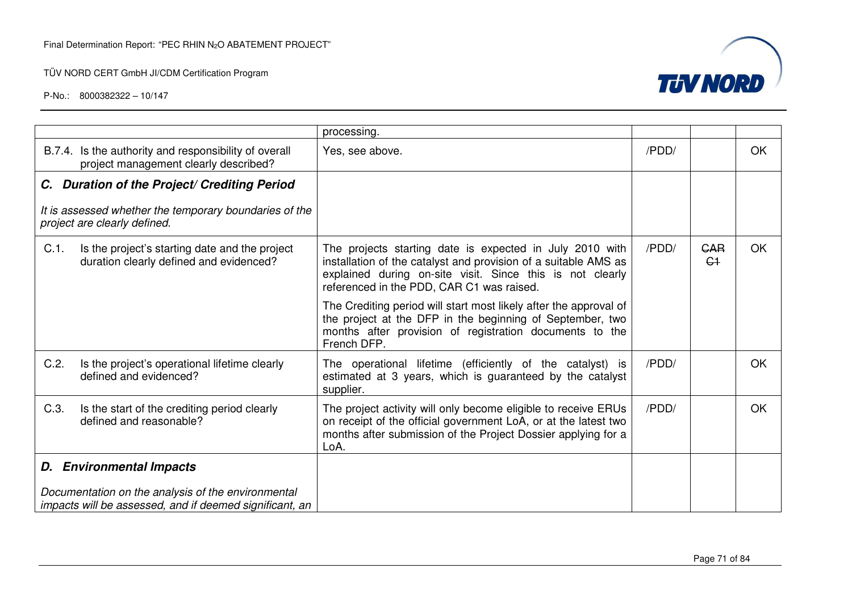

|                                                                                                               | processing.                                                                                                                                                                                                                           |       |                    |           |
|---------------------------------------------------------------------------------------------------------------|---------------------------------------------------------------------------------------------------------------------------------------------------------------------------------------------------------------------------------------|-------|--------------------|-----------|
| B.7.4. Is the authority and responsibility of overall<br>project management clearly described?                | Yes, see above.                                                                                                                                                                                                                       | /PDD/ |                    | <b>OK</b> |
| C. Duration of the Project/ Crediting Period                                                                  |                                                                                                                                                                                                                                       |       |                    |           |
| It is assessed whether the temporary boundaries of the<br>project are clearly defined.                        |                                                                                                                                                                                                                                       |       |                    |           |
| C.1.<br>Is the project's starting date and the project<br>duration clearly defined and evidenced?             | The projects starting date is expected in July 2010 with<br>installation of the catalyst and provision of a suitable AMS as<br>explained during on-site visit. Since this is not clearly<br>referenced in the PDD, CAR C1 was raised. | /PDD/ | <b>GAR</b><br>$C+$ | <b>OK</b> |
|                                                                                                               | The Crediting period will start most likely after the approval of<br>the project at the DFP in the beginning of September, two<br>months after provision of registration documents to the<br>French DFP.                              |       |                    |           |
| C.2.<br>Is the project's operational lifetime clearly<br>defined and evidenced?                               | The operational lifetime (efficiently of the catalyst) is<br>estimated at 3 years, which is guaranteed by the catalyst<br>supplier.                                                                                                   | /PDD/ |                    | OK.       |
| C.3.<br>Is the start of the crediting period clearly<br>defined and reasonable?                               | The project activity will only become eligible to receive ERUs<br>on receipt of the official government LoA, or at the latest two<br>months after submission of the Project Dossier applying for a<br>LoA.                            | /PDD/ |                    | OK        |
| <b>D.</b> Environmental Impacts                                                                               |                                                                                                                                                                                                                                       |       |                    |           |
| Documentation on the analysis of the environmental<br>impacts will be assessed, and if deemed significant, an |                                                                                                                                                                                                                                       |       |                    |           |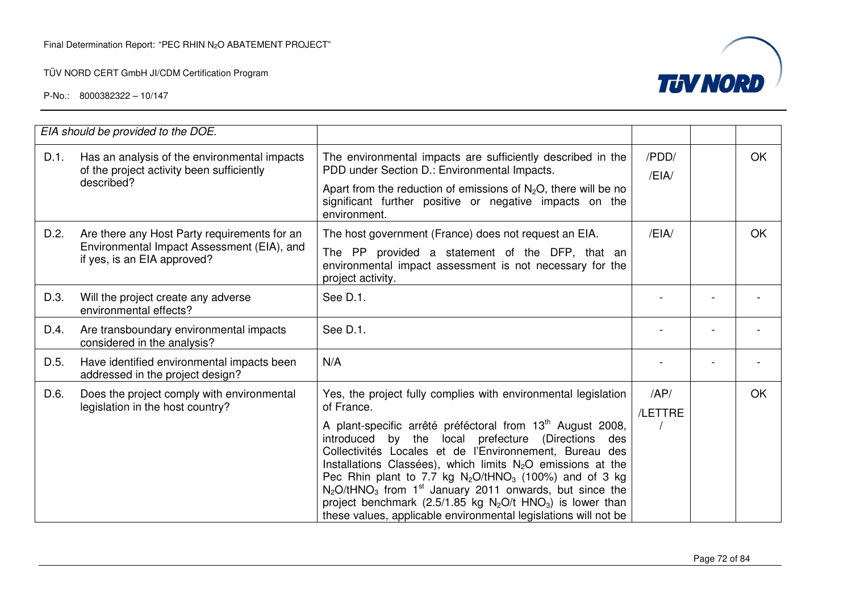

|      | EIA should be provided to the DOE.                                                                                        |                                                                                                                                                                                                                                                                                                                                                                                                                                                                                                                                                                                                                                            |                |           |
|------|---------------------------------------------------------------------------------------------------------------------------|--------------------------------------------------------------------------------------------------------------------------------------------------------------------------------------------------------------------------------------------------------------------------------------------------------------------------------------------------------------------------------------------------------------------------------------------------------------------------------------------------------------------------------------------------------------------------------------------------------------------------------------------|----------------|-----------|
| D.1. | Has an analysis of the environmental impacts<br>of the project activity been sufficiently<br>described?                   | The environmental impacts are sufficiently described in the<br>PDD under Section D.: Environmental Impacts.<br>Apart from the reduction of emissions of $N_2O$ , there will be no<br>significant further positive or negative impacts on the<br>environment.                                                                                                                                                                                                                                                                                                                                                                               | /PDD/<br>/EIA/ | <b>OK</b> |
| D.2. | Are there any Host Party requirements for an<br>Environmental Impact Assessment (EIA), and<br>if yes, is an EIA approved? | The host government (France) does not request an EIA.<br>The PP provided a statement of the DFP, that an<br>environmental impact assessment is not necessary for the<br>project activity.                                                                                                                                                                                                                                                                                                                                                                                                                                                  | /EH            | <b>OK</b> |
| D.3. | Will the project create any adverse<br>environmental effects?                                                             | See D.1.                                                                                                                                                                                                                                                                                                                                                                                                                                                                                                                                                                                                                                   |                |           |
| D.4. | Are transboundary environmental impacts<br>considered in the analysis?                                                    | See D.1.                                                                                                                                                                                                                                                                                                                                                                                                                                                                                                                                                                                                                                   |                |           |
| D.5. | Have identified environmental impacts been<br>addressed in the project design?                                            | N/A                                                                                                                                                                                                                                                                                                                                                                                                                                                                                                                                                                                                                                        |                |           |
| D.6. | Does the project comply with environmental<br>legislation in the host country?                                            | Yes, the project fully complies with environmental legislation<br>of France.<br>A plant-specific arrêté préféctoral from 13 <sup>th</sup> August 2008,<br>introduced by the local prefecture (Directions des<br>Collectivités Locales et de l'Environnement, Bureau des<br>Installations Classées), which limits $N_2O$ emissions at the<br>Pec Rhin plant to 7.7 kg $N_2O/tHNO_3$ (100%) and of 3 kg<br>$N_2$ O/tHNO <sub>3</sub> from 1 <sup>st</sup> January 2011 onwards, but since the<br>project benchmark (2.5/1.85 kg $N_2O/t$ HNO <sub>3</sub> ) is lower than<br>these values, applicable environmental legislations will not be | AP/<br>/LETTRE | <b>OK</b> |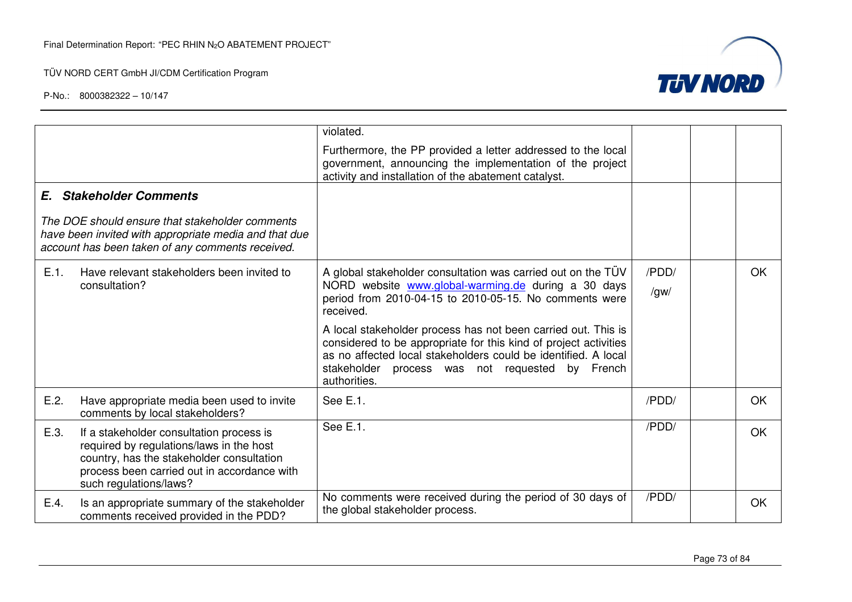TÜV NORD CERT GmbH JI/CDM Certification Program



|                                                                                                                                                                                                                    | violated.                                                                                                                                                                                                                                                                 |                         |           |
|--------------------------------------------------------------------------------------------------------------------------------------------------------------------------------------------------------------------|---------------------------------------------------------------------------------------------------------------------------------------------------------------------------------------------------------------------------------------------------------------------------|-------------------------|-----------|
|                                                                                                                                                                                                                    | Furthermore, the PP provided a letter addressed to the local<br>government, announcing the implementation of the project<br>activity and installation of the abatement catalyst.                                                                                          |                         |           |
| <b>E.</b> Stakeholder Comments                                                                                                                                                                                     |                                                                                                                                                                                                                                                                           |                         |           |
| The DOE should ensure that stakeholder comments<br>have been invited with appropriate media and that due<br>account has been taken of any comments received.                                                       |                                                                                                                                                                                                                                                                           |                         |           |
| E.1.<br>Have relevant stakeholders been invited to                                                                                                                                                                 | A global stakeholder consultation was carried out on the TÜV                                                                                                                                                                                                              | /PDD/                   | <b>OK</b> |
| consultation?                                                                                                                                                                                                      | NORD website www.global-warming.de during a 30 days<br>period from 2010-04-15 to 2010-05-15. No comments were<br>received.                                                                                                                                                | $\sqrt{g}$ w $\sqrt{g}$ |           |
|                                                                                                                                                                                                                    | A local stakeholder process has not been carried out. This is<br>considered to be appropriate for this kind of project activities<br>as no affected local stakeholders could be identified. A local<br>stakeholder process was not requested<br>by French<br>authorities. |                         |           |
| E.2.<br>Have appropriate media been used to invite<br>comments by local stakeholders?                                                                                                                              | See E.1.                                                                                                                                                                                                                                                                  | /PDD/                   | <b>OK</b> |
| E.3.<br>If a stakeholder consultation process is<br>required by regulations/laws in the host<br>country, has the stakeholder consultation<br>process been carried out in accordance with<br>such regulations/laws? | See E.1.                                                                                                                                                                                                                                                                  | /PDD/                   | OK.       |
| E.4.<br>Is an appropriate summary of the stakeholder<br>comments received provided in the PDD?                                                                                                                     | No comments were received during the period of 30 days of<br>the global stakeholder process.                                                                                                                                                                              | /PDD/                   | OK        |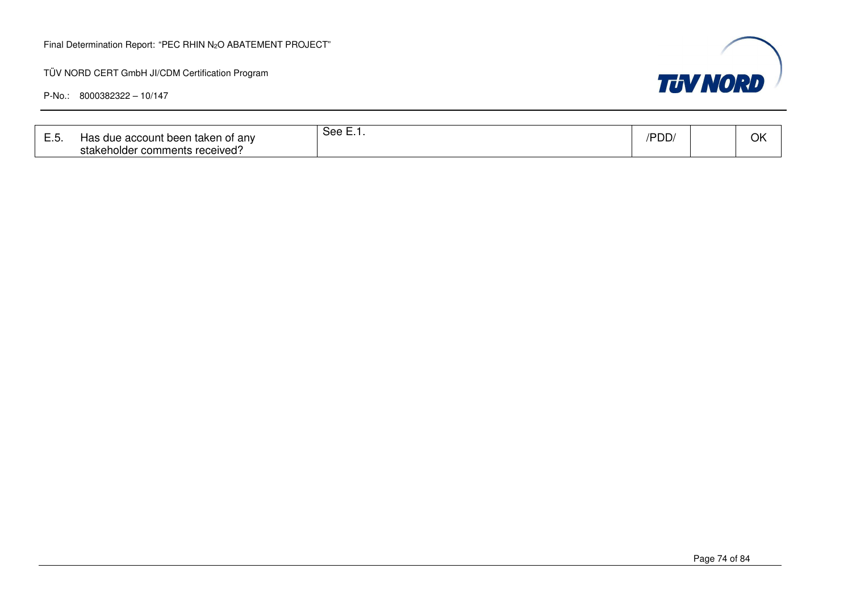#### Final Determination Report: "PEC RHIN N2O ABATEMENT PROJECT"

TÜV NORD CERT GmbH JI/CDM Certification Program

| --- | account been taken of anv ؛<br>aue<br>1d.<br>comments received?<br>stakeholder | ピヘヘ<br>ovv.<br>. | ייט<br>ישט ּ |  | OK |
|-----|--------------------------------------------------------------------------------|------------------|--------------|--|----|
|-----|--------------------------------------------------------------------------------|------------------|--------------|--|----|

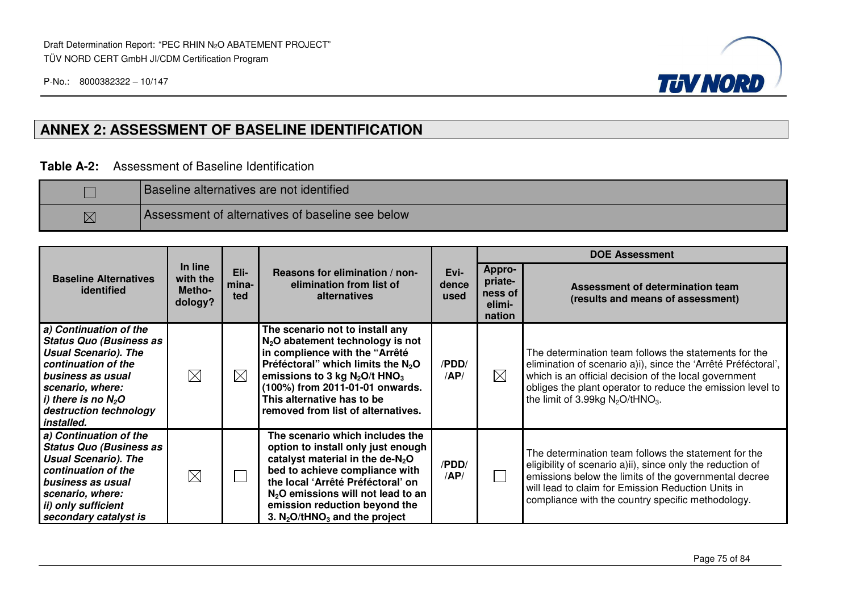

## **ANNEX 2: ASSESSMENT OF BASELINE IDENTIFICATION**

#### **Table A-2:** Assessment of Baseline Identification

|             | <b>Baseline alternatives are not identified</b>  |
|-------------|--------------------------------------------------|
| $\boxtimes$ | Assessment of alternatives of baseline see below |

|                                                                                                                                                                                                                          |                                          |                      |                                                                                                                                                                                                                                                                                                             |                       |                                                         | <b>DOE Assessment</b>                                                                                                                                                                                                                                                                            |  |  |
|--------------------------------------------------------------------------------------------------------------------------------------------------------------------------------------------------------------------------|------------------------------------------|----------------------|-------------------------------------------------------------------------------------------------------------------------------------------------------------------------------------------------------------------------------------------------------------------------------------------------------------|-----------------------|---------------------------------------------------------|--------------------------------------------------------------------------------------------------------------------------------------------------------------------------------------------------------------------------------------------------------------------------------------------------|--|--|
| <b>Baseline Alternatives</b><br>identified                                                                                                                                                                               | In line<br>with the<br>Metho-<br>dology? | Eli-<br>mina-<br>ted | Reasons for elimination / non-<br>elimination from list of<br>alternatives                                                                                                                                                                                                                                  | Evi-<br>dence<br>used | <b>Appro-</b><br>priate-<br>ness of<br>elimi-<br>nation | Assessment of determination team<br>(results and means of assessment)                                                                                                                                                                                                                            |  |  |
| a) Continuation of the<br><b>Status Quo (Business as</b><br><b>Usual Scenario). The</b><br>continuation of the<br>business as usual<br>scenario, where:<br>i) there is no $N_2O$<br>destruction technology<br>installed. | $\boxtimes$                              | $\boxtimes$          | The scenario not to install any<br>$N2O$ abatement technology is not<br>in complience with the "Arrêté<br>Préféctoral" which limits the $N_2O$<br>emissions to 3 kg $N_2O/t$ HNO <sub>3</sub><br>(100%) from 2011-01-01 onwards.<br>This alternative has to be<br>removed from list of alternatives.        | /PDD/<br>AP/          | $\boxtimes$                                             | The determination team follows the statements for the<br>elimination of scenario a)i), since the 'Arrêté Préféctoral',<br>which is an official decision of the local government<br>obliges the plant operator to reduce the emission level to<br>the limit of 3.99kg $N_2O$ /tHNO <sub>3</sub> . |  |  |
| a) Continuation of the<br><b>Status Quo (Business as</b><br><b>Usual Scenario). The</b><br>continuation of the<br>business as usual<br>scenario, where:<br>ii) only sufficient<br>secondary catalyst is                  | $\boxtimes$                              |                      | The scenario which includes the<br>option to install only just enough<br>catalyst material in the de- $N_2O$<br>bed to achieve compliance with<br>the local 'Arrêté Préféctoral' on<br>$N2O$ emissions will not lead to an<br>emission reduction beyond the<br>3. $N_2O$ /tHNO <sub>3</sub> and the project | /PDD/<br>AP/          |                                                         | The determination team follows the statement for the<br>eligibility of scenario a)ii), since only the reduction of<br>emissions below the limits of the governmental decree<br>will lead to claim for Emission Reduction Units in<br>compliance with the country specific methodology.           |  |  |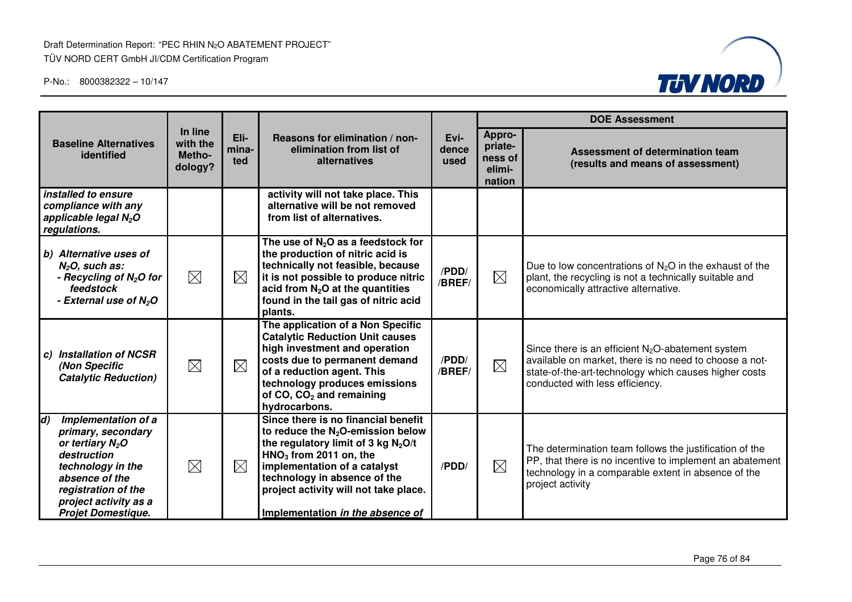Draft Determination Report: "PEC RHIN N2O ABATEMENT PROJECT" TÜV NORD CERT GmbH JI/CDM Certification Program



|                                                                                                                                                                                                                 |                                          |                      |                                                                                                                                                                                                                                                                                               |                       | <b>DOE Assessment</b>                            |                                                                                                                                                                                                            |  |
|-----------------------------------------------------------------------------------------------------------------------------------------------------------------------------------------------------------------|------------------------------------------|----------------------|-----------------------------------------------------------------------------------------------------------------------------------------------------------------------------------------------------------------------------------------------------------------------------------------------|-----------------------|--------------------------------------------------|------------------------------------------------------------------------------------------------------------------------------------------------------------------------------------------------------------|--|
| <b>Baseline Alternatives</b><br>identified                                                                                                                                                                      | In line<br>with the<br>Metho-<br>dology? | Eli-<br>mina-<br>ted | Reasons for elimination / non-<br>elimination from list of<br>alternatives                                                                                                                                                                                                                    | Evi-<br>dence<br>used | Appro-<br>priate-<br>ness of<br>elimi-<br>nation | Assessment of determination team<br>(results and means of assessment)                                                                                                                                      |  |
| installed to ensure<br>compliance with any<br>applicable legal N <sub>2</sub> O<br>regulations.                                                                                                                 |                                          |                      | activity will not take place. This<br>alternative will be not removed<br>from list of alternatives.                                                                                                                                                                                           |                       |                                                  |                                                                                                                                                                                                            |  |
| b) Alternative uses of<br>$N2O$ , such as:<br>- Recycling of $N_2O$ for<br>feedstock<br>- External use of N <sub>2</sub> O                                                                                      | $\boxtimes$                              | $\boxtimes$          | The use of $N_2O$ as a feedstock for<br>the production of nitric acid is<br>technically not feasible, because<br>it is not possible to produce nitric<br>acid from $N_2O$ at the quantities<br>found in the tail gas of nitric acid<br>plants.                                                | /PDD/<br>/BREF/       | $\boxtimes$                                      | Due to low concentrations of $N_2O$ in the exhaust of the<br>plant, the recycling is not a technically suitable and<br>economically attractive alternative.                                                |  |
| <b>Installation of NCSR</b><br>C)<br>(Non Specific<br><b>Catalytic Reduction)</b>                                                                                                                               | $\boxtimes$                              | $\boxtimes$          | The application of a Non Specific<br><b>Catalytic Reduction Unit causes</b><br>high investment and operation<br>costs due to permanent demand<br>of a reduction agent. This<br>technology produces emissions<br>of CO, CO <sub>2</sub> and remaining<br>hydrocarbons.                         | /PDD/<br>/BREF/       | $\boxtimes$                                      | Since there is an efficient $N_2O$ -abatement system<br>available on market, there is no need to choose a not-<br>state-of-the-art-technology which causes higher costs<br>conducted with less efficiency. |  |
| $\vert d$<br>Implementation of a<br>primary, secondary<br>or tertiary $N_2O$<br>destruction<br>technology in the<br>absence of the<br>registration of the<br>project activity as a<br><b>Projet Domestique.</b> | $\boxtimes$                              | $\boxtimes$          | Since there is no financial benefit<br>to reduce the $N_2O$ -emission below<br>the regulatory limit of 3 kg $N_2O/t$<br>$HNO3$ from 2011 on, the<br>implementation of a catalyst<br>technology in absence of the<br>project activity will not take place.<br>Implementation in the absence of | /PDD/                 | $\boxtimes$                                      | The determination team follows the justification of the<br>PP, that there is no incentive to implement an abatement<br>technology in a comparable extent in absence of the<br>project activity             |  |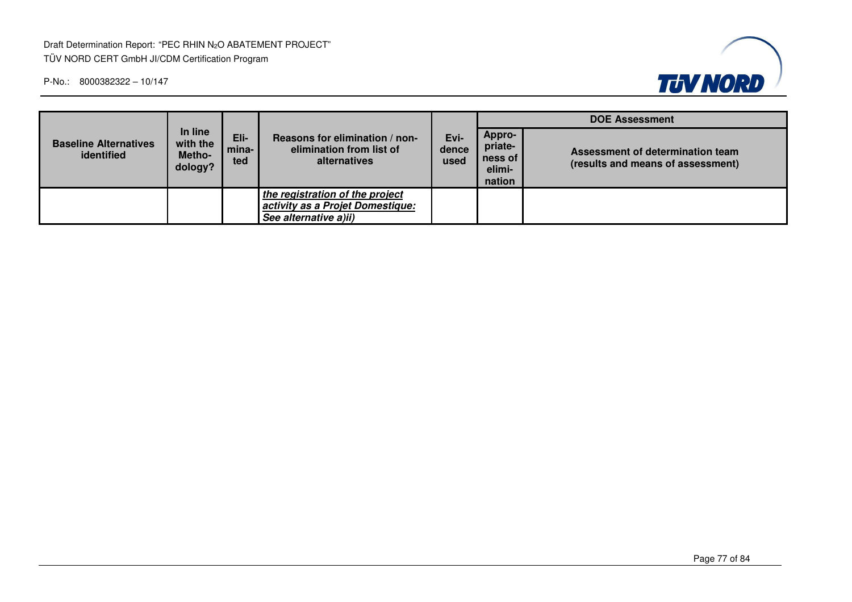Draft Determination Report: "PEC RHIN N2O ABATEMENT PROJECT" TÜV NORD CERT GmbH JI/CDM Certification Program



|                                            |                                          |                      |                                                                                              |                       | <b>DOE Assessment</b>                            |                                                                       |  |
|--------------------------------------------|------------------------------------------|----------------------|----------------------------------------------------------------------------------------------|-----------------------|--------------------------------------------------|-----------------------------------------------------------------------|--|
| <b>Baseline Alternatives</b><br>identified | In line<br>with the<br>Metho-<br>dology? | Eli-<br>mina-<br>ted | Reasons for elimination / non-<br>elimination from list of<br>alternatives                   | Evi-<br>dence<br>used | Appro-<br>priate-<br>ness of<br>elimi-<br>nation | Assessment of determination team<br>(results and means of assessment) |  |
|                                            |                                          |                      | the registration of the project<br>activity as a Projet Domestique:<br>See alternative a)ii) |                       |                                                  |                                                                       |  |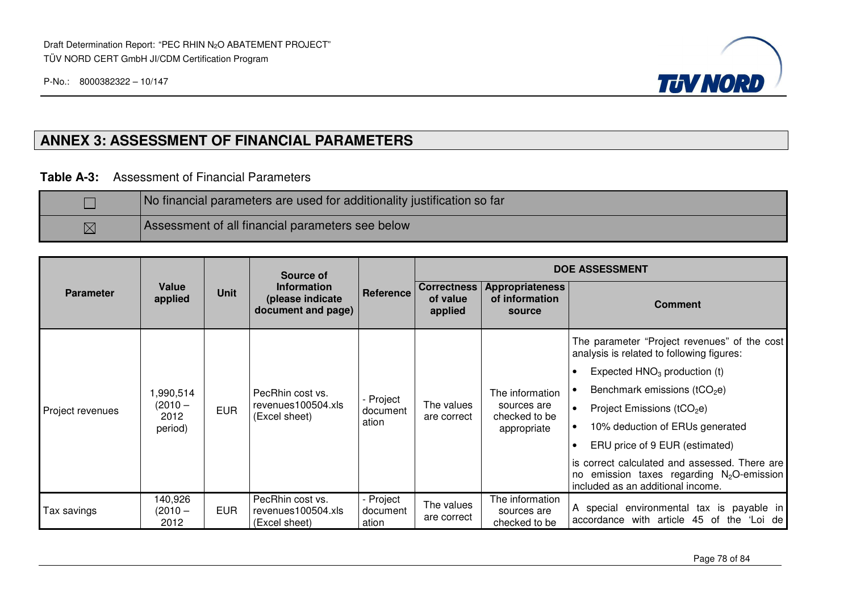

## **ANNEX 3: ASSESSMENT OF FINANCIAL PARAMETERS**

**Table A-3:** Assessment of Financial Parameters

|             | No financial parameters are used for additionality justification so far |
|-------------|-------------------------------------------------------------------------|
| $\boxtimes$ | Assessment of all financial parameters see below                        |

|                  |                                         |             | Source of                                                    |                                |                                           |                                                 | <b>DOE ASSESSMENT</b>                                                                     |  |  |                                                                                                                                    |                              |                               |
|------------------|-----------------------------------------|-------------|--------------------------------------------------------------|--------------------------------|-------------------------------------------|-------------------------------------------------|-------------------------------------------------------------------------------------------|--|--|------------------------------------------------------------------------------------------------------------------------------------|------------------------------|-------------------------------|
| <b>Parameter</b> | Value<br>applied                        | <b>Unit</b> | <b>Information</b><br>(please indicate<br>document and page) | Reference                      | <b>Correctness</b><br>of value<br>applied | Appropriateness<br>of information<br>source     | <b>Comment</b>                                                                            |  |  |                                                                                                                                    |                              |                               |
|                  | 1,990,514<br>(2010 –<br>2012<br>period) | <b>EUR</b>  | PecRhin cost vs.<br>revenues100504.xls<br>(Excel sheet)      |                                |                                           |                                                 | The parameter "Project revenues" of the cost<br>analysis is related to following figures: |  |  |                                                                                                                                    |                              |                               |
|                  |                                         |             |                                                              | - Project<br>document<br>ation |                                           | The information                                 | Expected $HNO3$ production (t)<br>$\bullet$                                               |  |  |                                                                                                                                    |                              |                               |
|                  |                                         |             |                                                              |                                |                                           |                                                 | Benchmark emissions ( $tCO2e$ )                                                           |  |  |                                                                                                                                    |                              |                               |
| Project revenues |                                         |             |                                                              |                                |                                           |                                                 |                                                                                           |  |  | The values<br>are correct                                                                                                          | sources are<br>checked to be | Project Emissions ( $tCO2e$ ) |
|                  |                                         |             |                                                              |                                |                                           | appropriate                                     | 10% deduction of ERUs generated                                                           |  |  |                                                                                                                                    |                              |                               |
|                  |                                         |             |                                                              |                                |                                           |                                                 | ERU price of 9 EUR (estimated)                                                            |  |  |                                                                                                                                    |                              |                               |
|                  |                                         |             |                                                              |                                |                                           |                                                 |                                                                                           |  |  | is correct calculated and assessed. There are<br>no emission taxes regarding $N_2O$ -emission<br>included as an additional income. |                              |                               |
| Tax savings      | 140,926<br>$(2010 -$<br>2012            | <b>EUR</b>  | PecRhin cost vs.<br>revenues100504.xls<br>(Excel sheet)      | - Project<br>document<br>ation | The values<br>are correct                 | The information<br>sources are<br>checked to be | A special environmental tax is payable in<br>accordance with article 45 of the 'Loi de    |  |  |                                                                                                                                    |                              |                               |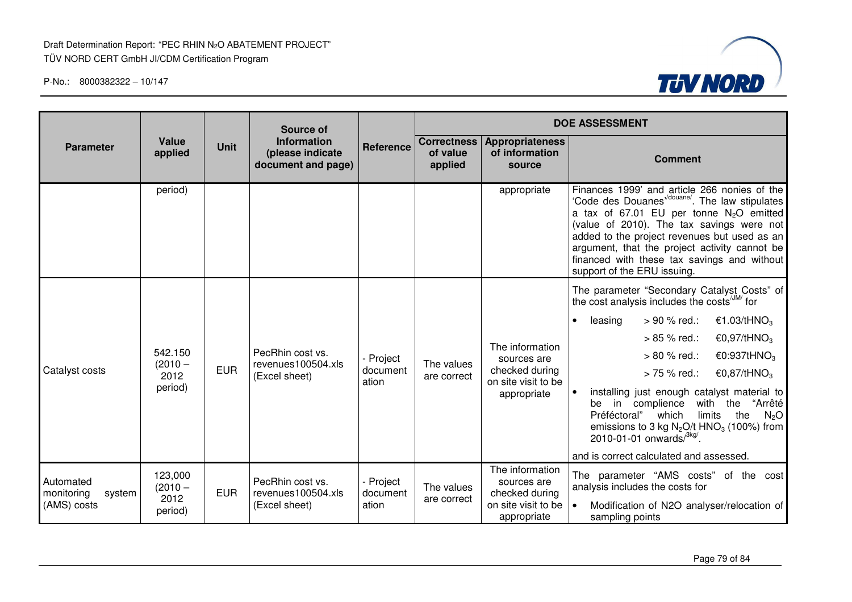

|                                                  |                                         |             | Source of                                                    |                                |                                           | <b>DOE ASSESSMENT</b>                                                                  |                                                                                                                                                                                                                                                                                                                                                                          |                                            |  |
|--------------------------------------------------|-----------------------------------------|-------------|--------------------------------------------------------------|--------------------------------|-------------------------------------------|----------------------------------------------------------------------------------------|--------------------------------------------------------------------------------------------------------------------------------------------------------------------------------------------------------------------------------------------------------------------------------------------------------------------------------------------------------------------------|--------------------------------------------|--|
| <b>Parameter</b>                                 | Value<br>applied                        | <b>Unit</b> | <b>Information</b><br>(please indicate<br>document and page) | Reference                      | <b>Correctness</b><br>of value<br>applied | <b>Appropriateness</b><br>of information<br>source                                     | <b>Comment</b>                                                                                                                                                                                                                                                                                                                                                           |                                            |  |
|                                                  | period)                                 |             |                                                              |                                |                                           | appropriate                                                                            | Finances 1999' and article 266 nonies of the<br>'Code des Douanes"/douane'. The law stipulates<br>a tax of 67.01 EU per tonne $N_2O$ emitted<br>(value of 2010). The tax savings were not<br>added to the project revenues but used as an<br>argument, that the project activity cannot be<br>financed with these tax savings and without<br>support of the ERU issuing. |                                            |  |
|                                                  |                                         |             |                                                              |                                |                                           |                                                                                        | The parameter "Secondary Catalyst Costs" of<br>the cost analysis includes the costs <sup>/JM/</sup> for                                                                                                                                                                                                                                                                  |                                            |  |
|                                                  | 542.150<br>$(2010 -$<br>2012<br>period) | <b>EUR</b>  | PecRhin cost vs.<br>revenues100504.xls<br>(Excel sheet)      | Project<br>document<br>ation   |                                           |                                                                                        | > 90 % red.:<br>€1.03/tHNO <sub>3</sub><br>leasing<br>$\bullet$                                                                                                                                                                                                                                                                                                          |                                            |  |
|                                                  |                                         |             |                                                              |                                |                                           |                                                                                        | The information                                                                                                                                                                                                                                                                                                                                                          | €0,97/tHNO <sub>3</sub><br>$> 85 \%$ red.: |  |
|                                                  |                                         |             |                                                              |                                | The values                                | sources are<br>checked during<br>on site visit to be                                   | > 80 % red.:<br>€0:937tHNO <sub>3</sub>                                                                                                                                                                                                                                                                                                                                  |                                            |  |
| Catalyst costs                                   |                                         |             |                                                              |                                | are correct                               |                                                                                        | > 75 % red.:<br>€0,87/tHNO <sub>3</sub>                                                                                                                                                                                                                                                                                                                                  |                                            |  |
|                                                  |                                         |             |                                                              |                                |                                           | appropriate                                                                            | installing just enough catalyst material to<br>be in complience<br>with the "Arrêté<br>the<br>Préféctoral"<br>limits<br>which<br>N <sub>2</sub> O<br>emissions to 3 kg $N_2O/t$ HNO <sub>3</sub> (100%) from<br>2010-01-01 onwards $/3$ <sup>kg/</sup> .                                                                                                                 |                                            |  |
|                                                  |                                         |             |                                                              |                                |                                           |                                                                                        | and is correct calculated and assessed.                                                                                                                                                                                                                                                                                                                                  |                                            |  |
| Automated<br>monitoring<br>system<br>(AMS) costs | 123,000<br>$(2010 -$<br>2012<br>period) | <b>EUR</b>  | PecRhin cost vs.<br>revenues100504.xls<br>(Excel sheet)      | - Project<br>document<br>ation | The values<br>are correct                 | The information<br>sources are<br>checked during<br>on site visit to be<br>appropriate | The parameter "AMS costs" of the cost<br>analysis includes the costs for<br>Modification of N2O analyser/relocation of<br>sampling points                                                                                                                                                                                                                                |                                            |  |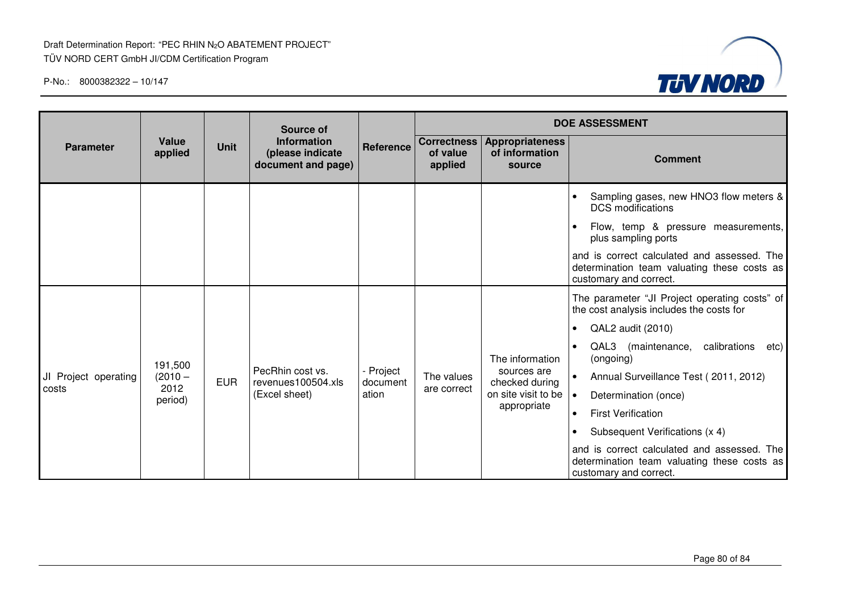

|                      |                  |             | <b>Source of</b>                                             |                       |                                           |                                                    | <b>DOE ASSESSMENT</b>                                                                                                |  |  |  |
|----------------------|------------------|-------------|--------------------------------------------------------------|-----------------------|-------------------------------------------|----------------------------------------------------|----------------------------------------------------------------------------------------------------------------------|--|--|--|
| <b>Parameter</b>     | Value<br>applied | <b>Unit</b> | <b>Information</b><br>(please indicate<br>document and page) | Reference             | <b>Correctness</b><br>of value<br>applied | <b>Appropriateness</b><br>of information<br>source | <b>Comment</b>                                                                                                       |  |  |  |
|                      |                  |             |                                                              |                       |                                           |                                                    | Sampling gases, new HNO3 flow meters &<br><b>DCS</b> modifications                                                   |  |  |  |
|                      |                  |             |                                                              |                       |                                           |                                                    | Flow, temp & pressure measurements,<br>plus sampling ports                                                           |  |  |  |
|                      |                  |             |                                                              |                       |                                           |                                                    | and is correct calculated and assessed. The<br>determination team valuating these costs as<br>customary and correct. |  |  |  |
|                      |                  |             |                                                              |                       |                                           |                                                    | The parameter "JI Project operating costs" of<br>the cost analysis includes the costs for                            |  |  |  |
|                      |                  |             |                                                              |                       |                                           |                                                    | QAL2 audit (2010)<br>$\bullet$                                                                                       |  |  |  |
|                      | 191,500          |             |                                                              |                       |                                           | The information                                    | QAL3<br>(maintenance, calibrations<br>$\bullet$<br>etc)<br>(ongoing)                                                 |  |  |  |
| JI Project operating | $(2010 -$        | <b>EUR</b>  | PecRhin cost vs.<br>revenues100504.xls                       | - Project<br>document | The values                                | sources are<br>checked during                      | Annual Surveillance Test (2011, 2012)                                                                                |  |  |  |
| costs                | 2012<br>period)  |             | (Excel sheet)                                                | ation                 | are correct                               | on site visit to be                                | Determination (once)<br>$\bullet$                                                                                    |  |  |  |
|                      |                  |             |                                                              |                       |                                           | appropriate                                        | <b>First Verification</b><br>$\bullet$                                                                               |  |  |  |
|                      |                  |             |                                                              |                       |                                           |                                                    | Subsequent Verifications (x 4)<br>$\bullet$                                                                          |  |  |  |
|                      |                  |             |                                                              |                       |                                           |                                                    | and is correct calculated and assessed. The<br>determination team valuating these costs as<br>customary and correct. |  |  |  |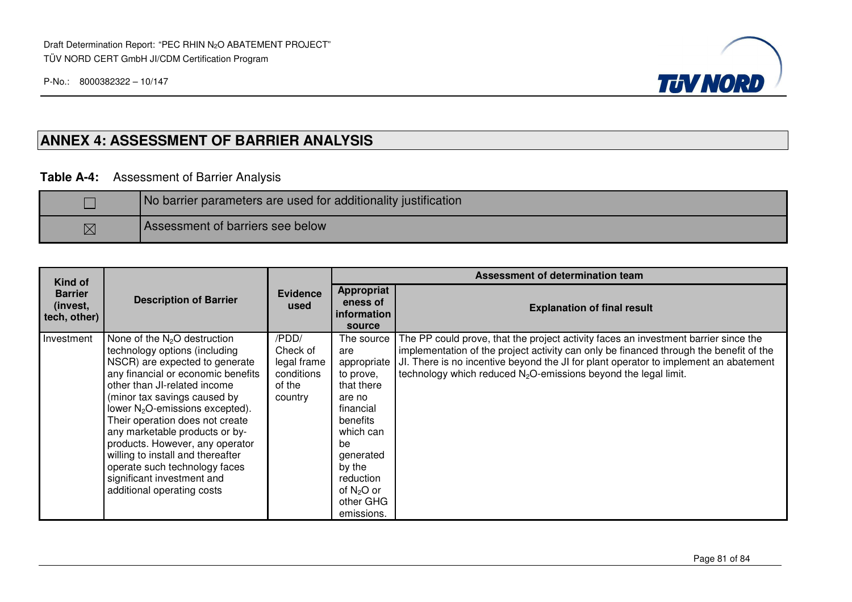

### **ANNEX 4: ASSESSMENT OF BARRIER ANALYSIS**

#### **Table A-4:** Assessment of Barrier Analysis

|             | No barrier parameters are used for additionality justification |
|-------------|----------------------------------------------------------------|
| $\boxtimes$ | Assessment of barriers see below                               |

| Kind of                                    |                                                                                                                                                                                                                                                                                                                                                                                                                                                                                                 |                                                                     |                                                                                                                                                                                                  | Assessment of determination team                                                                                                                                                                                                                                                                                                                     |
|--------------------------------------------|-------------------------------------------------------------------------------------------------------------------------------------------------------------------------------------------------------------------------------------------------------------------------------------------------------------------------------------------------------------------------------------------------------------------------------------------------------------------------------------------------|---------------------------------------------------------------------|--------------------------------------------------------------------------------------------------------------------------------------------------------------------------------------------------|------------------------------------------------------------------------------------------------------------------------------------------------------------------------------------------------------------------------------------------------------------------------------------------------------------------------------------------------------|
| <b>Barrier</b><br>(invest,<br>tech, other) | <b>Description of Barrier</b>                                                                                                                                                                                                                                                                                                                                                                                                                                                                   | <b>Evidence</b><br>used                                             | <b>Appropriat</b><br>eness of<br>information<br>source                                                                                                                                           | <b>Explanation of final result</b>                                                                                                                                                                                                                                                                                                                   |
| Investment                                 | None of the $N2O$ destruction<br>technology options (including<br>NSCR) are expected to generate<br>any financial or economic benefits<br>other than JI-related income<br>(minor tax savings caused by<br>lower N <sub>2</sub> O-emissions excepted).<br>Their operation does not create<br>any marketable products or by-<br>products. However, any operator<br>willing to install and thereafter<br>operate such technology faces<br>significant investment and<br>additional operating costs | /PDD/<br>Check of<br>legal frame<br>conditions<br>of the<br>country | The source<br>are<br>appropriate<br>to prove,<br>that there<br>are no<br>financial<br>benefits<br>which can<br>be<br>generated<br>by the<br>reduction<br>of $N_2O$ or<br>other GHG<br>emissions. | The PP could prove, that the project activity faces an investment barrier since the<br>implementation of the project activity can only be financed through the benefit of the<br>JI. There is no incentive beyond the JI for plant operator to implement an abatement<br>technology which reduced N <sub>2</sub> O-emissions beyond the legal limit. |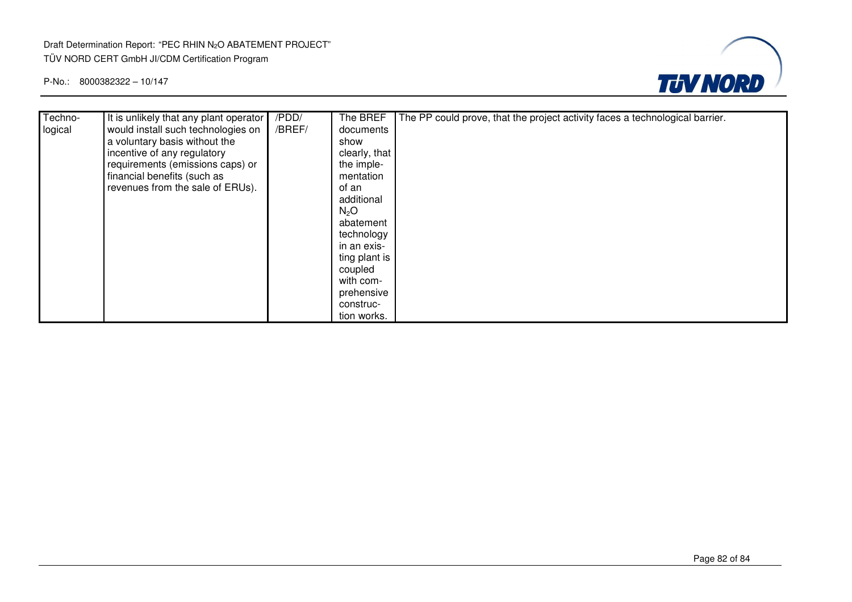#### Draft Determination Report: "PEC RHIN N2O ABATEMENT PROJECT" TÜV NORD CERT GmbH JI/CDM Certification Program



| Techno- | It is unlikely that any plant operator | /PDD/  | The BREF         | The PP could prove, that the project activity faces a technological barrier. |
|---------|----------------------------------------|--------|------------------|------------------------------------------------------------------------------|
| logical | would install such technologies on     | /BREF/ | documents        |                                                                              |
|         | a voluntary basis without the          |        | show             |                                                                              |
|         | incentive of any regulatory            |        | clearly, that    |                                                                              |
|         | requirements (emissions caps) or       |        | the imple-       |                                                                              |
|         | financial benefits (such as            |        | mentation        |                                                                              |
|         | revenues from the sale of ERUs).       |        | of an            |                                                                              |
|         |                                        |        | additional       |                                                                              |
|         |                                        |        | N <sub>2</sub> O |                                                                              |
|         |                                        |        | abatement        |                                                                              |
|         |                                        |        | technology       |                                                                              |
|         |                                        |        | in an exis-      |                                                                              |
|         |                                        |        | ting plant is    |                                                                              |
|         |                                        |        | coupled          |                                                                              |
|         |                                        |        | with com-        |                                                                              |
|         |                                        |        | prehensive       |                                                                              |
|         |                                        |        | construc-        |                                                                              |
|         |                                        |        | tion works.      |                                                                              |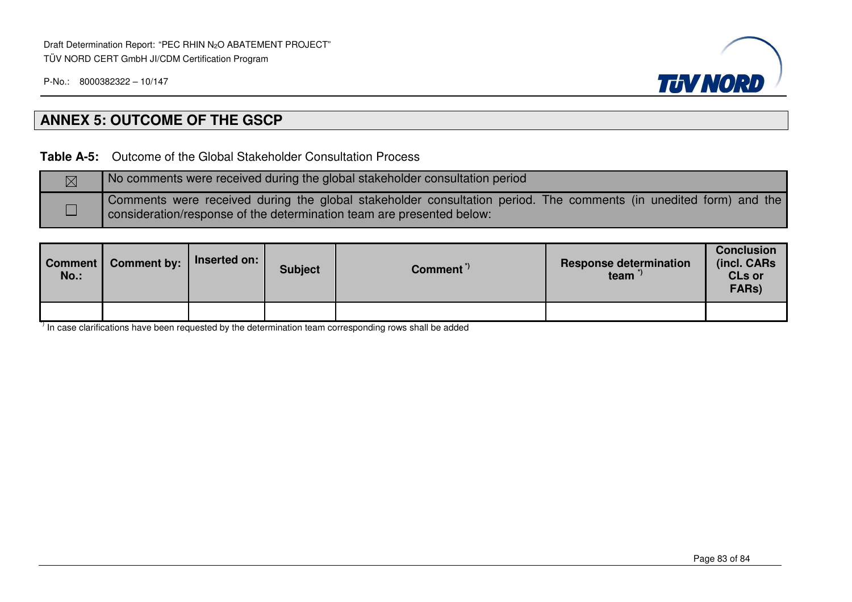

## **ANNEX 5: OUTCOME OF THE GSCP**

**Table A-5:** Outcome of the Global Stakeholder Consultation Process

| No comments were received during the global stakeholder consultation period                                                                                                             |
|-----------------------------------------------------------------------------------------------------------------------------------------------------------------------------------------|
| Comments were received during the global stakeholder consultation period. The comments (in unedited form) and the consideration/response of the determination team are presented below: |

| Comment <sup>I</sup><br>$No.$ : | <b>Comment by:</b> | Inserted on: | <b>Subject</b> | Comment <sup>"</sup> | <b>Response determination</b><br>team | <b>Conclusion</b><br>(incl. CARs<br><b>CLs or</b><br>FARs) |
|---------------------------------|--------------------|--------------|----------------|----------------------|---------------------------------------|------------------------------------------------------------|
|                                 |                    |              |                |                      |                                       |                                                            |

 $\frac{1}{1}$  In case clarifications have been requested by the determination team corresponding rows shall be added